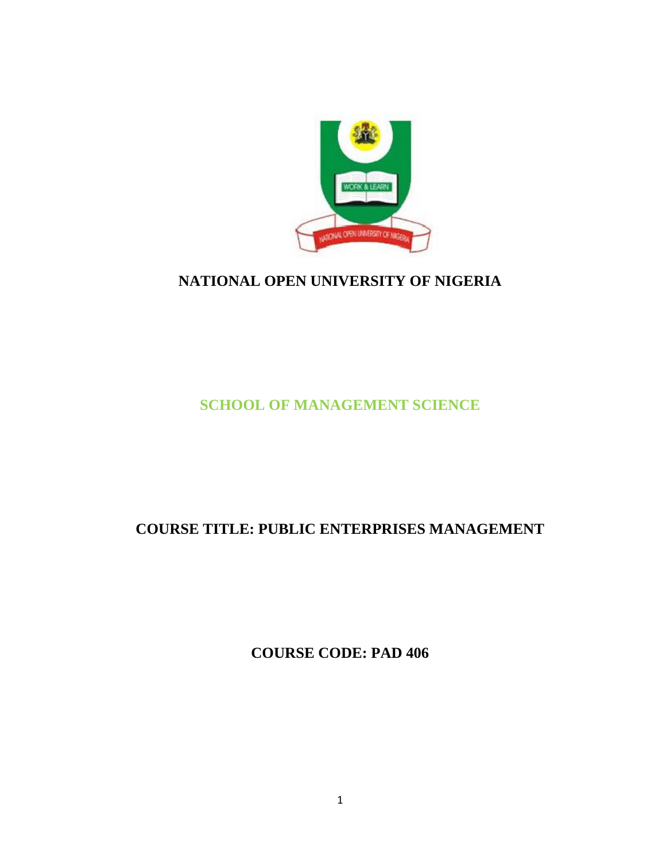

# **NATIONAL OPEN UNIVERSITY OF NIGERIA**

# **SCHOOL OF MANAGEMENT SCIENCE**

# **COURSE TITLE: PUBLIC ENTERPRISES MANAGEMENT**

**COURSE CODE: PAD 406**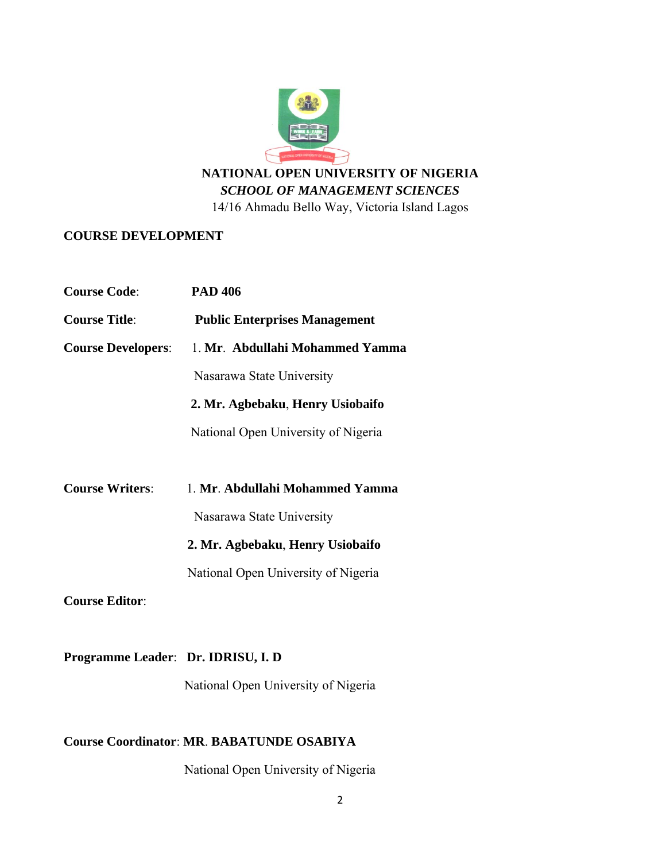

#### **COURSE D DEVELOPM MENT**

|                                                  | NATIONAL OPEN UNIVERSITY OF NIGERIA<br><b>SCHOOL OF MANAGEMENT SCIENCES</b> |
|--------------------------------------------------|-----------------------------------------------------------------------------|
|                                                  | 14/16 Ahmadu Bello Way, Victoria Island Lagos                               |
| <b>COURSE DEVELOPMENT</b>                        |                                                                             |
|                                                  |                                                                             |
| <b>Course Code:</b>                              | <b>PAD 406</b>                                                              |
| <b>Course Title:</b>                             | <b>Public Enterprises Management</b>                                        |
| <b>Course Developers:</b>                        | 1. Mr. Abdullahi Mohammed Yamma                                             |
|                                                  | Nasarawa State University                                                   |
|                                                  | 2. Mr. Agbebaku, Henry Usiobaifo                                            |
|                                                  | National Open University of Nigeria                                         |
|                                                  |                                                                             |
| <b>Course Writers:</b>                           | 1. Mr. Abdullahi Mohammed Yamma                                             |
|                                                  | Nasarawa State University                                                   |
|                                                  | 2. Mr. Agbebaku, Henry Usiobaifo                                            |
|                                                  | National Open University of Nigeria                                         |
| <b>Course Editor:</b>                            |                                                                             |
|                                                  |                                                                             |
| Programme Leader: Dr. IDRISU, I. D               |                                                                             |
|                                                  | National Open University of Nigeria                                         |
|                                                  |                                                                             |
| <b>Course Coordinator: MR. BABATUNDE OSABIYA</b> |                                                                             |
|                                                  | National Open University of Nigeria                                         |

## **Course Coo ordinator**: **M MR**. **BABAT TUNDE OS SABIYA**

National Open University of Nigeria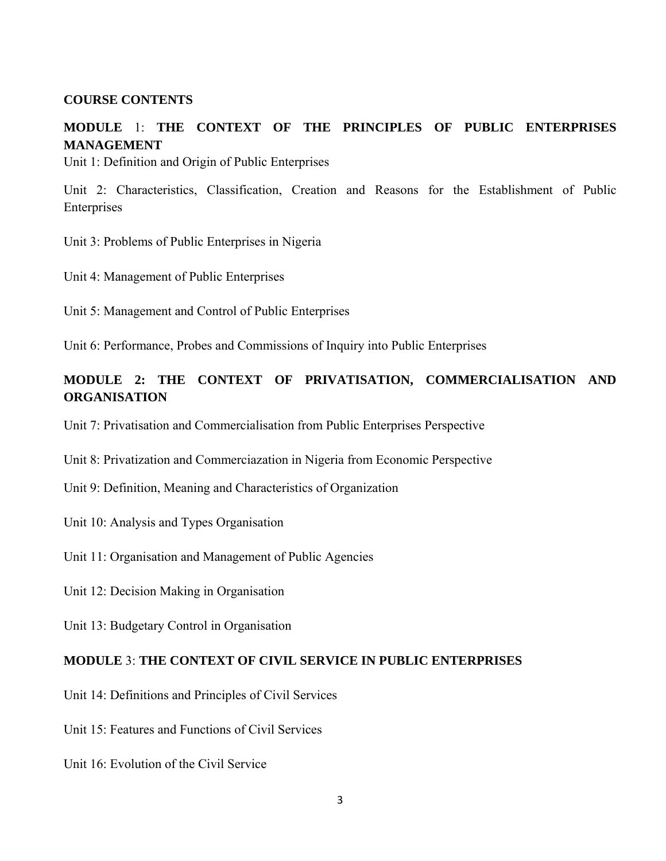#### **COURSE CONTENTS**

# **MODULE** 1: **THE CONTEXT OF THE PRINCIPLES OF PUBLIC ENTERPRISES MANAGEMENT**

Unit 1: Definition and Origin of Public Enterprises

Unit 2: Characteristics, Classification, Creation and Reasons for the Establishment of Public Enterprises

Unit 3: Problems of Public Enterprises in Nigeria

Unit 4: Management of Public Enterprises

Unit 5: Management and Control of Public Enterprises

Unit 6: Performance, Probes and Commissions of Inquiry into Public Enterprises

## **MODULE 2: THE CONTEXT OF PRIVATISATION, COMMERCIALISATION AND ORGANISATION**

Unit 7: Privatisation and Commercialisation from Public Enterprises Perspective

Unit 8: Privatization and Commerciazation in Nigeria from Economic Perspective

Unit 9: Definition, Meaning and Characteristics of Organization

Unit 10: Analysis and Types Organisation

Unit 11: Organisation and Management of Public Agencies

Unit 12: Decision Making in Organisation

Unit 13: Budgetary Control in Organisation

#### **MODULE** 3: **THE CONTEXT OF CIVIL SERVICE IN PUBLIC ENTERPRISES**

Unit 14: Definitions and Principles of Civil Services

Unit 15: Features and Functions of Civil Services

Unit 16: Evolution of the Civil Service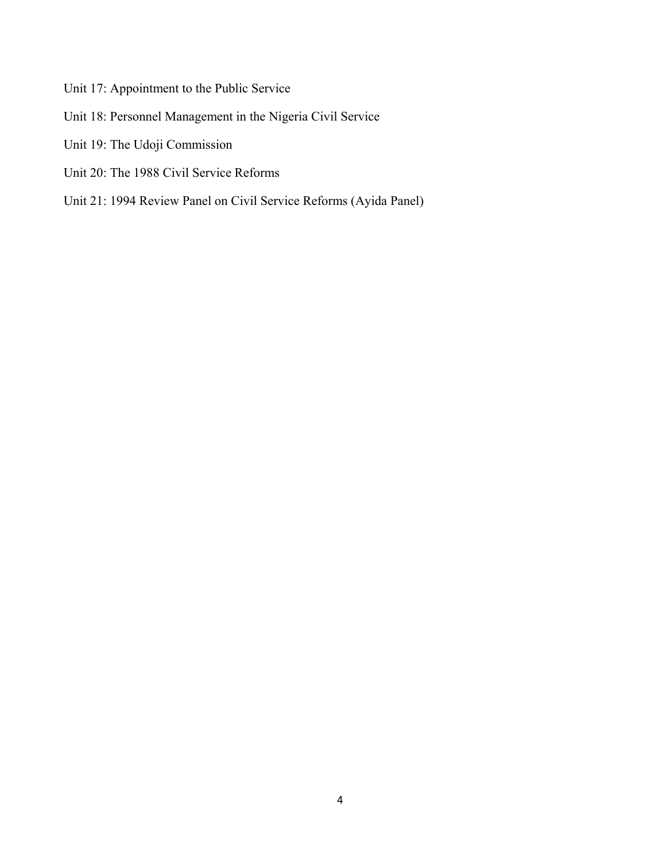- Unit 17: Appointment to the Public Service
- Unit 18: Personnel Management in the Nigeria Civil Service
- Unit 19: The Udoji Commission
- Unit 20: The 1988 Civil Service Reforms
- Unit 21: 1994 Review Panel on Civil Service Reforms (Ayida Panel)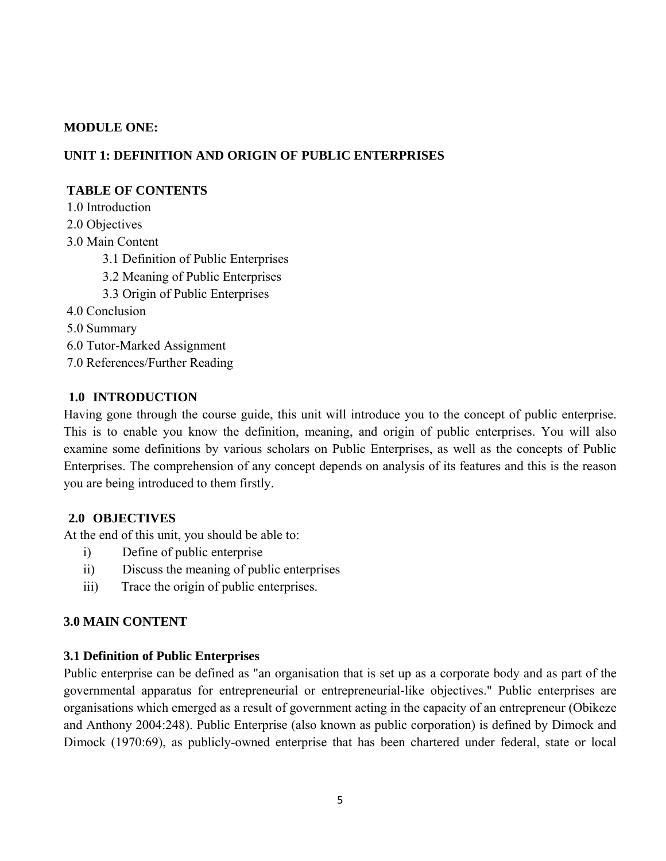#### **MODULE ONE:**

## **UNIT 1: DEFINITION AND ORIGIN OF PUBLIC ENTERPRISES**

#### **TABLE OF CONTENTS**

1.0 Introduction

- 2.0 Objectives
- 3.0 Main Content
	- 3.1 Definition of Public Enterprises
	- 3.2 Meaning of Public Enterprises
	- 3.3 Origin of Public Enterprises
- 4.0 Conclusion
- 5.0 Summary
- 6.0 Tutor-Marked Assignment
- 7.0 References/Further Reading

## **1.0 INTRODUCTION**

Having gone through the course guide, this unit will introduce you to the concept of public enterprise. This is to enable you know the definition, meaning, and origin of public enterprises. You will also examine some definitions by various scholars on Public Enterprises, as well as the concepts of Public Enterprises. The comprehension of any concept depends on analysis of its features and this is the reason you are being introduced to them firstly.

## **2.0 OBJECTIVES**

At the end of this unit, you should be able to:

- i) Define of public enterprise
- ii) Discuss the meaning of public enterprises
- iii) Trace the origin of public enterprises.

## **3.0 MAIN CONTENT**

#### **3.1 Definition of Public Enterprises**

Public enterprise can be defined as "an organisation that is set up as a corporate body and as part of the governmental apparatus for entrepreneurial or entrepreneurial-like objectives." Public enterprises are organisations which emerged as a result of government acting in the capacity of an entrepreneur (Obikeze and Anthony 2004:248). Public Enterprise (also known as public corporation) is defined by Dimock and Dimock (1970:69), as publicly-owned enterprise that has been chartered under federal, state or local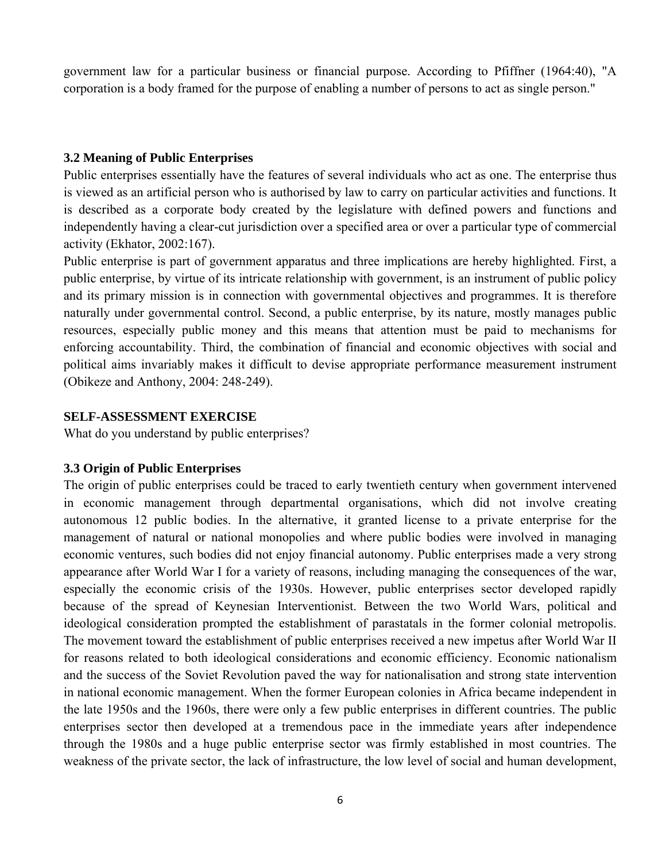government law for a particular business or financial purpose. According to Pfiffner (1964:40), "A corporation is a body framed for the purpose of enabling a number of persons to act as single person."

#### **3.2 Meaning of Public Enterprises**

Public enterprises essentially have the features of several individuals who act as one. The enterprise thus is viewed as an artificial person who is authorised by law to carry on particular activities and functions. It is described as a corporate body created by the legislature with defined powers and functions and independently having a clear-cut jurisdiction over a specified area or over a particular type of commercial activity (Ekhator, 2002:167).

Public enterprise is part of government apparatus and three implications are hereby highlighted. First, a public enterprise, by virtue of its intricate relationship with government, is an instrument of public policy and its primary mission is in connection with governmental objectives and programmes. It is therefore naturally under governmental control. Second, a public enterprise, by its nature, mostly manages public resources, especially public money and this means that attention must be paid to mechanisms for enforcing accountability. Third, the combination of financial and economic objectives with social and political aims invariably makes it difficult to devise appropriate performance measurement instrument (Obikeze and Anthony, 2004: 248-249).

#### **SELF-ASSESSMENT EXERCISE**

What do you understand by public enterprises?

#### **3.3 Origin of Public Enterprises**

The origin of public enterprises could be traced to early twentieth century when government intervened in economic management through departmental organisations, which did not involve creating autonomous 12 public bodies. In the alternative, it granted license to a private enterprise for the management of natural or national monopolies and where public bodies were involved in managing economic ventures, such bodies did not enjoy financial autonomy. Public enterprises made a very strong appearance after World War I for a variety of reasons, including managing the consequences of the war, especially the economic crisis of the 1930s. However, public enterprises sector developed rapidly because of the spread of Keynesian Interventionist. Between the two World Wars, political and ideological consideration prompted the establishment of parastatals in the former colonial metropolis. The movement toward the establishment of public enterprises received a new impetus after World War II for reasons related to both ideological considerations and economic efficiency. Economic nationalism and the success of the Soviet Revolution paved the way for nationalisation and strong state intervention in national economic management. When the former European colonies in Africa became independent in the late 1950s and the 1960s, there were only a few public enterprises in different countries. The public enterprises sector then developed at a tremendous pace in the immediate years after independence through the 1980s and a huge public enterprise sector was firmly established in most countries. The weakness of the private sector, the lack of infrastructure, the low level of social and human development,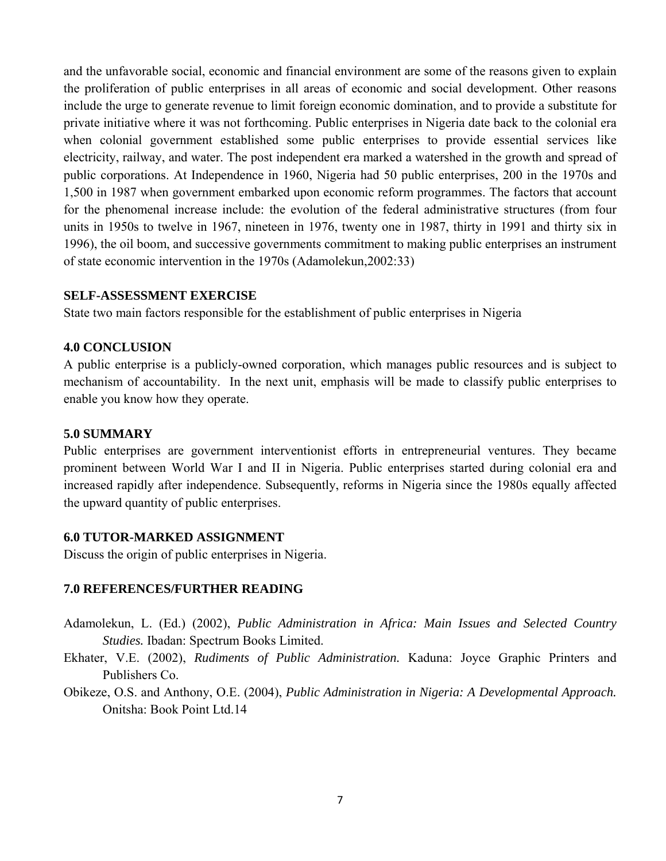and the unfavorable social, economic and financial environment are some of the reasons given to explain the proliferation of public enterprises in all areas of economic and social development. Other reasons include the urge to generate revenue to limit foreign economic domination, and to provide a substitute for private initiative where it was not forthcoming. Public enterprises in Nigeria date back to the colonial era when colonial government established some public enterprises to provide essential services like electricity, railway, and water. The post independent era marked a watershed in the growth and spread of public corporations. At Independence in 1960, Nigeria had 50 public enterprises, 200 in the 1970s and 1,500 in 1987 when government embarked upon economic reform programmes. The factors that account for the phenomenal increase include: the evolution of the federal administrative structures (from four units in 1950s to twelve in 1967, nineteen in 1976, twenty one in 1987, thirty in 1991 and thirty six in 1996), the oil boom, and successive governments commitment to making public enterprises an instrument of state economic intervention in the 1970s (Adamolekun,2002:33)

#### **SELF-ASSESSMENT EXERCISE**

State two main factors responsible for the establishment of public enterprises in Nigeria

#### **4.0 CONCLUSION**

A public enterprise is a publicly-owned corporation, which manages public resources and is subject to mechanism of accountability. In the next unit, emphasis will be made to classify public enterprises to enable you know how they operate.

#### **5.0 SUMMARY**

Public enterprises are government interventionist efforts in entrepreneurial ventures. They became prominent between World War I and II in Nigeria. Public enterprises started during colonial era and increased rapidly after independence. Subsequently, reforms in Nigeria since the 1980s equally affected the upward quantity of public enterprises.

#### **6.0 TUTOR-MARKED ASSIGNMENT**

Discuss the origin of public enterprises in Nigeria.

#### **7.0 REFERENCES/FURTHER READING**

- Adamolekun, L. (Ed.) (2002), *Public Administration in Africa: Main Issues and Selected Country Studies.* Ibadan: Spectrum Books Limited.
- Ekhater, V.E. (2002), *Rudiments of Public Administration.* Kaduna: Joyce Graphic Printers and Publishers Co.
- Obikeze, O.S. and Anthony, O.E. (2004), *Public Administration in Nigeria: A Developmental Approach.*  Onitsha: Book Point Ltd.14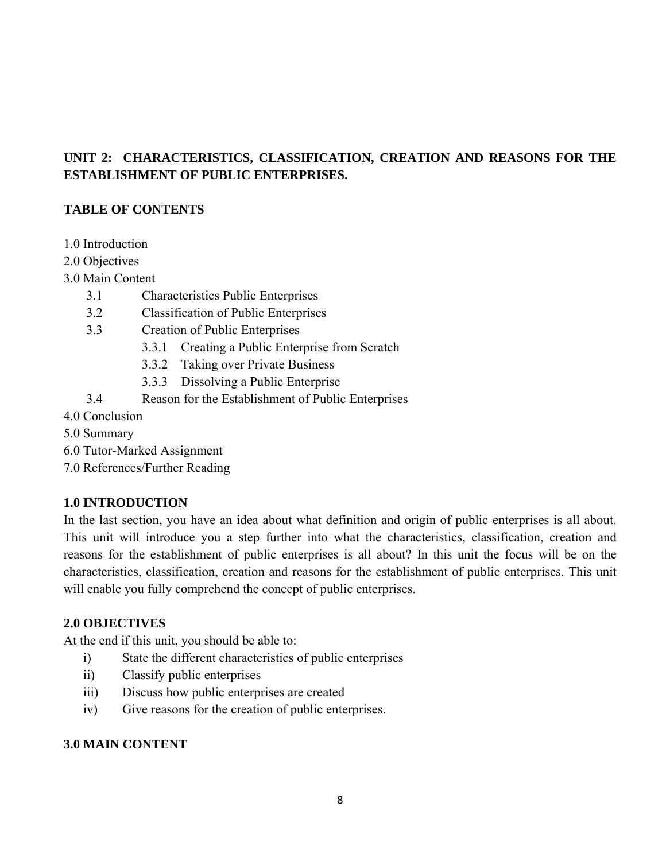# **UNIT 2: CHARACTERISTICS, CLASSIFICATION, CREATION AND REASONS FOR THE ESTABLISHMENT OF PUBLIC ENTERPRISES.**

# **TABLE OF CONTENTS**

- 1.0 Introduction
- 2.0 Objectives
- 3.0 Main Content
	- 3.1 Characteristics Public Enterprises
	- 3.2 Classification of Public Enterprises
	- 3.3 Creation of Public Enterprises
		- 3.3.1 Creating a Public Enterprise from Scratch
		- 3.3.2 Taking over Private Business
		- 3.3.3 Dissolving a Public Enterprise
	- 3.4 Reason for the Establishment of Public Enterprises
- 4.0 Conclusion
- 5.0 Summary
- 6.0 Tutor-Marked Assignment
- 7.0 References/Further Reading

## **1.0 INTRODUCTION**

In the last section, you have an idea about what definition and origin of public enterprises is all about. This unit will introduce you a step further into what the characteristics, classification, creation and reasons for the establishment of public enterprises is all about? In this unit the focus will be on the characteristics, classification, creation and reasons for the establishment of public enterprises. This unit will enable you fully comprehend the concept of public enterprises.

#### **2.0 OBJECTIVES**

At the end if this unit, you should be able to:

- i) State the different characteristics of public enterprises
- ii) Classify public enterprises
- iii) Discuss how public enterprises are created
- iv) Give reasons for the creation of public enterprises.

## **3.0 MAIN CONTENT**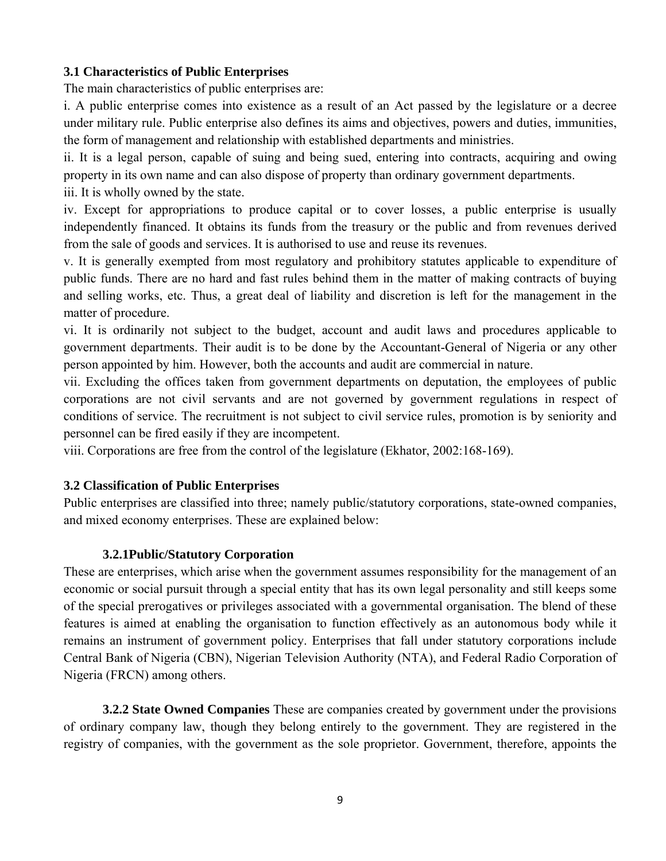#### **3.1 Characteristics of Public Enterprises**

The main characteristics of public enterprises are:

i. A public enterprise comes into existence as a result of an Act passed by the legislature or a decree under military rule. Public enterprise also defines its aims and objectives, powers and duties, immunities, the form of management and relationship with established departments and ministries.

ii. It is a legal person, capable of suing and being sued, entering into contracts, acquiring and owing property in its own name and can also dispose of property than ordinary government departments.

iii. It is wholly owned by the state.

iv. Except for appropriations to produce capital or to cover losses, a public enterprise is usually independently financed. It obtains its funds from the treasury or the public and from revenues derived from the sale of goods and services. It is authorised to use and reuse its revenues.

v. It is generally exempted from most regulatory and prohibitory statutes applicable to expenditure of public funds. There are no hard and fast rules behind them in the matter of making contracts of buying and selling works, etc. Thus, a great deal of liability and discretion is left for the management in the matter of procedure.

vi. It is ordinarily not subject to the budget, account and audit laws and procedures applicable to government departments. Their audit is to be done by the Accountant-General of Nigeria or any other person appointed by him. However, both the accounts and audit are commercial in nature.

vii. Excluding the offices taken from government departments on deputation, the employees of public corporations are not civil servants and are not governed by government regulations in respect of conditions of service. The recruitment is not subject to civil service rules, promotion is by seniority and personnel can be fired easily if they are incompetent.

viii. Corporations are free from the control of the legislature (Ekhator, 2002:168-169).

#### **3.2 Classification of Public Enterprises**

Public enterprises are classified into three; namely public/statutory corporations, state-owned companies, and mixed economy enterprises. These are explained below:

## **3.2.1Public/Statutory Corporation**

These are enterprises, which arise when the government assumes responsibility for the management of an economic or social pursuit through a special entity that has its own legal personality and still keeps some of the special prerogatives or privileges associated with a governmental organisation. The blend of these features is aimed at enabling the organisation to function effectively as an autonomous body while it remains an instrument of government policy. Enterprises that fall under statutory corporations include Central Bank of Nigeria (CBN), Nigerian Television Authority (NTA), and Federal Radio Corporation of Nigeria (FRCN) among others.

**3.2.2 State Owned Companies** These are companies created by government under the provisions of ordinary company law, though they belong entirely to the government. They are registered in the registry of companies, with the government as the sole proprietor. Government, therefore, appoints the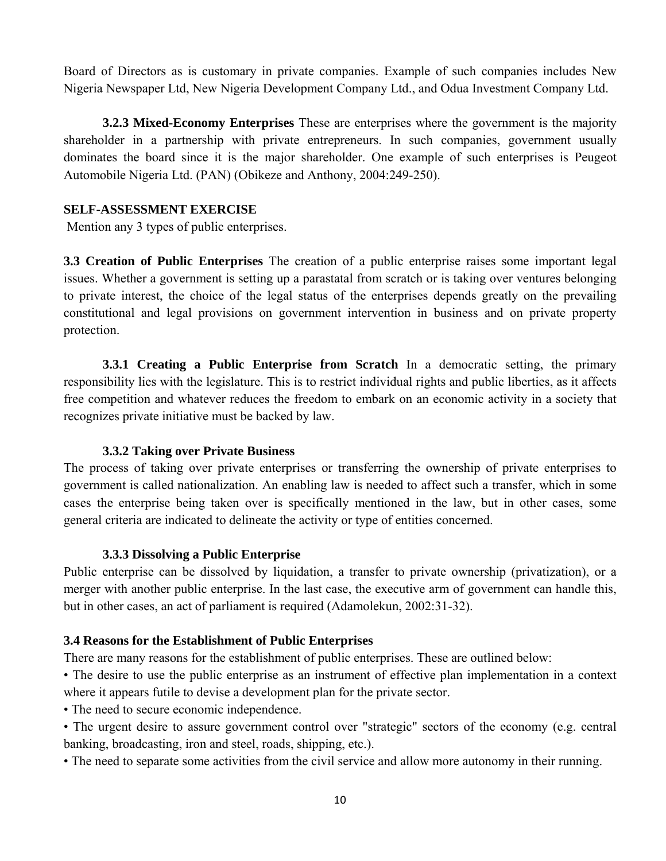Board of Directors as is customary in private companies. Example of such companies includes New Nigeria Newspaper Ltd, New Nigeria Development Company Ltd., and Odua Investment Company Ltd.

**3.2.3 Mixed-Economy Enterprises** These are enterprises where the government is the majority shareholder in a partnership with private entrepreneurs. In such companies, government usually dominates the board since it is the major shareholder. One example of such enterprises is Peugeot Automobile Nigeria Ltd. (PAN) (Obikeze and Anthony, 2004:249-250).

#### **SELF-ASSESSMENT EXERCISE**

Mention any 3 types of public enterprises.

**3.3 Creation of Public Enterprises** The creation of a public enterprise raises some important legal issues. Whether a government is setting up a parastatal from scratch or is taking over ventures belonging to private interest, the choice of the legal status of the enterprises depends greatly on the prevailing constitutional and legal provisions on government intervention in business and on private property protection.

**3.3.1 Creating a Public Enterprise from Scratch** In a democratic setting, the primary responsibility lies with the legislature. This is to restrict individual rights and public liberties, as it affects free competition and whatever reduces the freedom to embark on an economic activity in a society that recognizes private initiative must be backed by law.

#### **3.3.2 Taking over Private Business**

The process of taking over private enterprises or transferring the ownership of private enterprises to government is called nationalization. An enabling law is needed to affect such a transfer, which in some cases the enterprise being taken over is specifically mentioned in the law, but in other cases, some general criteria are indicated to delineate the activity or type of entities concerned.

#### **3.3.3 Dissolving a Public Enterprise**

Public enterprise can be dissolved by liquidation, a transfer to private ownership (privatization), or a merger with another public enterprise. In the last case, the executive arm of government can handle this, but in other cases, an act of parliament is required (Adamolekun, 2002:31-32).

#### **3.4 Reasons for the Establishment of Public Enterprises**

There are many reasons for the establishment of public enterprises. These are outlined below:

• The desire to use the public enterprise as an instrument of effective plan implementation in a context where it appears futile to devise a development plan for the private sector.

• The need to secure economic independence.

• The urgent desire to assure government control over "strategic" sectors of the economy (e.g. central banking, broadcasting, iron and steel, roads, shipping, etc.).

• The need to separate some activities from the civil service and allow more autonomy in their running.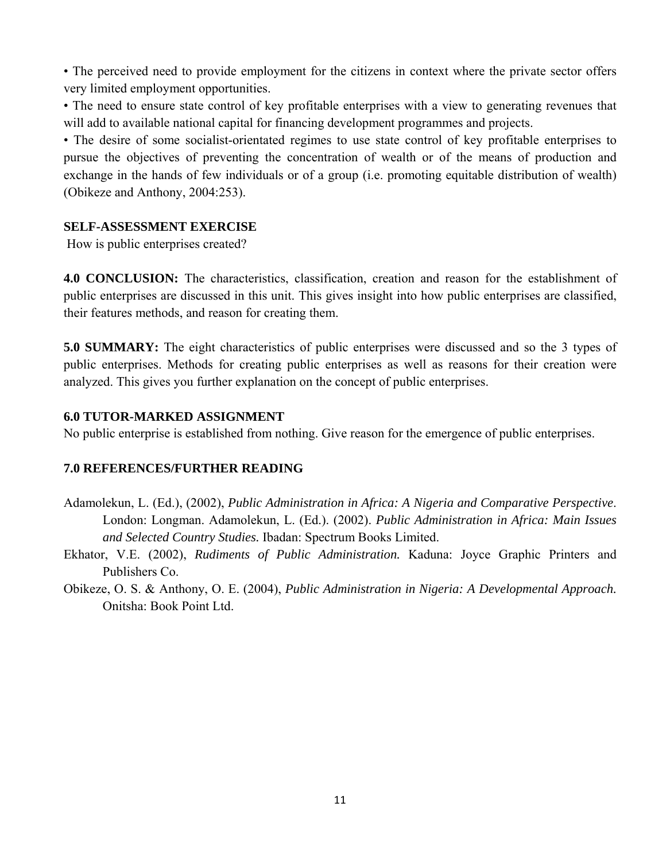• The perceived need to provide employment for the citizens in context where the private sector offers very limited employment opportunities.

• The need to ensure state control of key profitable enterprises with a view to generating revenues that will add to available national capital for financing development programmes and projects.

• The desire of some socialist-orientated regimes to use state control of key profitable enterprises to pursue the objectives of preventing the concentration of wealth or of the means of production and exchange in the hands of few individuals or of a group (i.e. promoting equitable distribution of wealth) (Obikeze and Anthony, 2004:253).

#### **SELF-ASSESSMENT EXERCISE**

How is public enterprises created?

**4.0 CONCLUSION:** The characteristics, classification, creation and reason for the establishment of public enterprises are discussed in this unit. This gives insight into how public enterprises are classified, their features methods, and reason for creating them.

**5.0 SUMMARY:** The eight characteristics of public enterprises were discussed and so the 3 types of public enterprises. Methods for creating public enterprises as well as reasons for their creation were analyzed. This gives you further explanation on the concept of public enterprises.

#### **6.0 TUTOR-MARKED ASSIGNMENT**

No public enterprise is established from nothing. Give reason for the emergence of public enterprises.

#### **7.0 REFERENCES/FURTHER READING**

- Adamolekun, L. (Ed.), (2002), *Public Administration in Africa: A Nigeria and Comparative Perspective*. London: Longman. Adamolekun, L. (Ed.). (2002). *Public Administration in Africa: Main Issues and Selected Country Studies.* Ibadan: Spectrum Books Limited.
- Ekhator, V.E. (2002), *Rudiments of Public Administration.* Kaduna: Joyce Graphic Printers and Publishers Co.
- Obikeze, O. S. & Anthony, O. E. (2004), *Public Administration in Nigeria: A Developmental Approach.*  Onitsha: Book Point Ltd.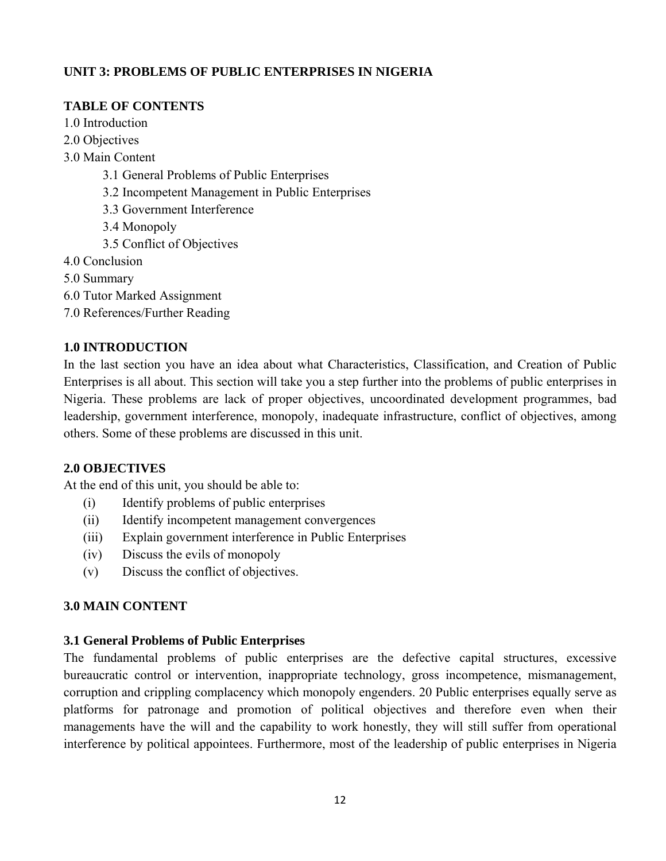## **UNIT 3: PROBLEMS OF PUBLIC ENTERPRISES IN NIGERIA**

# **TABLE OF CONTENTS**

- 1.0 Introduction
- 2.0 Objectives
- 3.0 Main Content
	- 3.1 General Problems of Public Enterprises
	- 3.2 Incompetent Management in Public Enterprises
	- 3.3 Government Interference
	- 3.4 Monopoly
	- 3.5 Conflict of Objectives
- 4.0 Conclusion
- 5.0 Summary
- 6.0 Tutor Marked Assignment
- 7.0 References/Further Reading

## **1.0 INTRODUCTION**

In the last section you have an idea about what Characteristics, Classification, and Creation of Public Enterprises is all about. This section will take you a step further into the problems of public enterprises in Nigeria. These problems are lack of proper objectives, uncoordinated development programmes, bad leadership, government interference, monopoly, inadequate infrastructure, conflict of objectives, among others. Some of these problems are discussed in this unit.

## **2.0 OBJECTIVES**

At the end of this unit, you should be able to:

- (i) Identify problems of public enterprises
- (ii) Identify incompetent management convergences
- (iii) Explain government interference in Public Enterprises
- (iv) Discuss the evils of monopoly
- (v) Discuss the conflict of objectives.

# **3.0 MAIN CONTENT**

## **3.1 General Problems of Public Enterprises**

The fundamental problems of public enterprises are the defective capital structures, excessive bureaucratic control or intervention, inappropriate technology, gross incompetence, mismanagement, corruption and crippling complacency which monopoly engenders. 20 Public enterprises equally serve as platforms for patronage and promotion of political objectives and therefore even when their managements have the will and the capability to work honestly, they will still suffer from operational interference by political appointees. Furthermore, most of the leadership of public enterprises in Nigeria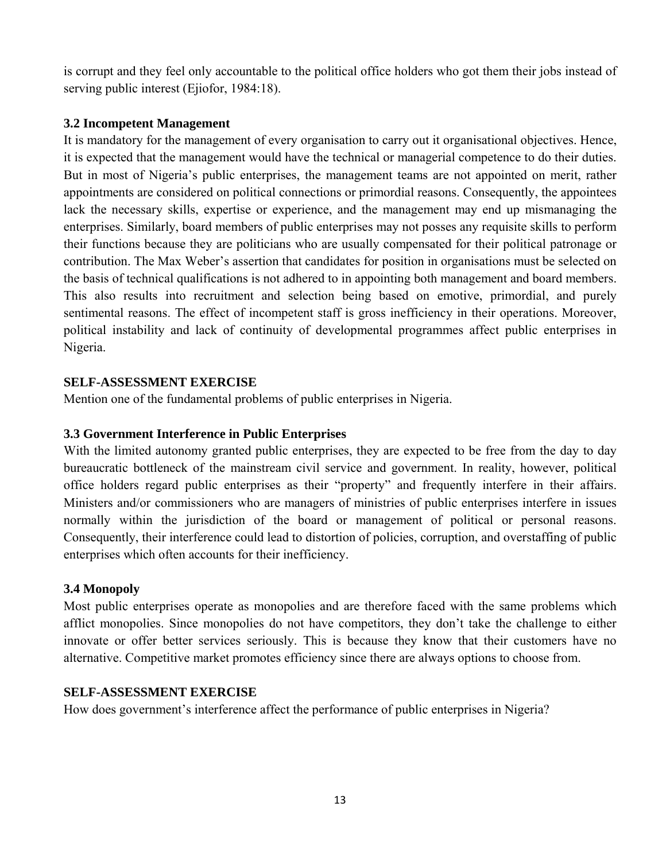is corrupt and they feel only accountable to the political office holders who got them their jobs instead of serving public interest (Ejiofor, 1984:18).

## **3.2 Incompetent Management**

It is mandatory for the management of every organisation to carry out it organisational objectives. Hence, it is expected that the management would have the technical or managerial competence to do their duties. But in most of Nigeria's public enterprises, the management teams are not appointed on merit, rather appointments are considered on political connections or primordial reasons. Consequently, the appointees lack the necessary skills, expertise or experience, and the management may end up mismanaging the enterprises. Similarly, board members of public enterprises may not posses any requisite skills to perform their functions because they are politicians who are usually compensated for their political patronage or contribution. The Max Weber's assertion that candidates for position in organisations must be selected on the basis of technical qualifications is not adhered to in appointing both management and board members. This also results into recruitment and selection being based on emotive, primordial, and purely sentimental reasons. The effect of incompetent staff is gross inefficiency in their operations. Moreover, political instability and lack of continuity of developmental programmes affect public enterprises in Nigeria.

## **SELF-ASSESSMENT EXERCISE**

Mention one of the fundamental problems of public enterprises in Nigeria.

# **3.3 Government Interference in Public Enterprises**

With the limited autonomy granted public enterprises, they are expected to be free from the day to day bureaucratic bottleneck of the mainstream civil service and government. In reality, however, political office holders regard public enterprises as their "property" and frequently interfere in their affairs. Ministers and/or commissioners who are managers of ministries of public enterprises interfere in issues normally within the jurisdiction of the board or management of political or personal reasons. Consequently, their interference could lead to distortion of policies, corruption, and overstaffing of public enterprises which often accounts for their inefficiency.

# **3.4 Monopoly**

Most public enterprises operate as monopolies and are therefore faced with the same problems which afflict monopolies. Since monopolies do not have competitors, they don't take the challenge to either innovate or offer better services seriously. This is because they know that their customers have no alternative. Competitive market promotes efficiency since there are always options to choose from.

## **SELF-ASSESSMENT EXERCISE**

How does government's interference affect the performance of public enterprises in Nigeria?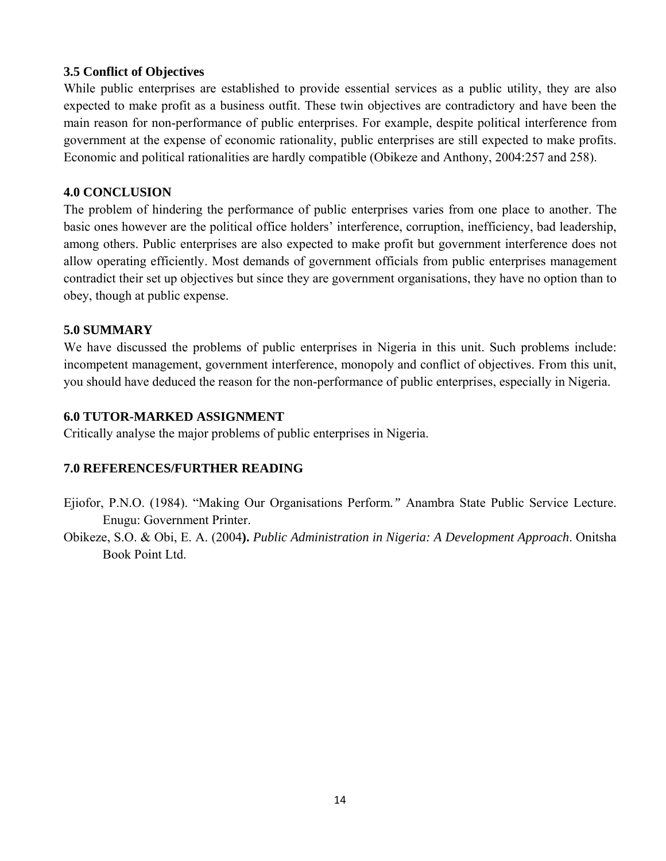## **3.5 Conflict of Objectives**

While public enterprises are established to provide essential services as a public utility, they are also expected to make profit as a business outfit. These twin objectives are contradictory and have been the main reason for non-performance of public enterprises. For example, despite political interference from government at the expense of economic rationality, public enterprises are still expected to make profits. Economic and political rationalities are hardly compatible (Obikeze and Anthony, 2004:257 and 258).

#### **4.0 CONCLUSION**

The problem of hindering the performance of public enterprises varies from one place to another. The basic ones however are the political office holders' interference, corruption, inefficiency, bad leadership, among others. Public enterprises are also expected to make profit but government interference does not allow operating efficiently. Most demands of government officials from public enterprises management contradict their set up objectives but since they are government organisations, they have no option than to obey, though at public expense.

#### **5.0 SUMMARY**

We have discussed the problems of public enterprises in Nigeria in this unit. Such problems include: incompetent management, government interference, monopoly and conflict of objectives. From this unit, you should have deduced the reason for the non-performance of public enterprises, especially in Nigeria.

#### **6.0 TUTOR-MARKED ASSIGNMENT**

Critically analyse the major problems of public enterprises in Nigeria.

## **7.0 REFERENCES/FURTHER READING**

- Ejiofor, P.N.O. (1984). "Making Our Organisations Perform*."* Anambra State Public Service Lecture. Enugu: Government Printer.
- Obikeze, S.O. & Obi, E. A. (2004**).** *Public Administration in Nigeria: A Development Approach*. Onitsha Book Point Ltd.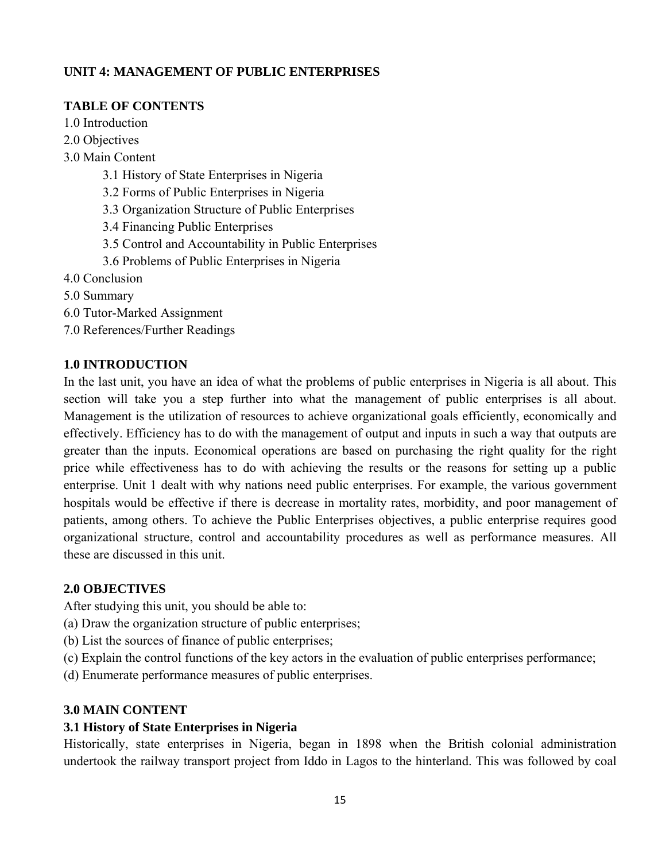# **UNIT 4: MANAGEMENT OF PUBLIC ENTERPRISES**

## **TABLE OF CONTENTS**

1.0 Introduction

- 2.0 Objectives
- 3.0 Main Content
	- 3.1 History of State Enterprises in Nigeria
	- 3.2 Forms of Public Enterprises in Nigeria
	- 3.3 Organization Structure of Public Enterprises
	- 3.4 Financing Public Enterprises
	- 3.5 Control and Accountability in Public Enterprises
	- 3.6 Problems of Public Enterprises in Nigeria
- 4.0 Conclusion
- 5.0 Summary
- 6.0 Tutor-Marked Assignment
- 7.0 References/Further Readings

## **1.0 INTRODUCTION**

In the last unit, you have an idea of what the problems of public enterprises in Nigeria is all about. This section will take you a step further into what the management of public enterprises is all about. Management is the utilization of resources to achieve organizational goals efficiently, economically and effectively. Efficiency has to do with the management of output and inputs in such a way that outputs are greater than the inputs. Economical operations are based on purchasing the right quality for the right price while effectiveness has to do with achieving the results or the reasons for setting up a public enterprise. Unit 1 dealt with why nations need public enterprises. For example, the various government hospitals would be effective if there is decrease in mortality rates, morbidity, and poor management of patients, among others. To achieve the Public Enterprises objectives, a public enterprise requires good organizational structure, control and accountability procedures as well as performance measures. All these are discussed in this unit.

## **2.0 OBJECTIVES**

After studying this unit, you should be able to:

- (a) Draw the organization structure of public enterprises;
- (b) List the sources of finance of public enterprises;
- (c) Explain the control functions of the key actors in the evaluation of public enterprises performance;

(d) Enumerate performance measures of public enterprises.

## **3.0 MAIN CONTENT**

## **3.1 History of State Enterprises in Nigeria**

Historically, state enterprises in Nigeria, began in 1898 when the British colonial administration undertook the railway transport project from Iddo in Lagos to the hinterland. This was followed by coal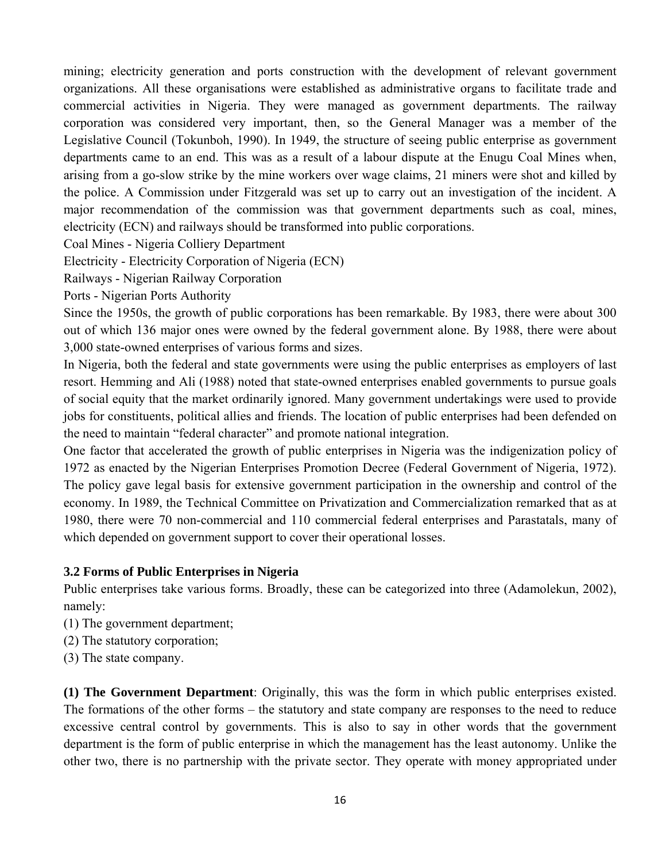mining; electricity generation and ports construction with the development of relevant government organizations. All these organisations were established as administrative organs to facilitate trade and commercial activities in Nigeria. They were managed as government departments. The railway corporation was considered very important, then, so the General Manager was a member of the Legislative Council (Tokunboh, 1990). In 1949, the structure of seeing public enterprise as government departments came to an end. This was as a result of a labour dispute at the Enugu Coal Mines when, arising from a go-slow strike by the mine workers over wage claims, 21 miners were shot and killed by the police. A Commission under Fitzgerald was set up to carry out an investigation of the incident. A major recommendation of the commission was that government departments such as coal, mines, electricity (ECN) and railways should be transformed into public corporations.

Coal Mines - Nigeria Colliery Department

Electricity - Electricity Corporation of Nigeria (ECN)

Railways - Nigerian Railway Corporation

Ports - Nigerian Ports Authority

Since the 1950s, the growth of public corporations has been remarkable. By 1983, there were about 300 out of which 136 major ones were owned by the federal government alone. By 1988, there were about 3,000 state-owned enterprises of various forms and sizes.

In Nigeria, both the federal and state governments were using the public enterprises as employers of last resort. Hemming and Ali (1988) noted that state-owned enterprises enabled governments to pursue goals of social equity that the market ordinarily ignored. Many government undertakings were used to provide jobs for constituents, political allies and friends. The location of public enterprises had been defended on the need to maintain "federal character" and promote national integration.

One factor that accelerated the growth of public enterprises in Nigeria was the indigenization policy of 1972 as enacted by the Nigerian Enterprises Promotion Decree (Federal Government of Nigeria, 1972). The policy gave legal basis for extensive government participation in the ownership and control of the economy. In 1989, the Technical Committee on Privatization and Commercialization remarked that as at 1980, there were 70 non-commercial and 110 commercial federal enterprises and Parastatals, many of which depended on government support to cover their operational losses.

## **3.2 Forms of Public Enterprises in Nigeria**

Public enterprises take various forms. Broadly, these can be categorized into three (Adamolekun, 2002), namely:

- (1) The government department;
- (2) The statutory corporation;
- (3) The state company.

**(1) The Government Department**: Originally, this was the form in which public enterprises existed. The formations of the other forms – the statutory and state company are responses to the need to reduce excessive central control by governments. This is also to say in other words that the government department is the form of public enterprise in which the management has the least autonomy. Unlike the other two, there is no partnership with the private sector. They operate with money appropriated under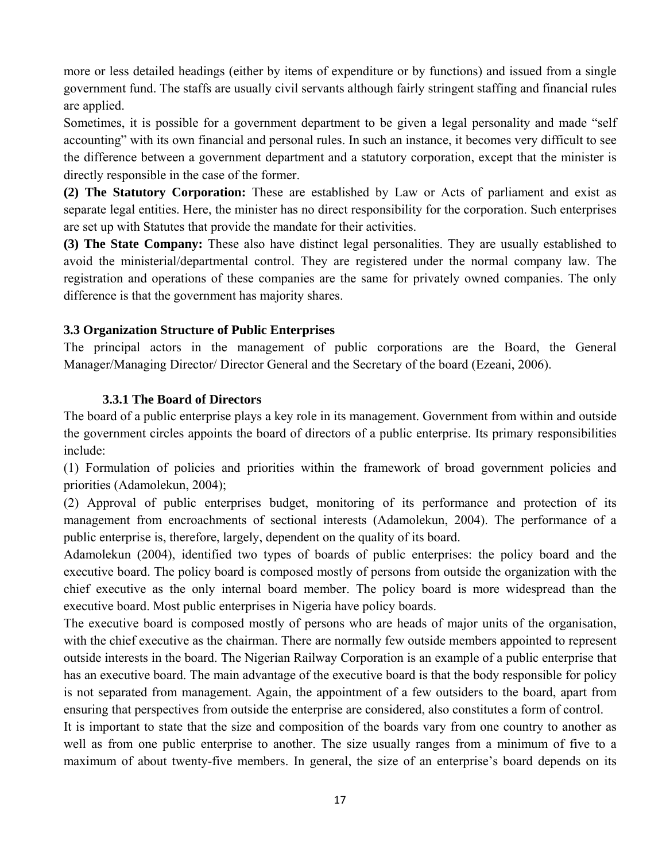more or less detailed headings (either by items of expenditure or by functions) and issued from a single government fund. The staffs are usually civil servants although fairly stringent staffing and financial rules are applied.

Sometimes, it is possible for a government department to be given a legal personality and made "self accounting" with its own financial and personal rules. In such an instance, it becomes very difficult to see the difference between a government department and a statutory corporation, except that the minister is directly responsible in the case of the former.

**(2) The Statutory Corporation:** These are established by Law or Acts of parliament and exist as separate legal entities. Here, the minister has no direct responsibility for the corporation. Such enterprises are set up with Statutes that provide the mandate for their activities.

**(3) The State Company:** These also have distinct legal personalities. They are usually established to avoid the ministerial/departmental control. They are registered under the normal company law. The registration and operations of these companies are the same for privately owned companies. The only difference is that the government has majority shares.

#### **3.3 Organization Structure of Public Enterprises**

The principal actors in the management of public corporations are the Board, the General Manager/Managing Director/ Director General and the Secretary of the board (Ezeani, 2006).

#### **3.3.1 The Board of Directors**

The board of a public enterprise plays a key role in its management. Government from within and outside the government circles appoints the board of directors of a public enterprise. Its primary responsibilities include:

(1) Formulation of policies and priorities within the framework of broad government policies and priorities (Adamolekun, 2004);

(2) Approval of public enterprises budget, monitoring of its performance and protection of its management from encroachments of sectional interests (Adamolekun, 2004). The performance of a public enterprise is, therefore, largely, dependent on the quality of its board.

Adamolekun (2004), identified two types of boards of public enterprises: the policy board and the executive board. The policy board is composed mostly of persons from outside the organization with the chief executive as the only internal board member. The policy board is more widespread than the executive board. Most public enterprises in Nigeria have policy boards.

The executive board is composed mostly of persons who are heads of major units of the organisation, with the chief executive as the chairman. There are normally few outside members appointed to represent outside interests in the board. The Nigerian Railway Corporation is an example of a public enterprise that has an executive board. The main advantage of the executive board is that the body responsible for policy is not separated from management. Again, the appointment of a few outsiders to the board, apart from ensuring that perspectives from outside the enterprise are considered, also constitutes a form of control.

It is important to state that the size and composition of the boards vary from one country to another as well as from one public enterprise to another. The size usually ranges from a minimum of five to a maximum of about twenty-five members. In general, the size of an enterprise's board depends on its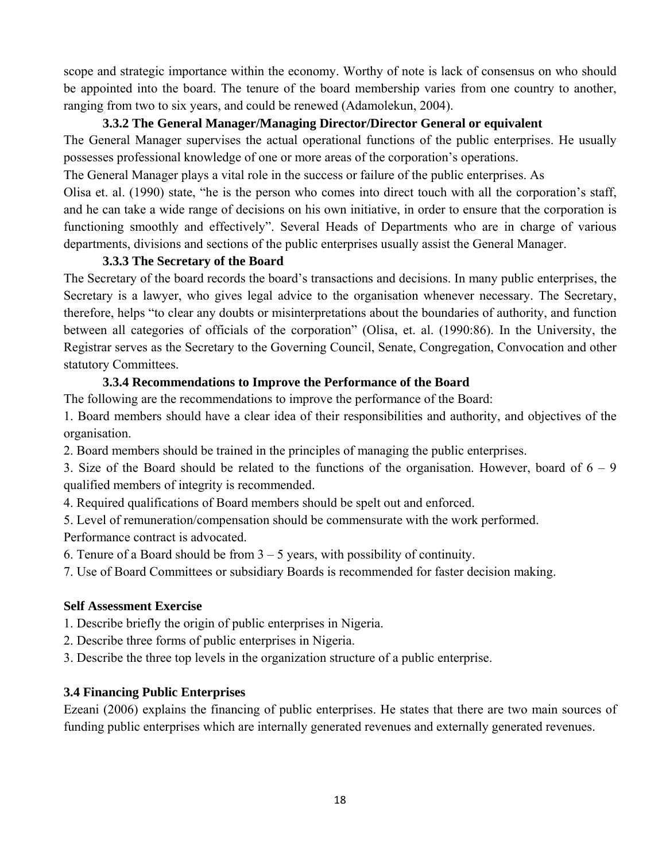scope and strategic importance within the economy. Worthy of note is lack of consensus on who should be appointed into the board. The tenure of the board membership varies from one country to another, ranging from two to six years, and could be renewed (Adamolekun, 2004).

## **3.3.2 The General Manager/Managing Director/Director General or equivalent**

The General Manager supervises the actual operational functions of the public enterprises. He usually possesses professional knowledge of one or more areas of the corporation's operations.

The General Manager plays a vital role in the success or failure of the public enterprises. As

Olisa et. al. (1990) state, "he is the person who comes into direct touch with all the corporation's staff, and he can take a wide range of decisions on his own initiative, in order to ensure that the corporation is functioning smoothly and effectively". Several Heads of Departments who are in charge of various departments, divisions and sections of the public enterprises usually assist the General Manager.

## **3.3.3 The Secretary of the Board**

The Secretary of the board records the board's transactions and decisions. In many public enterprises, the Secretary is a lawyer, who gives legal advice to the organisation whenever necessary. The Secretary, therefore, helps "to clear any doubts or misinterpretations about the boundaries of authority, and function between all categories of officials of the corporation" (Olisa, et. al. (1990:86). In the University, the Registrar serves as the Secretary to the Governing Council, Senate, Congregation, Convocation and other statutory Committees.

## **3.3.4 Recommendations to Improve the Performance of the Board**

The following are the recommendations to improve the performance of the Board:

1. Board members should have a clear idea of their responsibilities and authority, and objectives of the organisation.

2. Board members should be trained in the principles of managing the public enterprises.

3. Size of the Board should be related to the functions of the organisation. However, board of  $6 - 9$ qualified members of integrity is recommended.

4. Required qualifications of Board members should be spelt out and enforced.

5. Level of remuneration/compensation should be commensurate with the work performed.

Performance contract is advocated.

6. Tenure of a Board should be from  $3 - 5$  years, with possibility of continuity.

7. Use of Board Committees or subsidiary Boards is recommended for faster decision making.

# **Self Assessment Exercise**

1. Describe briefly the origin of public enterprises in Nigeria.

2. Describe three forms of public enterprises in Nigeria.

3. Describe the three top levels in the organization structure of a public enterprise.

# **3.4 Financing Public Enterprises**

Ezeani (2006) explains the financing of public enterprises. He states that there are two main sources of funding public enterprises which are internally generated revenues and externally generated revenues.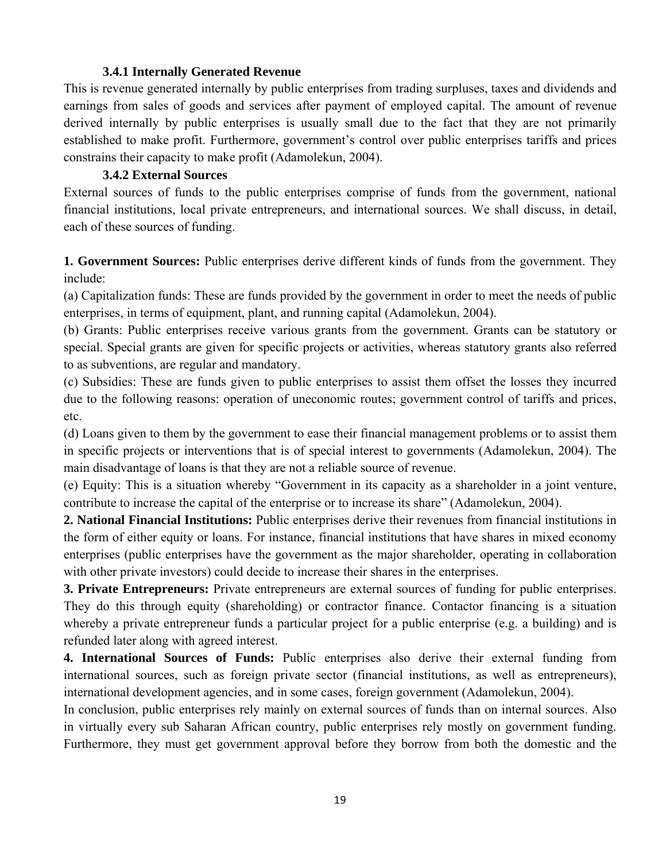#### **3.4.1 Internally Generated Revenue**

This is revenue generated internally by public enterprises from trading surpluses, taxes and dividends and earnings from sales of goods and services after payment of employed capital. The amount of revenue derived internally by public enterprises is usually small due to the fact that they are not primarily established to make profit. Furthermore, government's control over public enterprises tariffs and prices constrains their capacity to make profit (Adamolekun, 2004).

#### **3.4.2 External Sources**

External sources of funds to the public enterprises comprise of funds from the government, national financial institutions, local private entrepreneurs, and international sources. We shall discuss, in detail, each of these sources of funding.

**1. Government Sources:** Public enterprises derive different kinds of funds from the government. They include:

(a) Capitalization funds: These are funds provided by the government in order to meet the needs of public enterprises, in terms of equipment, plant, and running capital (Adamolekun, 2004).

(b) Grants: Public enterprises receive various grants from the government. Grants can be statutory or special. Special grants are given for specific projects or activities, whereas statutory grants also referred to as subventions, are regular and mandatory.

(c) Subsidies: These are funds given to public enterprises to assist them offset the losses they incurred due to the following reasons: operation of uneconomic routes; government control of tariffs and prices, etc.

(d) Loans given to them by the government to ease their financial management problems or to assist them in specific projects or interventions that is of special interest to governments (Adamolekun, 2004). The main disadvantage of loans is that they are not a reliable source of revenue.

(e) Equity: This is a situation whereby "Government in its capacity as a shareholder in a joint venture, contribute to increase the capital of the enterprise or to increase its share" (Adamolekun, 2004).

**2. National Financial Institutions:** Public enterprises derive their revenues from financial institutions in the form of either equity or loans. For instance, financial institutions that have shares in mixed economy enterprises (public enterprises have the government as the major shareholder, operating in collaboration with other private investors) could decide to increase their shares in the enterprises.

**3. Private Entrepreneurs:** Private entrepreneurs are external sources of funding for public enterprises. They do this through equity (shareholding) or contractor finance. Contactor financing is a situation whereby a private entrepreneur funds a particular project for a public enterprise (e.g. a building) and is refunded later along with agreed interest.

**4. International Sources of Funds:** Public enterprises also derive their external funding from international sources, such as foreign private sector (financial institutions, as well as entrepreneurs), international development agencies, and in some cases, foreign government (Adamolekun, 2004).

In conclusion, public enterprises rely mainly on external sources of funds than on internal sources. Also in virtually every sub Saharan African country, public enterprises rely mostly on government funding. Furthermore, they must get government approval before they borrow from both the domestic and the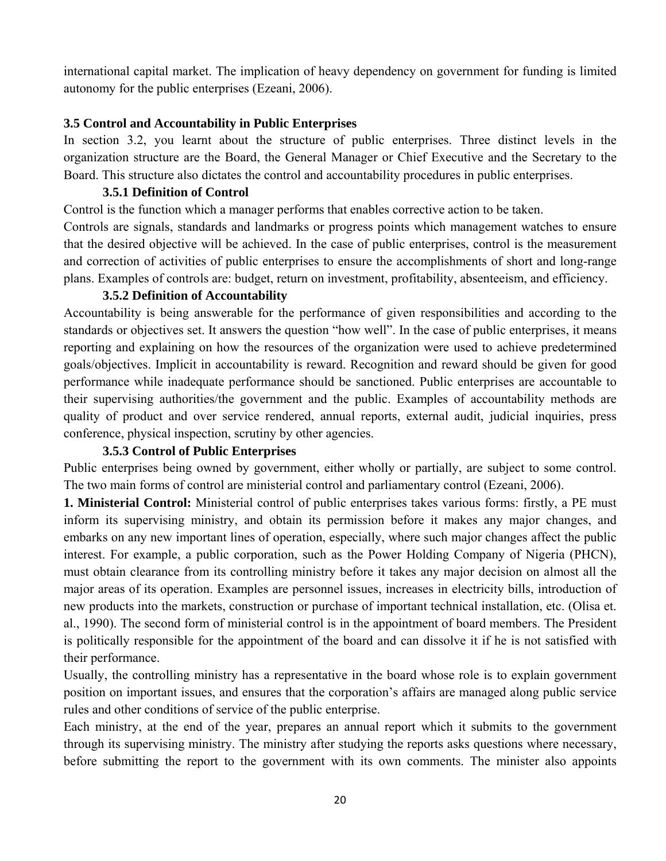international capital market. The implication of heavy dependency on government for funding is limited autonomy for the public enterprises (Ezeani, 2006).

#### **3.5 Control and Accountability in Public Enterprises**

In section 3.2, you learnt about the structure of public enterprises. Three distinct levels in the organization structure are the Board, the General Manager or Chief Executive and the Secretary to the Board. This structure also dictates the control and accountability procedures in public enterprises.

#### **3.5.1 Definition of Control**

Control is the function which a manager performs that enables corrective action to be taken.

Controls are signals, standards and landmarks or progress points which management watches to ensure that the desired objective will be achieved. In the case of public enterprises, control is the measurement and correction of activities of public enterprises to ensure the accomplishments of short and long-range plans. Examples of controls are: budget, return on investment, profitability, absenteeism, and efficiency.

#### **3.5.2 Definition of Accountability**

Accountability is being answerable for the performance of given responsibilities and according to the standards or objectives set. It answers the question "how well". In the case of public enterprises, it means reporting and explaining on how the resources of the organization were used to achieve predetermined goals/objectives. Implicit in accountability is reward. Recognition and reward should be given for good performance while inadequate performance should be sanctioned. Public enterprises are accountable to their supervising authorities/the government and the public. Examples of accountability methods are quality of product and over service rendered, annual reports, external audit, judicial inquiries, press conference, physical inspection, scrutiny by other agencies.

#### **3.5.3 Control of Public Enterprises**

Public enterprises being owned by government, either wholly or partially, are subject to some control. The two main forms of control are ministerial control and parliamentary control (Ezeani, 2006).

**1. Ministerial Control:** Ministerial control of public enterprises takes various forms: firstly, a PE must inform its supervising ministry, and obtain its permission before it makes any major changes, and embarks on any new important lines of operation, especially, where such major changes affect the public interest. For example, a public corporation, such as the Power Holding Company of Nigeria (PHCN), must obtain clearance from its controlling ministry before it takes any major decision on almost all the major areas of its operation. Examples are personnel issues, increases in electricity bills, introduction of new products into the markets, construction or purchase of important technical installation, etc. (Olisa et. al., 1990). The second form of ministerial control is in the appointment of board members. The President is politically responsible for the appointment of the board and can dissolve it if he is not satisfied with their performance.

Usually, the controlling ministry has a representative in the board whose role is to explain government position on important issues, and ensures that the corporation's affairs are managed along public service rules and other conditions of service of the public enterprise.

Each ministry, at the end of the year, prepares an annual report which it submits to the government through its supervising ministry. The ministry after studying the reports asks questions where necessary, before submitting the report to the government with its own comments. The minister also appoints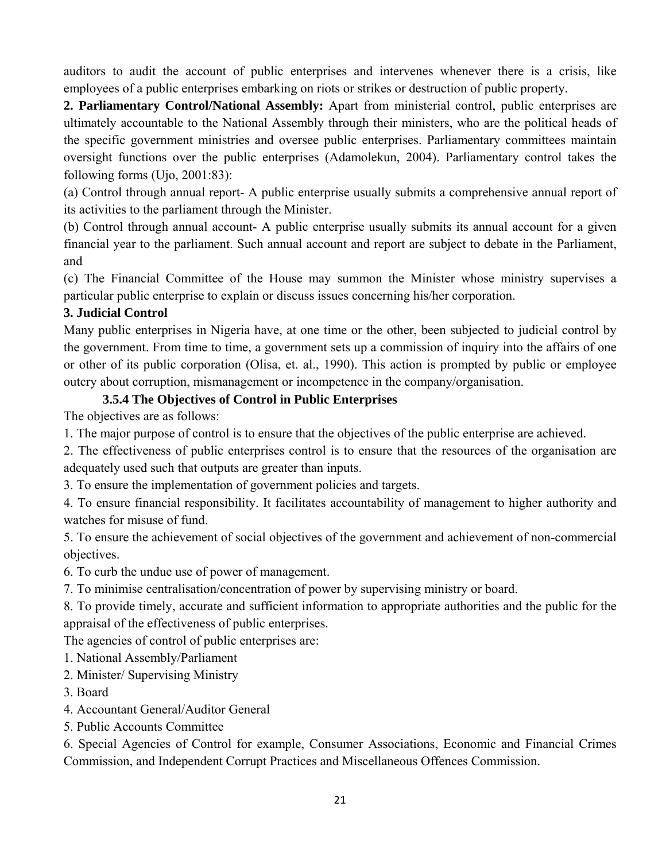auditors to audit the account of public enterprises and intervenes whenever there is a crisis, like employees of a public enterprises embarking on riots or strikes or destruction of public property.

**2. Parliamentary Control/National Assembly:** Apart from ministerial control, public enterprises are ultimately accountable to the National Assembly through their ministers, who are the political heads of the specific government ministries and oversee public enterprises. Parliamentary committees maintain oversight functions over the public enterprises (Adamolekun, 2004). Parliamentary control takes the following forms (Ujo, 2001:83):

(a) Control through annual report- A public enterprise usually submits a comprehensive annual report of its activities to the parliament through the Minister.

(b) Control through annual account- A public enterprise usually submits its annual account for a given financial year to the parliament. Such annual account and report are subject to debate in the Parliament, and

(c) The Financial Committee of the House may summon the Minister whose ministry supervises a particular public enterprise to explain or discuss issues concerning his/her corporation.

## **3. Judicial Control**

Many public enterprises in Nigeria have, at one time or the other, been subjected to judicial control by the government. From time to time, a government sets up a commission of inquiry into the affairs of one or other of its public corporation (Olisa, et. al., 1990). This action is prompted by public or employee outcry about corruption, mismanagement or incompetence in the company/organisation.

#### **3.5.4 The Objectives of Control in Public Enterprises**

The objectives are as follows:

1. The major purpose of control is to ensure that the objectives of the public enterprise are achieved.

2. The effectiveness of public enterprises control is to ensure that the resources of the organisation are adequately used such that outputs are greater than inputs.

3. To ensure the implementation of government policies and targets.

4. To ensure financial responsibility. It facilitates accountability of management to higher authority and watches for misuse of fund.

5. To ensure the achievement of social objectives of the government and achievement of non-commercial objectives.

6. To curb the undue use of power of management.

7. To minimise centralisation/concentration of power by supervising ministry or board.

8. To provide timely, accurate and sufficient information to appropriate authorities and the public for the appraisal of the effectiveness of public enterprises.

The agencies of control of public enterprises are:

1. National Assembly/Parliament

2. Minister/ Supervising Ministry

3. Board

- 4. Accountant General/Auditor General
- 5. Public Accounts Committee

6. Special Agencies of Control for example, Consumer Associations, Economic and Financial Crimes Commission, and Independent Corrupt Practices and Miscellaneous Offences Commission.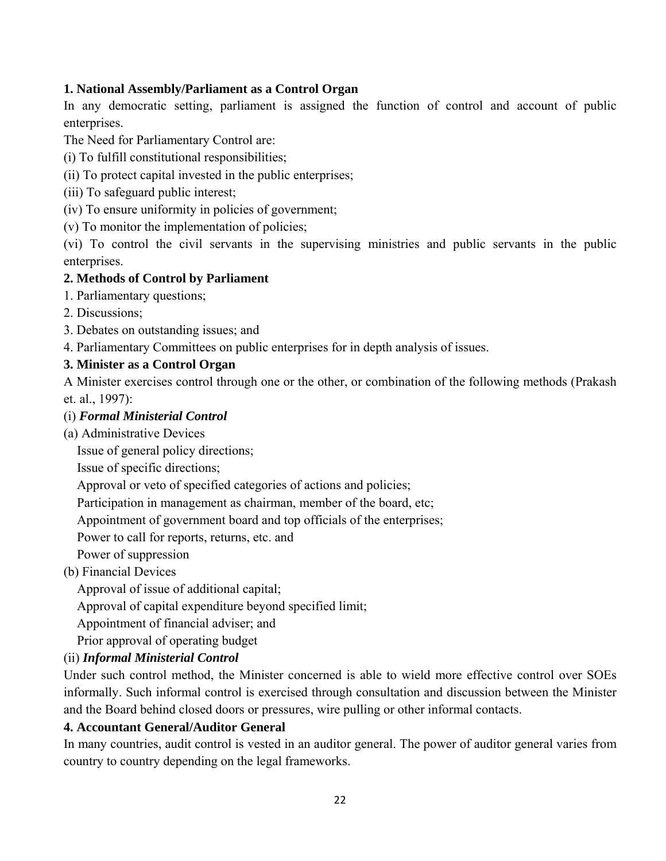## **1. National Assembly/Parliament as a Control Organ**

In any democratic setting, parliament is assigned the function of control and account of public enterprises.

The Need for Parliamentary Control are:

(i) To fulfill constitutional responsibilities;

(ii) To protect capital invested in the public enterprises;

(iii) To safeguard public interest;

(iv) To ensure uniformity in policies of government;

(v) To monitor the implementation of policies;

(vi) To control the civil servants in the supervising ministries and public servants in the public enterprises.

## **2. Methods of Control by Parliament**

1. Parliamentary questions;

2. Discussions;

3. Debates on outstanding issues; and

4. Parliamentary Committees on public enterprises for in depth analysis of issues.

## **3. Minister as a Control Organ**

A Minister exercises control through one or the other, or combination of the following methods (Prakash et. al., 1997):

## (i) *Formal Ministerial Control*

(a) Administrative Devices

Issue of general policy directions;

Issue of specific directions;

Approval or veto of specified categories of actions and policies;

Participation in management as chairman, member of the board, etc;

Appointment of government board and top officials of the enterprises;

Power to call for reports, returns, etc. and

Power of suppression

(b) Financial Devices

Approval of issue of additional capital;

Approval of capital expenditure beyond specified limit;

Appointment of financial adviser; and

Prior approval of operating budget

# (ii) *Informal Ministerial Control*

Under such control method, the Minister concerned is able to wield more effective control over SOEs informally. Such informal control is exercised through consultation and discussion between the Minister and the Board behind closed doors or pressures, wire pulling or other informal contacts.

## **4. Accountant General/Auditor General**

In many countries, audit control is vested in an auditor general. The power of auditor general varies from country to country depending on the legal frameworks.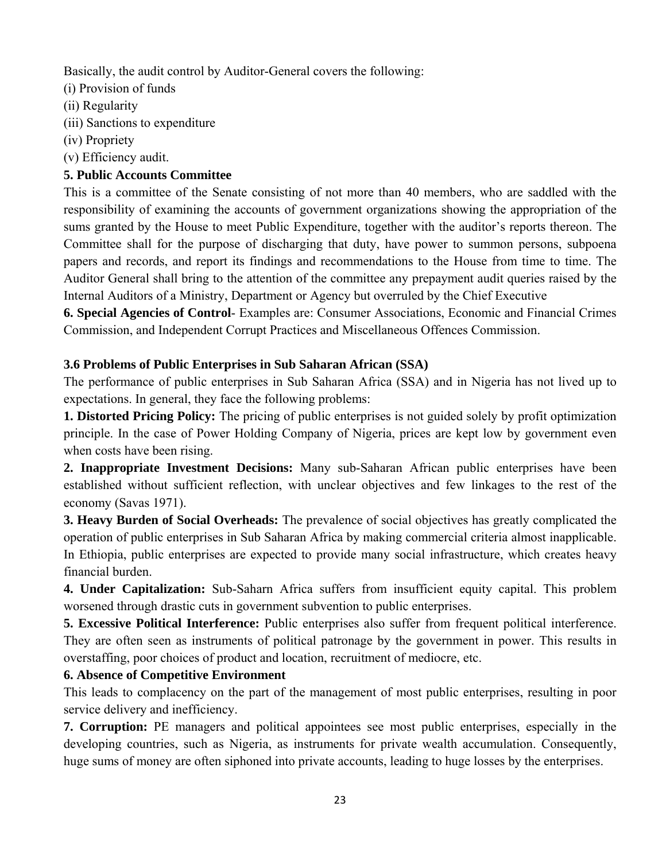Basically, the audit control by Auditor-General covers the following:

- (i) Provision of funds
- (ii) Regularity
- (iii) Sanctions to expenditure
- (iv) Propriety
- (v) Efficiency audit.

# **5. Public Accounts Committee**

This is a committee of the Senate consisting of not more than 40 members, who are saddled with the responsibility of examining the accounts of government organizations showing the appropriation of the sums granted by the House to meet Public Expenditure, together with the auditor's reports thereon. The Committee shall for the purpose of discharging that duty, have power to summon persons, subpoena papers and records, and report its findings and recommendations to the House from time to time. The Auditor General shall bring to the attention of the committee any prepayment audit queries raised by the Internal Auditors of a Ministry, Department or Agency but overruled by the Chief Executive

**6. Special Agencies of Control**- Examples are: Consumer Associations, Economic and Financial Crimes Commission, and Independent Corrupt Practices and Miscellaneous Offences Commission.

# **3.6 Problems of Public Enterprises in Sub Saharan African (SSA)**

The performance of public enterprises in Sub Saharan Africa (SSA) and in Nigeria has not lived up to expectations. In general, they face the following problems:

**1. Distorted Pricing Policy:** The pricing of public enterprises is not guided solely by profit optimization principle. In the case of Power Holding Company of Nigeria, prices are kept low by government even when costs have been rising.

**2. Inappropriate Investment Decisions:** Many sub-Saharan African public enterprises have been established without sufficient reflection, with unclear objectives and few linkages to the rest of the economy (Savas 1971).

**3. Heavy Burden of Social Overheads:** The prevalence of social objectives has greatly complicated the operation of public enterprises in Sub Saharan Africa by making commercial criteria almost inapplicable. In Ethiopia, public enterprises are expected to provide many social infrastructure, which creates heavy financial burden.

**4. Under Capitalization:** Sub-Saharn Africa suffers from insufficient equity capital. This problem worsened through drastic cuts in government subvention to public enterprises.

**5. Excessive Political Interference:** Public enterprises also suffer from frequent political interference. They are often seen as instruments of political patronage by the government in power. This results in overstaffing, poor choices of product and location, recruitment of mediocre, etc.

# **6. Absence of Competitive Environment**

This leads to complacency on the part of the management of most public enterprises, resulting in poor service delivery and inefficiency.

**7. Corruption:** PE managers and political appointees see most public enterprises, especially in the developing countries, such as Nigeria, as instruments for private wealth accumulation. Consequently, huge sums of money are often siphoned into private accounts, leading to huge losses by the enterprises.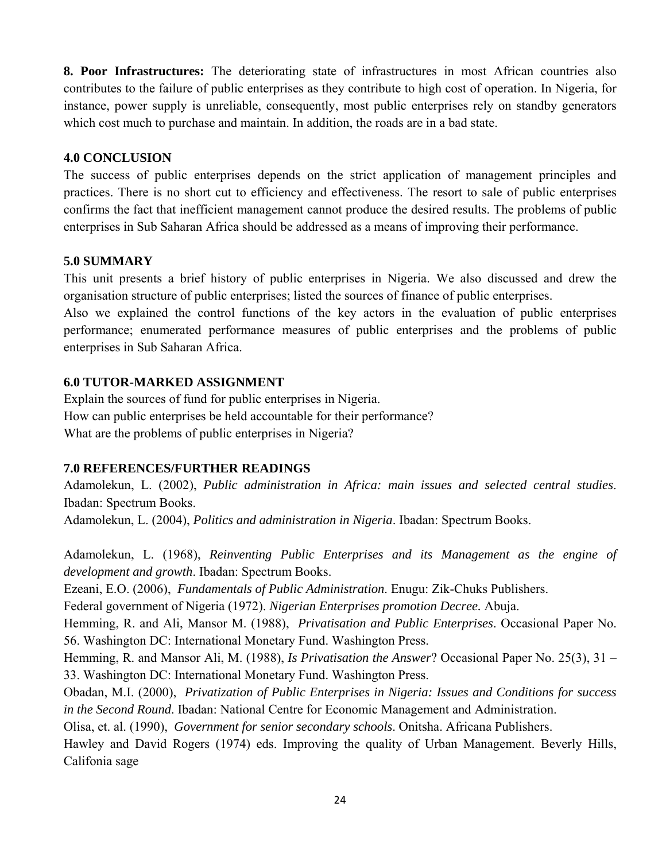**8. Poor Infrastructures:** The deteriorating state of infrastructures in most African countries also contributes to the failure of public enterprises as they contribute to high cost of operation. In Nigeria, for instance, power supply is unreliable, consequently, most public enterprises rely on standby generators which cost much to purchase and maintain. In addition, the roads are in a bad state.

#### **4.0 CONCLUSION**

The success of public enterprises depends on the strict application of management principles and practices. There is no short cut to efficiency and effectiveness. The resort to sale of public enterprises confirms the fact that inefficient management cannot produce the desired results. The problems of public enterprises in Sub Saharan Africa should be addressed as a means of improving their performance.

#### **5.0 SUMMARY**

This unit presents a brief history of public enterprises in Nigeria. We also discussed and drew the organisation structure of public enterprises; listed the sources of finance of public enterprises.

Also we explained the control functions of the key actors in the evaluation of public enterprises performance; enumerated performance measures of public enterprises and the problems of public enterprises in Sub Saharan Africa.

#### **6.0 TUTOR-MARKED ASSIGNMENT**

Explain the sources of fund for public enterprises in Nigeria. How can public enterprises be held accountable for their performance? What are the problems of public enterprises in Nigeria?

#### **7.0 REFERENCES/FURTHER READINGS**

Adamolekun, L. (2002), *Public administration in Africa: main issues and selected central studies*. Ibadan: Spectrum Books.

Adamolekun, L. (2004), *Politics and administration in Nigeria*. Ibadan: Spectrum Books.

Adamolekun, L. (1968), *Reinventing Public Enterprises and its Management as the engine of development and growth*. Ibadan: Spectrum Books.

Ezeani, E.O. (2006), *Fundamentals of Public Administration*. Enugu: Zik-Chuks Publishers.

Federal government of Nigeria (1972). *Nigerian Enterprises promotion Decree.* Abuja.

Hemming, R. and Ali, Mansor M. (1988), *Privatisation and Public Enterprises*. Occasional Paper No. 56. Washington DC: International Monetary Fund. Washington Press.

Hemming, R. and Mansor Ali, M. (1988), *Is Privatisation the Answer*? Occasional Paper No. 25(3), 31 – 33. Washington DC: International Monetary Fund. Washington Press.

Obadan, M.I. (2000), *Privatization of Public Enterprises in Nigeria: Issues and Conditions for success in the Second Round*. Ibadan: National Centre for Economic Management and Administration.

Olisa, et. al. (1990), *Government for senior secondary schools*. Onitsha. Africana Publishers.

Hawley and David Rogers (1974) eds. Improving the quality of Urban Management. Beverly Hills, Califonia sage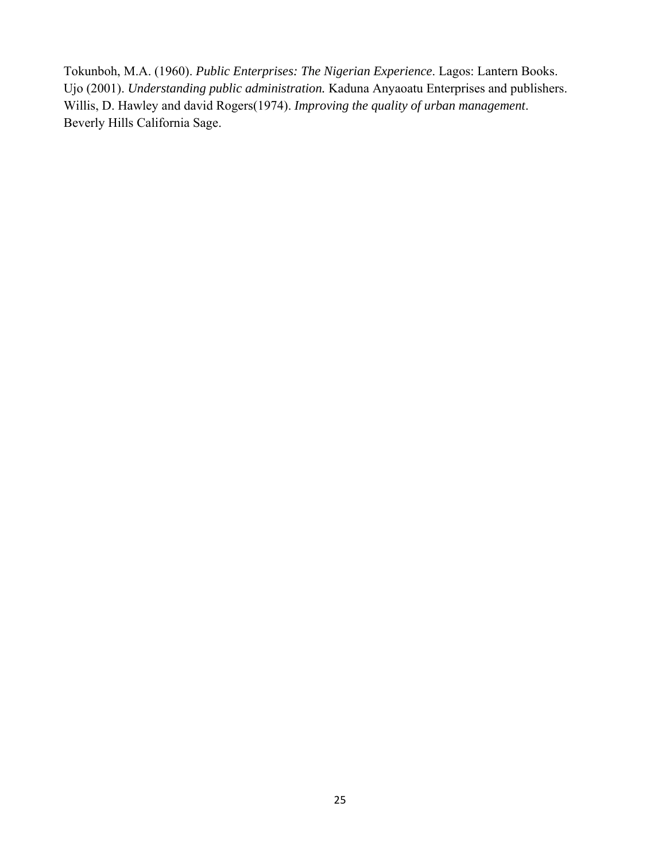Tokunboh, M.A. (1960). *Public Enterprises: The Nigerian Experience*. Lagos: Lantern Books. Ujo (2001). *Understanding public administration.* Kaduna Anyaoatu Enterprises and publishers. Willis, D. Hawley and david Rogers(1974). *Improving the quality of urban management*. Beverly Hills California Sage.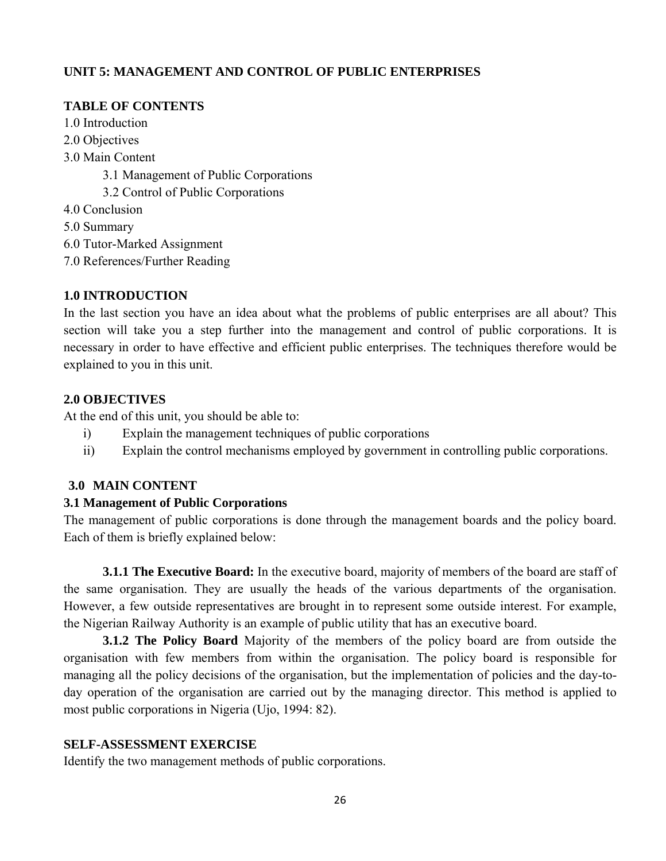# **UNIT 5: MANAGEMENT AND CONTROL OF PUBLIC ENTERPRISES**

## **TABLE OF CONTENTS**

- 1.0 Introduction
- 2.0 Objectives
- 3.0 Main Content
	- 3.1 Management of Public Corporations
	- 3.2 Control of Public Corporations
- 4.0 Conclusion
- 5.0 Summary
- 6.0 Tutor-Marked Assignment
- 7.0 References/Further Reading

## **1.0 INTRODUCTION**

In the last section you have an idea about what the problems of public enterprises are all about? This section will take you a step further into the management and control of public corporations. It is necessary in order to have effective and efficient public enterprises. The techniques therefore would be explained to you in this unit.

## **2.0 OBJECTIVES**

At the end of this unit, you should be able to:

- i) Explain the management techniques of public corporations
- ii) Explain the control mechanisms employed by government in controlling public corporations.

## **3.0 MAIN CONTENT**

## **3.1 Management of Public Corporations**

The management of public corporations is done through the management boards and the policy board. Each of them is briefly explained below:

**3.1.1 The Executive Board:** In the executive board, majority of members of the board are staff of the same organisation. They are usually the heads of the various departments of the organisation. However, a few outside representatives are brought in to represent some outside interest. For example, the Nigerian Railway Authority is an example of public utility that has an executive board.

**3.1.2 The Policy Board** Majority of the members of the policy board are from outside the organisation with few members from within the organisation. The policy board is responsible for managing all the policy decisions of the organisation, but the implementation of policies and the day-today operation of the organisation are carried out by the managing director. This method is applied to most public corporations in Nigeria (Ujo, 1994: 82).

## **SELF-ASSESSMENT EXERCISE**

Identify the two management methods of public corporations.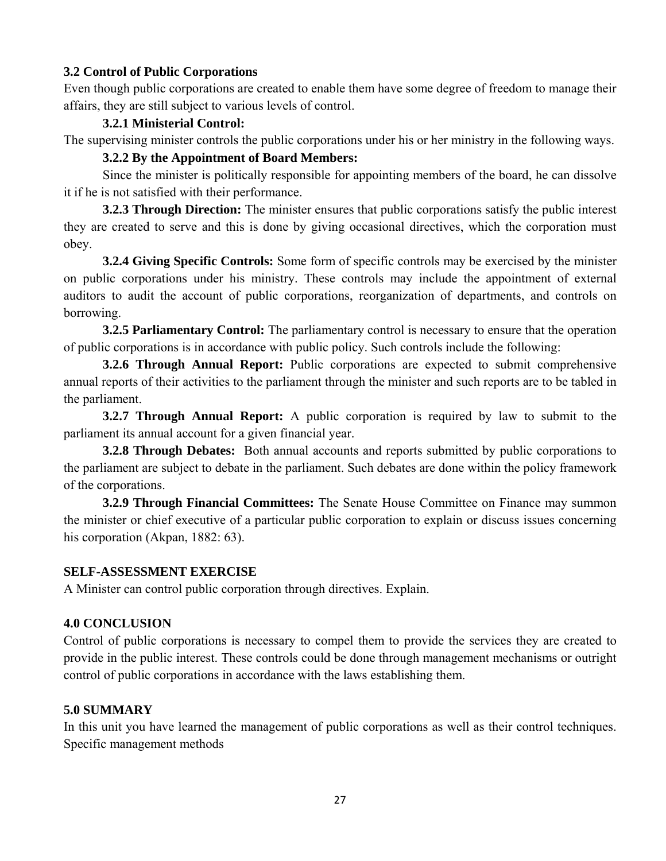## **3.2 Control of Public Corporations**

Even though public corporations are created to enable them have some degree of freedom to manage their affairs, they are still subject to various levels of control.

#### **3.2.1 Ministerial Control:**

The supervising minister controls the public corporations under his or her ministry in the following ways.

# **3.2.2 By the Appointment of Board Members:**

Since the minister is politically responsible for appointing members of the board, he can dissolve it if he is not satisfied with their performance.

**3.2.3 Through Direction:** The minister ensures that public corporations satisfy the public interest they are created to serve and this is done by giving occasional directives, which the corporation must obey.

**3.2.4 Giving Specific Controls:** Some form of specific controls may be exercised by the minister on public corporations under his ministry. These controls may include the appointment of external auditors to audit the account of public corporations, reorganization of departments, and controls on borrowing.

**3.2.5 Parliamentary Control:** The parliamentary control is necessary to ensure that the operation of public corporations is in accordance with public policy. Such controls include the following:

**3.2.6 Through Annual Report:** Public corporations are expected to submit comprehensive annual reports of their activities to the parliament through the minister and such reports are to be tabled in the parliament.

 **3.2.7 Through Annual Report:** A public corporation is required by law to submit to the parliament its annual account for a given financial year.

**3.2.8 Through Debates:** Both annual accounts and reports submitted by public corporations to the parliament are subject to debate in the parliament. Such debates are done within the policy framework of the corporations.

**3.2.9 Through Financial Committees:** The Senate House Committee on Finance may summon the minister or chief executive of a particular public corporation to explain or discuss issues concerning his corporation (Akpan, 1882: 63).

#### **SELF-ASSESSMENT EXERCISE**

A Minister can control public corporation through directives. Explain.

#### **4.0 CONCLUSION**

Control of public corporations is necessary to compel them to provide the services they are created to provide in the public interest. These controls could be done through management mechanisms or outright control of public corporations in accordance with the laws establishing them.

#### **5.0 SUMMARY**

In this unit you have learned the management of public corporations as well as their control techniques. Specific management methods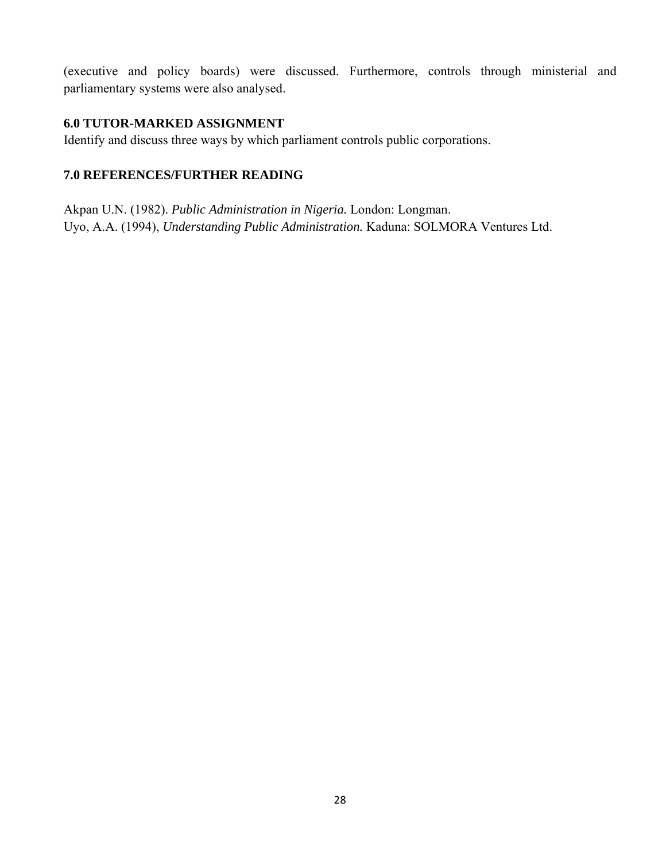(executive and policy boards) were discussed. Furthermore, controls through ministerial and parliamentary systems were also analysed.

## **6.0 TUTOR-MARKED ASSIGNMENT**

Identify and discuss three ways by which parliament controls public corporations.

# **7.0 REFERENCES/FURTHER READING**

Akpan U.N. (1982). *Public Administration in Nigeria.* London: Longman. Uyo, A.A. (1994), *Understanding Public Administration.* Kaduna: SOLMORA Ventures Ltd.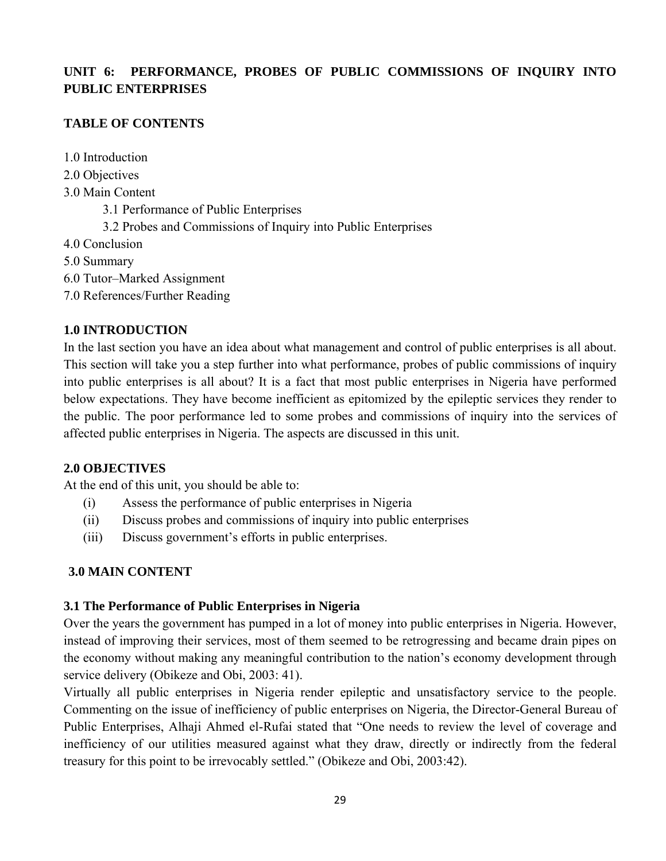# **UNIT 6: PERFORMANCE, PROBES OF PUBLIC COMMISSIONS OF INQUIRY INTO PUBLIC ENTERPRISES**

## **TABLE OF CONTENTS**

1.0 Introduction

- 2.0 Objectives
- 3.0 Main Content
	- 3.1 Performance of Public Enterprises
	- 3.2 Probes and Commissions of Inquiry into Public Enterprises
- 4.0 Conclusion
- 5.0 Summary
- 6.0 Tutor–Marked Assignment
- 7.0 References/Further Reading

## **1.0 INTRODUCTION**

In the last section you have an idea about what management and control of public enterprises is all about. This section will take you a step further into what performance, probes of public commissions of inquiry into public enterprises is all about? It is a fact that most public enterprises in Nigeria have performed below expectations. They have become inefficient as epitomized by the epileptic services they render to the public. The poor performance led to some probes and commissions of inquiry into the services of affected public enterprises in Nigeria. The aspects are discussed in this unit.

## **2.0 OBJECTIVES**

At the end of this unit, you should be able to:

- (i) Assess the performance of public enterprises in Nigeria
- (ii) Discuss probes and commissions of inquiry into public enterprises
- (iii) Discuss government's efforts in public enterprises.

# **3.0 MAIN CONTENT**

## **3.1 The Performance of Public Enterprises in Nigeria**

Over the years the government has pumped in a lot of money into public enterprises in Nigeria. However, instead of improving their services, most of them seemed to be retrogressing and became drain pipes on the economy without making any meaningful contribution to the nation's economy development through service delivery (Obikeze and Obi, 2003: 41).

Virtually all public enterprises in Nigeria render epileptic and unsatisfactory service to the people. Commenting on the issue of inefficiency of public enterprises on Nigeria, the Director-General Bureau of Public Enterprises, Alhaji Ahmed el-Rufai stated that "One needs to review the level of coverage and inefficiency of our utilities measured against what they draw, directly or indirectly from the federal treasury for this point to be irrevocably settled." (Obikeze and Obi, 2003:42).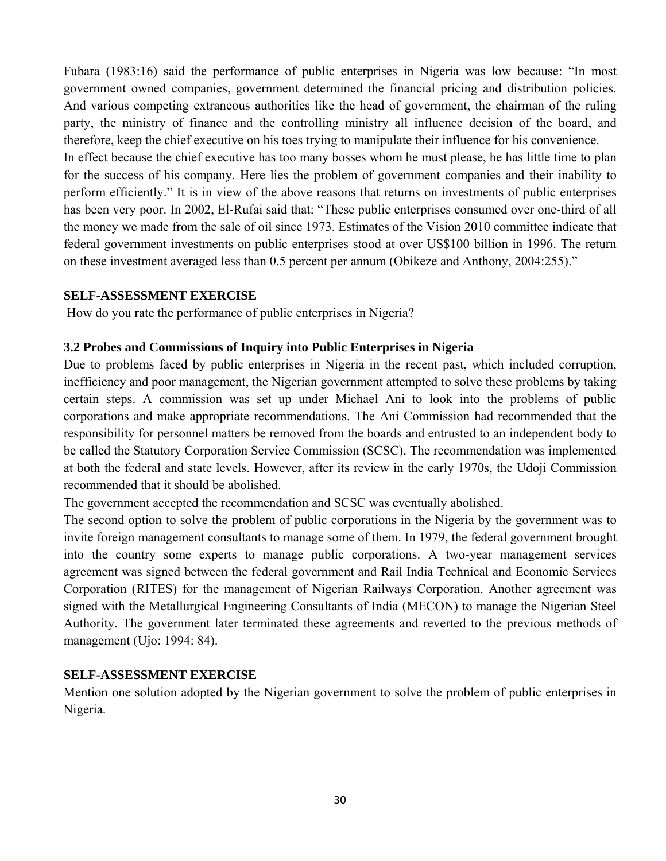Fubara (1983:16) said the performance of public enterprises in Nigeria was low because: "In most government owned companies, government determined the financial pricing and distribution policies. And various competing extraneous authorities like the head of government, the chairman of the ruling party, the ministry of finance and the controlling ministry all influence decision of the board, and therefore, keep the chief executive on his toes trying to manipulate their influence for his convenience. In effect because the chief executive has too many bosses whom he must please, he has little time to plan for the success of his company. Here lies the problem of government companies and their inability to perform efficiently." It is in view of the above reasons that returns on investments of public enterprises has been very poor. In 2002, El-Rufai said that: "These public enterprises consumed over one-third of all the money we made from the sale of oil since 1973. Estimates of the Vision 2010 committee indicate that

federal government investments on public enterprises stood at over US\$100 billion in 1996. The return on these investment averaged less than 0.5 percent per annum (Obikeze and Anthony, 2004:255)."

#### **SELF-ASSESSMENT EXERCISE**

How do you rate the performance of public enterprises in Nigeria?

#### **3.2 Probes and Commissions of Inquiry into Public Enterprises in Nigeria**

Due to problems faced by public enterprises in Nigeria in the recent past, which included corruption, inefficiency and poor management, the Nigerian government attempted to solve these problems by taking certain steps. A commission was set up under Michael Ani to look into the problems of public corporations and make appropriate recommendations. The Ani Commission had recommended that the responsibility for personnel matters be removed from the boards and entrusted to an independent body to be called the Statutory Corporation Service Commission (SCSC). The recommendation was implemented at both the federal and state levels. However, after its review in the early 1970s, the Udoji Commission recommended that it should be abolished.

The government accepted the recommendation and SCSC was eventually abolished.

The second option to solve the problem of public corporations in the Nigeria by the government was to invite foreign management consultants to manage some of them. In 1979, the federal government brought into the country some experts to manage public corporations. A two-year management services agreement was signed between the federal government and Rail India Technical and Economic Services Corporation (RITES) for the management of Nigerian Railways Corporation. Another agreement was signed with the Metallurgical Engineering Consultants of India (MECON) to manage the Nigerian Steel Authority. The government later terminated these agreements and reverted to the previous methods of management (Ujo: 1994: 84).

#### **SELF-ASSESSMENT EXERCISE**

Mention one solution adopted by the Nigerian government to solve the problem of public enterprises in Nigeria.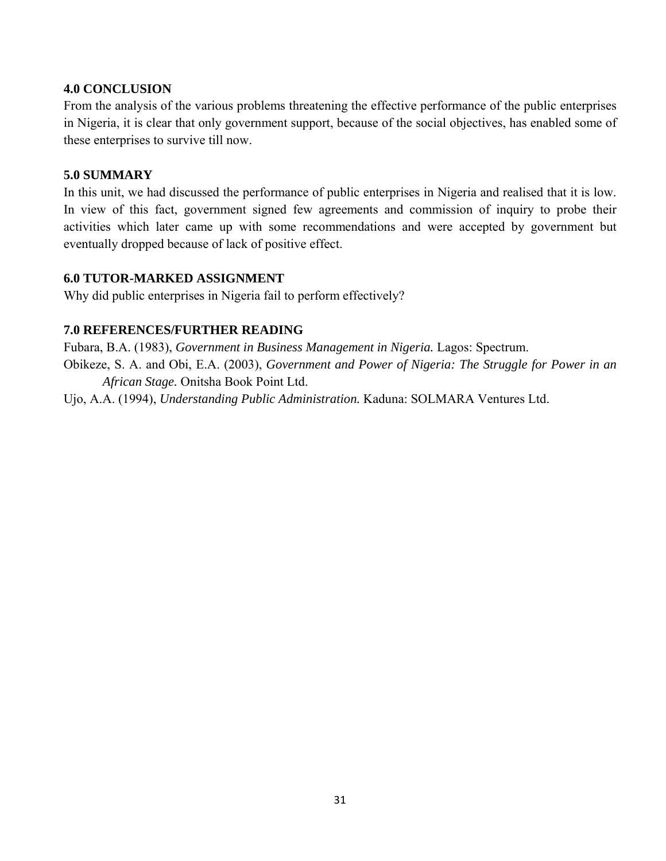#### **4.0 CONCLUSION**

From the analysis of the various problems threatening the effective performance of the public enterprises in Nigeria, it is clear that only government support, because of the social objectives, has enabled some of these enterprises to survive till now.

#### **5.0 SUMMARY**

In this unit, we had discussed the performance of public enterprises in Nigeria and realised that it is low. In view of this fact, government signed few agreements and commission of inquiry to probe their activities which later came up with some recommendations and were accepted by government but eventually dropped because of lack of positive effect.

#### **6.0 TUTOR-MARKED ASSIGNMENT**

Why did public enterprises in Nigeria fail to perform effectively?

#### **7.0 REFERENCES/FURTHER READING**

Fubara, B.A. (1983), *Government in Business Management in Nigeria.* Lagos: Spectrum. Obikeze, S. A. and Obi, E.A. (2003), *Government and Power of Nigeria: The Struggle for Power in an African Stage.* Onitsha Book Point Ltd.

Ujo, A.A. (1994), *Understanding Public Administration.* Kaduna: SOLMARA Ventures Ltd.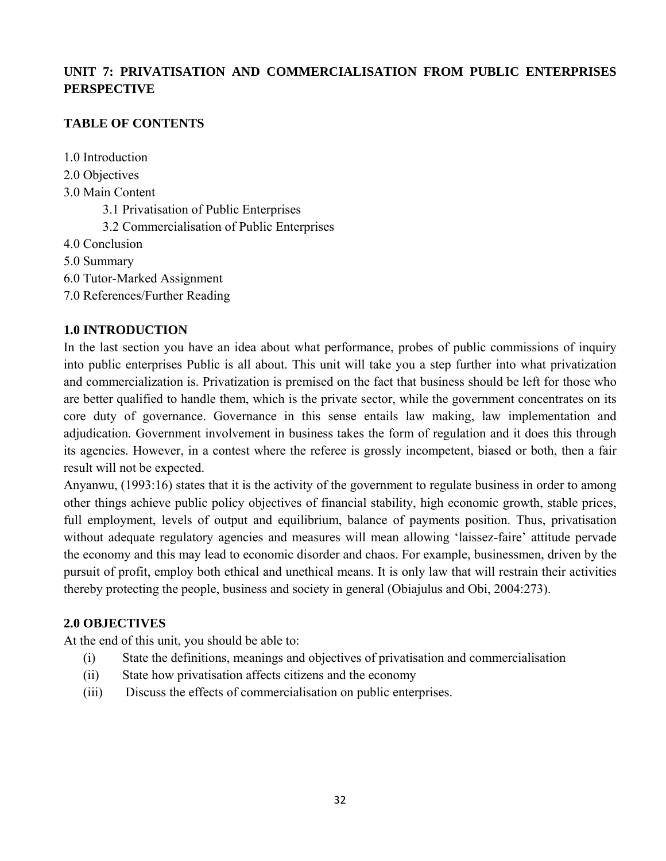# **UNIT 7: PRIVATISATION AND COMMERCIALISATION FROM PUBLIC ENTERPRISES PERSPECTIVE**

# **TABLE OF CONTENTS**

1.0 Introduction

- 2.0 Objectives
- 3.0 Main Content
	- 3.1 Privatisation of Public Enterprises
	- 3.2 Commercialisation of Public Enterprises
- 4.0 Conclusion
- 5.0 Summary
- 6.0 Tutor-Marked Assignment
- 7.0 References/Further Reading

# **1.0 INTRODUCTION**

In the last section you have an idea about what performance, probes of public commissions of inquiry into public enterprises Public is all about. This unit will take you a step further into what privatization and commercialization is. Privatization is premised on the fact that business should be left for those who are better qualified to handle them, which is the private sector, while the government concentrates on its core duty of governance. Governance in this sense entails law making, law implementation and adjudication. Government involvement in business takes the form of regulation and it does this through its agencies. However, in a contest where the referee is grossly incompetent, biased or both, then a fair result will not be expected.

Anyanwu, (1993:16) states that it is the activity of the government to regulate business in order to among other things achieve public policy objectives of financial stability, high economic growth, stable prices, full employment, levels of output and equilibrium, balance of payments position. Thus, privatisation without adequate regulatory agencies and measures will mean allowing 'laissez-faire' attitude pervade the economy and this may lead to economic disorder and chaos. For example, businessmen, driven by the pursuit of profit, employ both ethical and unethical means. It is only law that will restrain their activities thereby protecting the people, business and society in general (Obiajulus and Obi, 2004:273).

# **2.0 OBJECTIVES**

At the end of this unit, you should be able to:

- (i) State the definitions, meanings and objectives of privatisation and commercialisation
- (ii) State how privatisation affects citizens and the economy
- (iii) Discuss the effects of commercialisation on public enterprises.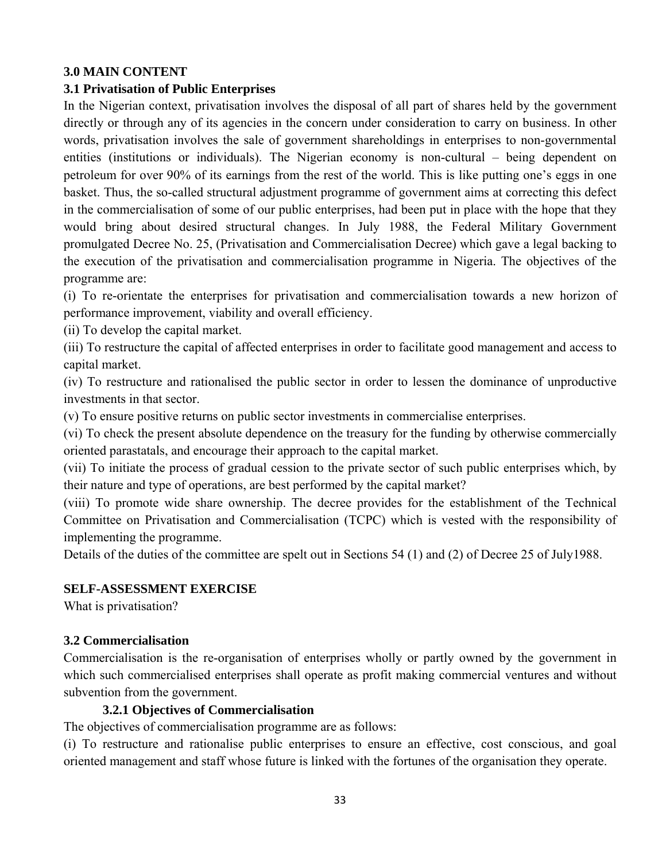## **3.0 MAIN CONTENT**

## **3.1 Privatisation of Public Enterprises**

In the Nigerian context, privatisation involves the disposal of all part of shares held by the government directly or through any of its agencies in the concern under consideration to carry on business. In other words, privatisation involves the sale of government shareholdings in enterprises to non-governmental entities (institutions or individuals). The Nigerian economy is non-cultural – being dependent on petroleum for over 90% of its earnings from the rest of the world. This is like putting one's eggs in one basket. Thus, the so-called structural adjustment programme of government aims at correcting this defect in the commercialisation of some of our public enterprises, had been put in place with the hope that they would bring about desired structural changes. In July 1988, the Federal Military Government promulgated Decree No. 25, (Privatisation and Commercialisation Decree) which gave a legal backing to the execution of the privatisation and commercialisation programme in Nigeria. The objectives of the programme are:

(i) To re-orientate the enterprises for privatisation and commercialisation towards a new horizon of performance improvement, viability and overall efficiency.

(ii) To develop the capital market.

(iii) To restructure the capital of affected enterprises in order to facilitate good management and access to capital market.

(iv) To restructure and rationalised the public sector in order to lessen the dominance of unproductive investments in that sector.

(v) To ensure positive returns on public sector investments in commercialise enterprises.

(vi) To check the present absolute dependence on the treasury for the funding by otherwise commercially oriented parastatals, and encourage their approach to the capital market.

(vii) To initiate the process of gradual cession to the private sector of such public enterprises which, by their nature and type of operations, are best performed by the capital market?

(viii) To promote wide share ownership. The decree provides for the establishment of the Technical Committee on Privatisation and Commercialisation (TCPC) which is vested with the responsibility of implementing the programme.

Details of the duties of the committee are spelt out in Sections 54 (1) and (2) of Decree 25 of July1988.

## **SELF-ASSESSMENT EXERCISE**

What is privatisation?

## **3.2 Commercialisation**

Commercialisation is the re-organisation of enterprises wholly or partly owned by the government in which such commercialised enterprises shall operate as profit making commercial ventures and without subvention from the government.

## **3.2.1 Objectives of Commercialisation**

The objectives of commercialisation programme are as follows:

(i) To restructure and rationalise public enterprises to ensure an effective, cost conscious, and goal oriented management and staff whose future is linked with the fortunes of the organisation they operate.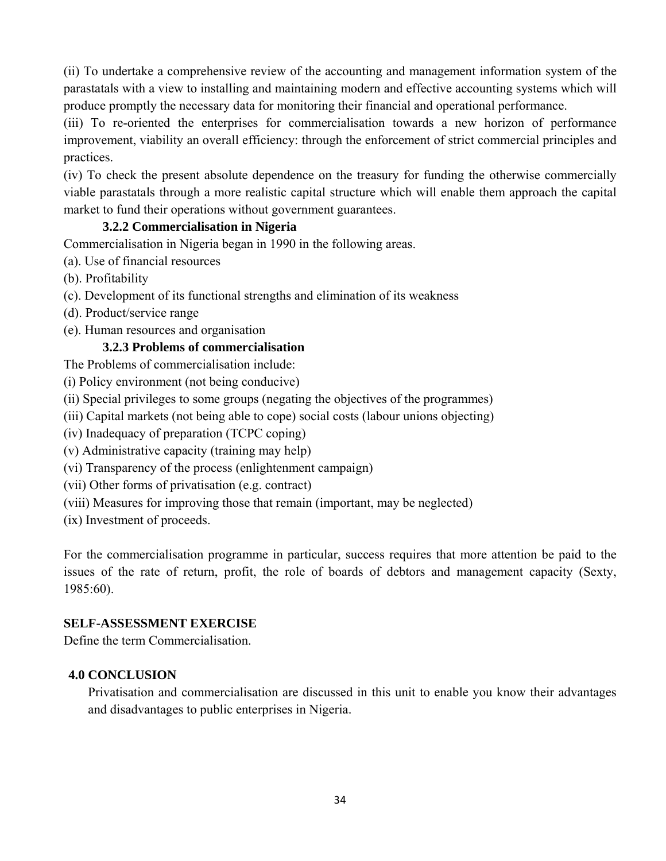(ii) To undertake a comprehensive review of the accounting and management information system of the parastatals with a view to installing and maintaining modern and effective accounting systems which will produce promptly the necessary data for monitoring their financial and operational performance.

(iii) To re-oriented the enterprises for commercialisation towards a new horizon of performance improvement, viability an overall efficiency: through the enforcement of strict commercial principles and practices.

(iv) To check the present absolute dependence on the treasury for funding the otherwise commercially viable parastatals through a more realistic capital structure which will enable them approach the capital market to fund their operations without government guarantees.

## **3.2.2 Commercialisation in Nigeria**

Commercialisation in Nigeria began in 1990 in the following areas.

- (a). Use of financial resources
- (b). Profitability
- (c). Development of its functional strengths and elimination of its weakness
- (d). Product/service range
- (e). Human resources and organisation

## **3.2.3 Problems of commercialisation**

The Problems of commercialisation include:

(i) Policy environment (not being conducive)

(ii) Special privileges to some groups (negating the objectives of the programmes)

(iii) Capital markets (not being able to cope) social costs (labour unions objecting)

(iv) Inadequacy of preparation (TCPC coping)

(v) Administrative capacity (training may help)

(vi) Transparency of the process (enlightenment campaign)

- (vii) Other forms of privatisation (e.g. contract)
- (viii) Measures for improving those that remain (important, may be neglected)

(ix) Investment of proceeds.

For the commercialisation programme in particular, success requires that more attention be paid to the issues of the rate of return, profit, the role of boards of debtors and management capacity (Sexty, 1985:60).

## **SELF-ASSESSMENT EXERCISE**

Define the term Commercialisation.

## **4.0 CONCLUSION**

Privatisation and commercialisation are discussed in this unit to enable you know their advantages and disadvantages to public enterprises in Nigeria.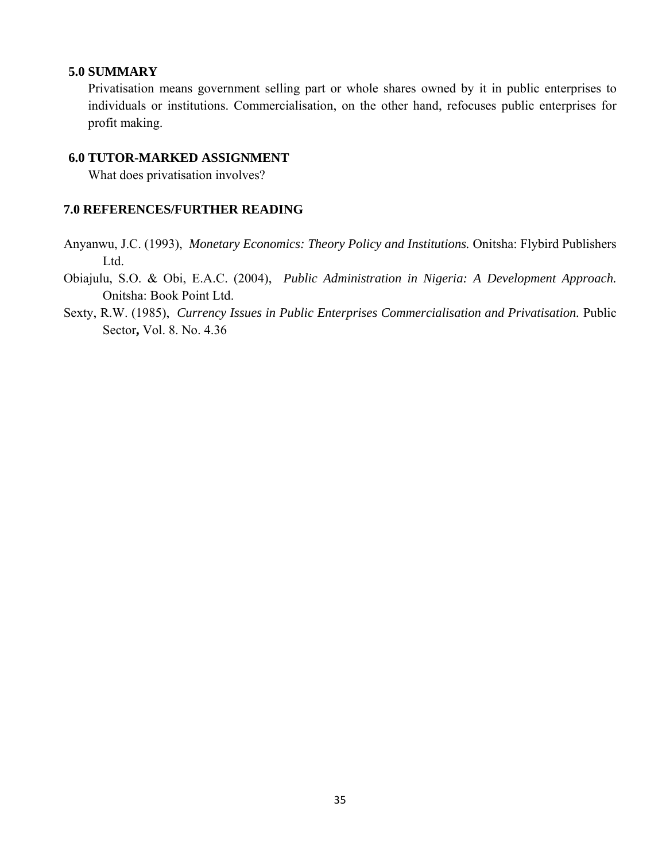#### **5.0 SUMMARY**

Privatisation means government selling part or whole shares owned by it in public enterprises to individuals or institutions. Commercialisation, on the other hand, refocuses public enterprises for profit making.

#### **6.0 TUTOR-MARKED ASSIGNMENT**

What does privatisation involves?

#### **7.0 REFERENCES/FURTHER READING**

- Anyanwu, J.C. (1993), *Monetary Economics: Theory Policy and Institutions.* Onitsha: Flybird Publishers Ltd.
- Obiajulu, S.O. & Obi, E.A.C. (2004), *Public Administration in Nigeria: A Development Approach.*  Onitsha: Book Point Ltd.
- Sexty, R.W. (1985), *Currency Issues in Public Enterprises Commercialisation and Privatisation*. Public Sector**,** Vol. 8. No. 4.36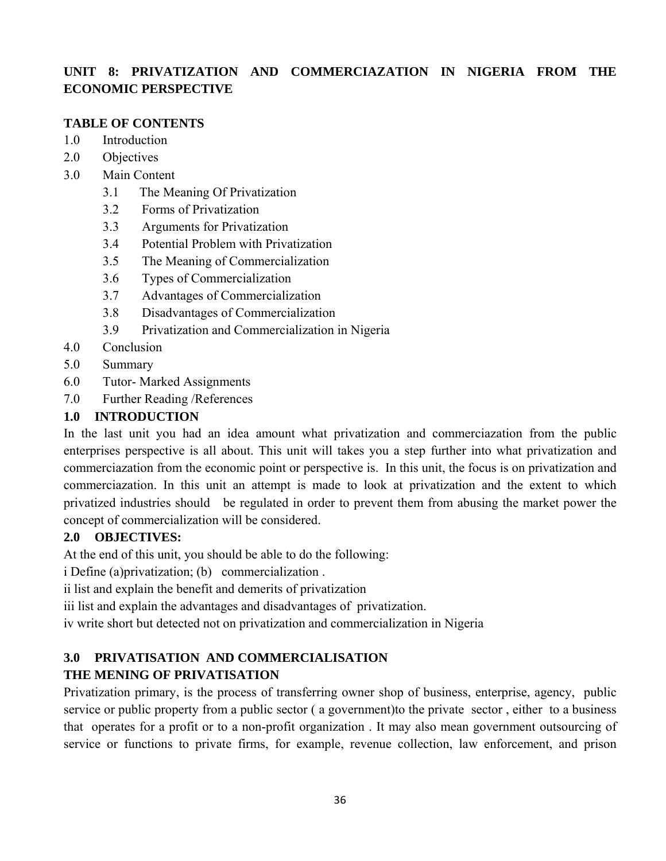# **UNIT 8: PRIVATIZATION AND COMMERCIAZATION IN NIGERIA FROM THE ECONOMIC PERSPECTIVE**

## **TABLE OF CONTENTS**

- 1.0 Introduction
- 2.0 Objectives
- 3.0 Main Content
	- 3.1 The Meaning Of Privatization
	- 3.2 Forms of Privatization
	- 3.3 Arguments for Privatization
	- 3.4 Potential Problem with Privatization
	- 3.5 The Meaning of Commercialization
	- 3.6 Types of Commercialization
	- 3.7 Advantages of Commercialization
	- 3.8 Disadvantages of Commercialization
	- 3.9 Privatization and Commercialization in Nigeria
- 4.0 Conclusion
- 5.0 Summary
- 6.0 Tutor- Marked Assignments
- 7.0 Further Reading /References

## **1.0 INTRODUCTION**

In the last unit you had an idea amount what privatization and commerciazation from the public enterprises perspective is all about. This unit will takes you a step further into what privatization and commerciazation from the economic point or perspective is. In this unit, the focus is on privatization and commerciazation. In this unit an attempt is made to look at privatization and the extent to which privatized industries should be regulated in order to prevent them from abusing the market power the concept of commercialization will be considered.

# **2.0 OBJECTIVES:**

At the end of this unit, you should be able to do the following:

i Define (a)privatization; (b) commercialization .

ii list and explain the benefit and demerits of privatization

iii list and explain the advantages and disadvantages of privatization.

iv write short but detected not on privatization and commercialization in Nigeria

# **3.0 PRIVATISATION AND COMMERCIALISATION**

# **THE MENING OF PRIVATISATION**

Privatization primary, is the process of transferring owner shop of business, enterprise, agency, public service or public property from a public sector ( a government)to the private sector , either to a business that operates for a profit or to a non-profit organization . It may also mean government outsourcing of service or functions to private firms, for example, revenue collection, law enforcement, and prison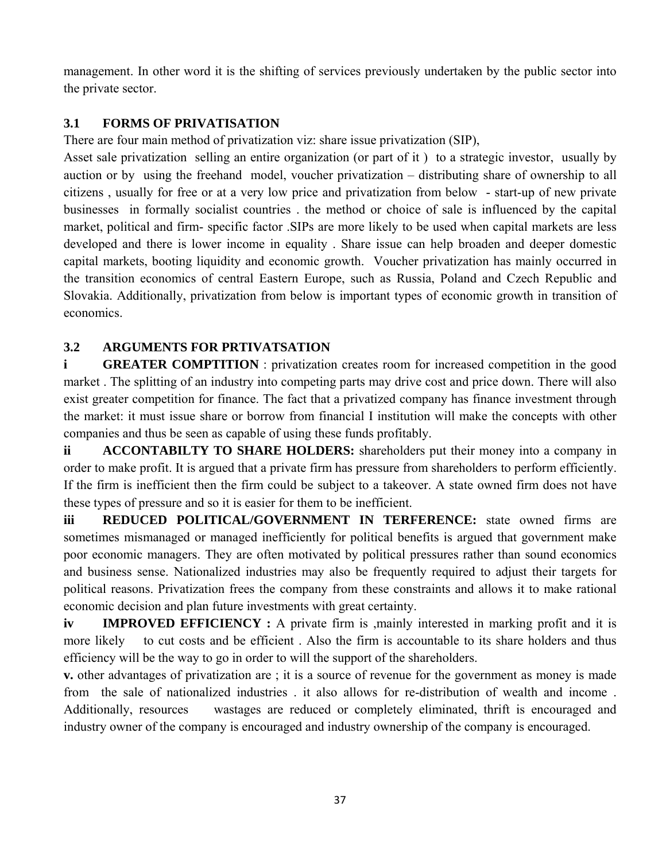management. In other word it is the shifting of services previously undertaken by the public sector into the private sector.

# **3.1 FORMS OF PRIVATISATION**

There are four main method of privatization viz: share issue privatization (SIP),

Asset sale privatization selling an entire organization (or part of it ) to a strategic investor, usually by auction or by using the freehand model, voucher privatization – distributing share of ownership to all citizens , usually for free or at a very low price and privatization from below - start-up of new private businesses in formally socialist countries . the method or choice of sale is influenced by the capital market, political and firm- specific factor .SIPs are more likely to be used when capital markets are less developed and there is lower income in equality . Share issue can help broaden and deeper domestic capital markets, booting liquidity and economic growth. Voucher privatization has mainly occurred in the transition economics of central Eastern Europe, such as Russia, Poland and Czech Republic and Slovakia. Additionally, privatization from below is important types of economic growth in transition of economics.

# **3.2 ARGUMENTS FOR PRTIVATSATION**

**i GREATER COMPTITION**: privatization creates room for increased competition in the good market . The splitting of an industry into competing parts may drive cost and price down. There will also exist greater competition for finance. The fact that a privatized company has finance investment through the market: it must issue share or borrow from financial I institution will make the concepts with other companies and thus be seen as capable of using these funds profitably.

**ii** ACCONTABILTY TO SHARE HOLDERS: shareholders put their money into a company in order to make profit. It is argued that a private firm has pressure from shareholders to perform efficiently. If the firm is inefficient then the firm could be subject to a takeover. A state owned firm does not have these types of pressure and so it is easier for them to be inefficient.

**iii REDUCED POLITICAL/GOVERNMENT IN TERFERENCE:** state owned firms are sometimes mismanaged or managed inefficiently for political benefits is argued that government make poor economic managers. They are often motivated by political pressures rather than sound economics and business sense. Nationalized industries may also be frequently required to adjust their targets for political reasons. Privatization frees the company from these constraints and allows it to make rational economic decision and plan future investments with great certainty.

**iv IMPROVED EFFICIENCY**: A private firm is ,mainly interested in marking profit and it is more likely to cut costs and be efficient. Also the firm is accountable to its share holders and thus efficiency will be the way to go in order to will the support of the shareholders.

**v.** other advantages of privatization are ; it is a source of revenue for the government as money is made from the sale of nationalized industries . it also allows for re-distribution of wealth and income . Additionally, resources wastages are reduced or completely eliminated, thrift is encouraged and industry owner of the company is encouraged and industry ownership of the company is encouraged.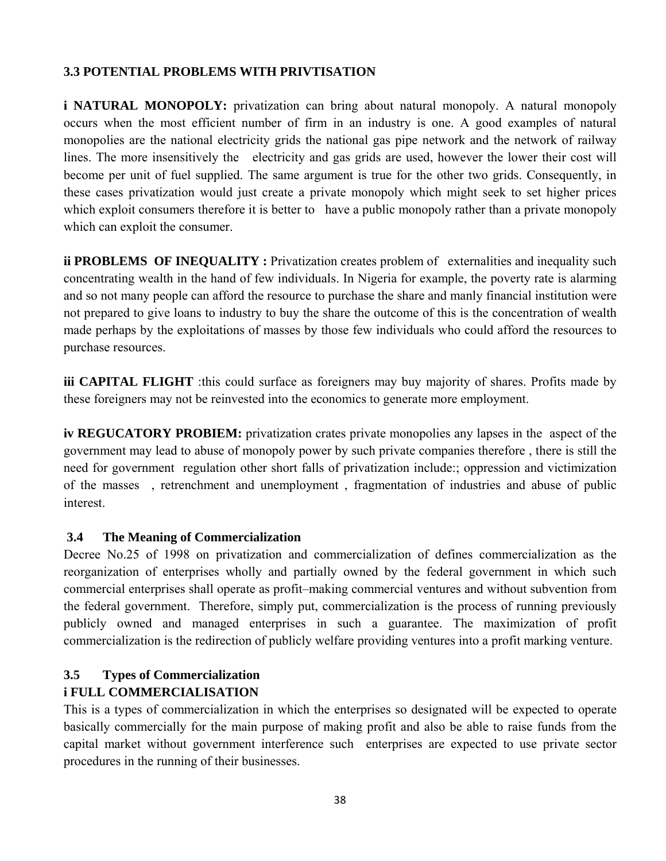## **3.3 POTENTIAL PROBLEMS WITH PRIVTISATION**

**i NATURAL MONOPOLY:** privatization can bring about natural monopoly. A natural monopoly occurs when the most efficient number of firm in an industry is one. A good examples of natural monopolies are the national electricity grids the national gas pipe network and the network of railway lines. The more insensitively the electricity and gas grids are used, however the lower their cost will become per unit of fuel supplied. The same argument is true for the other two grids. Consequently, in these cases privatization would just create a private monopoly which might seek to set higher prices which exploit consumers therefore it is better to have a public monopoly rather than a private monopoly which can exploit the consumer.

**ii PROBLEMS OF INEQUALITY:** Privatization creates problem of externalities and inequality such concentrating wealth in the hand of few individuals. In Nigeria for example, the poverty rate is alarming and so not many people can afford the resource to purchase the share and manly financial institution were not prepared to give loans to industry to buy the share the outcome of this is the concentration of wealth made perhaps by the exploitations of masses by those few individuals who could afford the resources to purchase resources.

**iii CAPITAL FLIGHT** :this could surface as foreigners may buy majority of shares. Profits made by these foreigners may not be reinvested into the economics to generate more employment.

**iv REGUCATORY PROBIEM:** privatization crates private monopolies any lapses in the aspect of the government may lead to abuse of monopoly power by such private companies therefore , there is still the need for government regulation other short falls of privatization include:; oppression and victimization of the masses , retrenchment and unemployment , fragmentation of industries and abuse of public interest.

### **3.4 The Meaning of Commercialization**

Decree No.25 of 1998 on privatization and commercialization of defines commercialization as the reorganization of enterprises wholly and partially owned by the federal government in which such commercial enterprises shall operate as profit–making commercial ventures and without subvention from the federal government. Therefore, simply put, commercialization is the process of running previously publicly owned and managed enterprises in such a guarantee. The maximization of profit commercialization is the redirection of publicly welfare providing ventures into a profit marking venture.

# **3.5 Types of Commercialization i FULL COMMERCIALISATION**

This is a types of commercialization in which the enterprises so designated will be expected to operate basically commercially for the main purpose of making profit and also be able to raise funds from the capital market without government interference such enterprises are expected to use private sector procedures in the running of their businesses.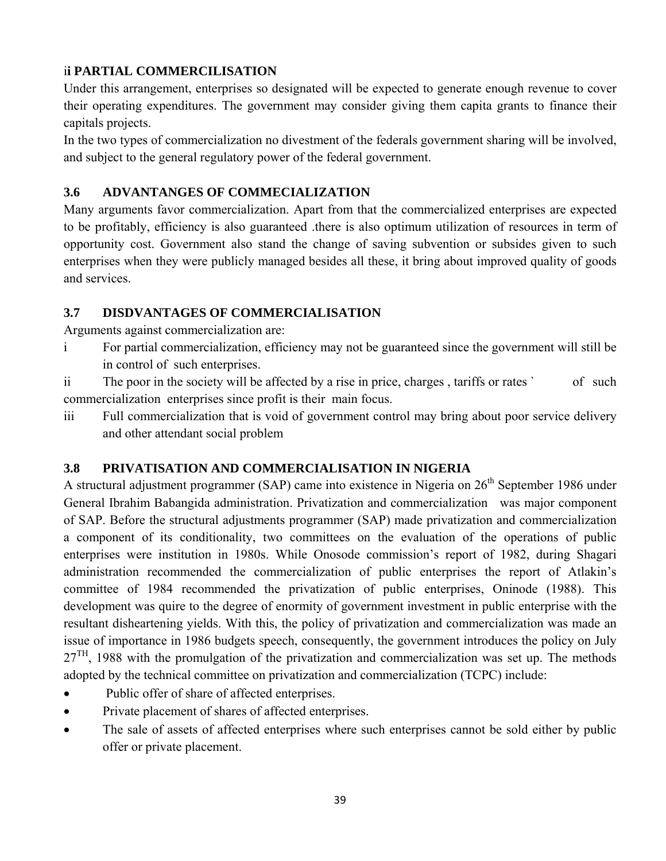# i**i PARTIAL COMMERCILISATION**

Under this arrangement, enterprises so designated will be expected to generate enough revenue to cover their operating expenditures. The government may consider giving them capita grants to finance their capitals projects.

In the two types of commercialization no divestment of the federals government sharing will be involved, and subject to the general regulatory power of the federal government.

# **3.6 ADVANTANGES OF COMMECIALIZATION**

Many arguments favor commercialization. Apart from that the commercialized enterprises are expected to be profitably, efficiency is also guaranteed .there is also optimum utilization of resources in term of opportunity cost. Government also stand the change of saving subvention or subsides given to such enterprises when they were publicly managed besides all these, it bring about improved quality of goods and services.

# **3.7 DISDVANTAGES OF COMMERCIALISATION**

Arguments against commercialization are:

i For partial commercialization, efficiency may not be guaranteed since the government will still be in control of such enterprises.

ii The poor in the society will be affected by a rise in price, charges, tariffs or rates ` of such commercialization enterprises since profit is their main focus.

iii Full commercialization that is void of government control may bring about poor service delivery and other attendant social problem

# **3.8 PRIVATISATION AND COMMERCIALISATION IN NIGERIA**

A structural adjustment programmer (SAP) came into existence in Nigeria on 26<sup>th</sup> September 1986 under General Ibrahim Babangida administration. Privatization and commercialization was major component of SAP. Before the structural adjustments programmer (SAP) made privatization and commercialization a component of its conditionality, two committees on the evaluation of the operations of public enterprises were institution in 1980s. While Onosode commission's report of 1982, during Shagari administration recommended the commercialization of public enterprises the report of Atlakin's committee of 1984 recommended the privatization of public enterprises, Oninode (1988). This development was quire to the degree of enormity of government investment in public enterprise with the resultant disheartening yields. With this, the policy of privatization and commercialization was made an issue of importance in 1986 budgets speech, consequently, the government introduces the policy on July  $27<sup>TH</sup>$ , 1988 with the promulgation of the privatization and commercialization was set up. The methods adopted by the technical committee on privatization and commercialization (TCPC) include:

- Public offer of share of affected enterprises.
- Private placement of shares of affected enterprises.
- The sale of assets of affected enterprises where such enterprises cannot be sold either by public offer or private placement.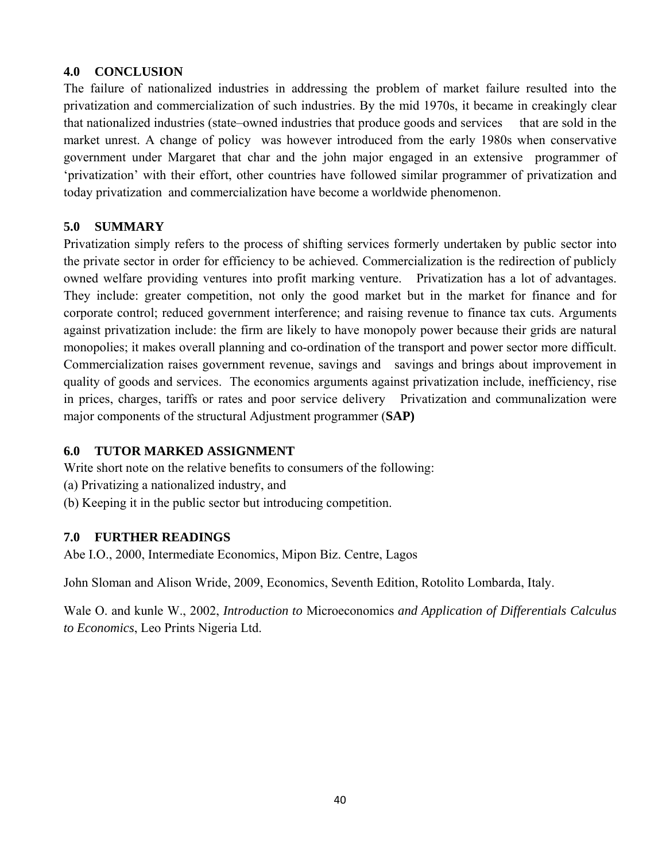## **4.0 CONCLUSION**

The failure of nationalized industries in addressing the problem of market failure resulted into the privatization and commercialization of such industries. By the mid 1970s, it became in creakingly clear that nationalized industries (state–owned industries that produce goods and services that are sold in the market unrest. A change of policy was however introduced from the early 1980s when conservative government under Margaret that char and the john major engaged in an extensive programmer of 'privatization' with their effort, other countries have followed similar programmer of privatization and today privatization and commercialization have become a worldwide phenomenon.

## **5.0 SUMMARY**

Privatization simply refers to the process of shifting services formerly undertaken by public sector into the private sector in order for efficiency to be achieved. Commercialization is the redirection of publicly owned welfare providing ventures into profit marking venture. Privatization has a lot of advantages. They include: greater competition, not only the good market but in the market for finance and for corporate control; reduced government interference; and raising revenue to finance tax cuts. Arguments against privatization include: the firm are likely to have monopoly power because their grids are natural monopolies; it makes overall planning and co-ordination of the transport and power sector more difficult. Commercialization raises government revenue, savings and savings and brings about improvement in quality of goods and services. The economics arguments against privatization include, inefficiency, rise in prices, charges, tariffs or rates and poor service delivery Privatization and communalization were major components of the structural Adjustment programmer (**SAP)** 

### **6.0 TUTOR MARKED ASSIGNMENT**

Write short note on the relative benefits to consumers of the following:

- (a) Privatizing a nationalized industry, and
- (b) Keeping it in the public sector but introducing competition.

### **7.0 FURTHER READINGS**

Abe I.O., 2000, Intermediate Economics, Mipon Biz. Centre, Lagos

John Sloman and Alison Wride, 2009, Economics, Seventh Edition, Rotolito Lombarda, Italy.

Wale O. and kunle W., 2002, *Introduction to* Microeconomics *and Application of Differentials Calculus to Economics*, Leo Prints Nigeria Ltd.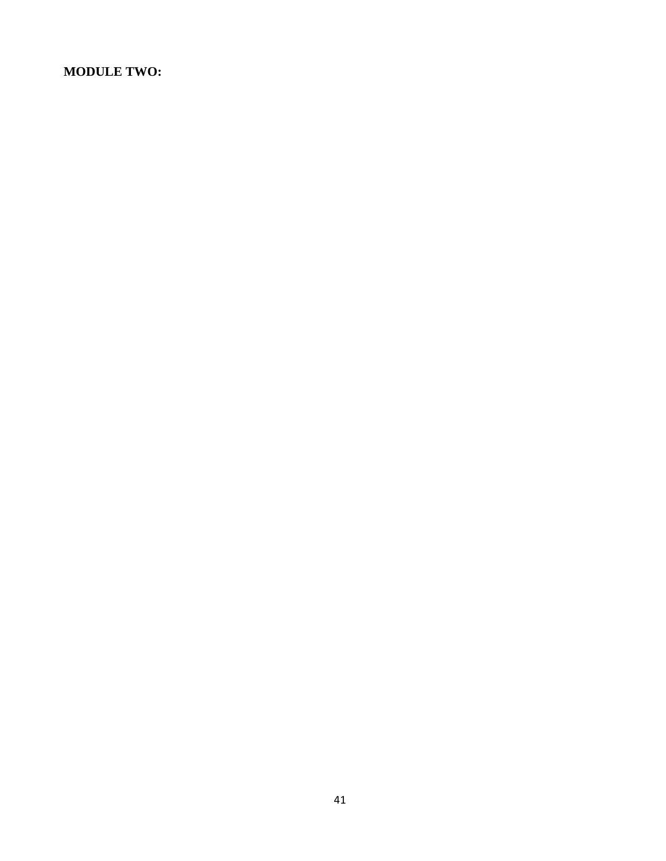## **MODULE TWO:**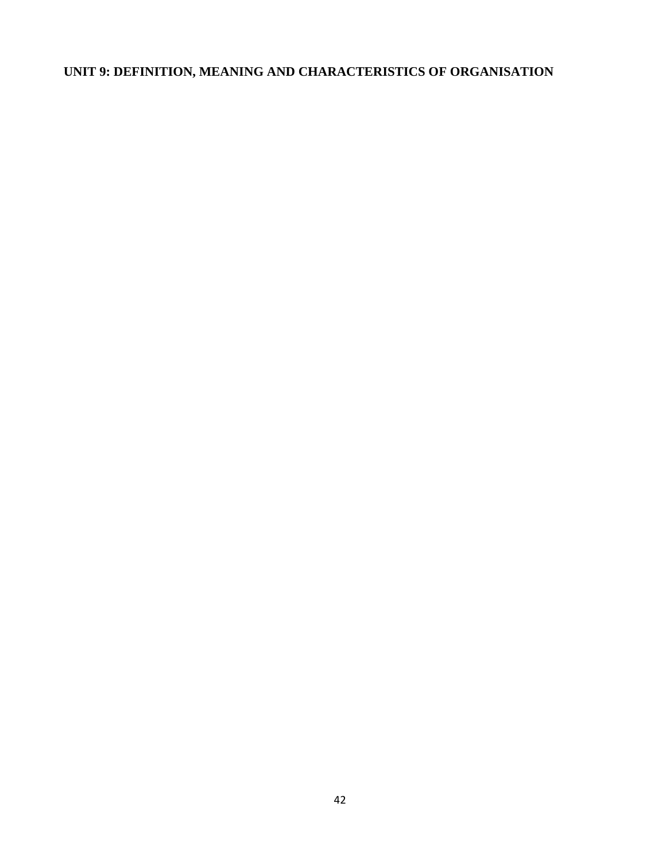# **UNIT 9: DEFINITION, MEANING AND CHARACTERISTICS OF ORGANISATION**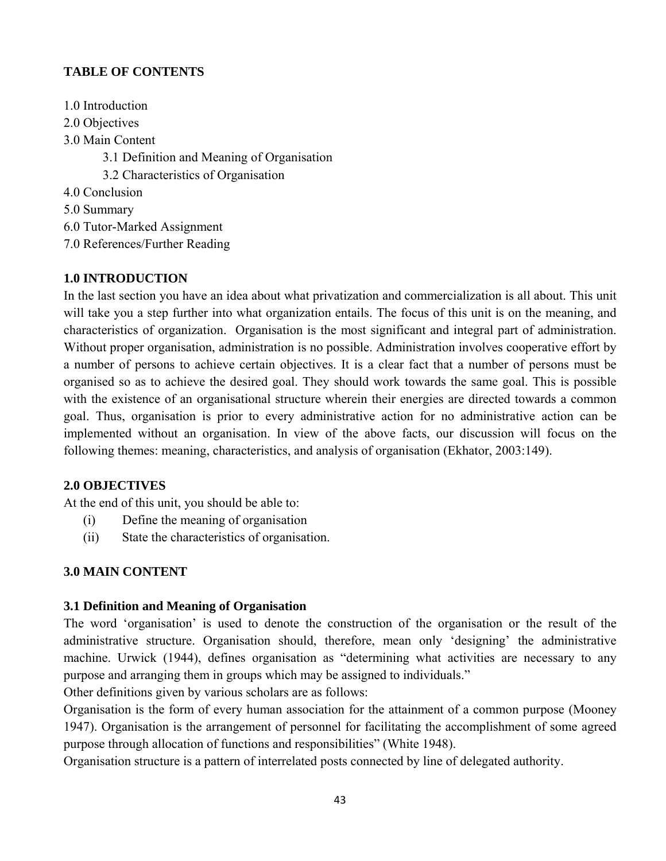# **TABLE OF CONTENTS**

- 1.0 Introduction
- 2.0 Objectives
- 3.0 Main Content
	- 3.1 Definition and Meaning of Organisation
	- 3.2 Characteristics of Organisation
- 4.0 Conclusion
- 5.0 Summary
- 6.0 Tutor-Marked Assignment
- 7.0 References/Further Reading

# **1.0 INTRODUCTION**

In the last section you have an idea about what privatization and commercialization is all about. This unit will take you a step further into what organization entails. The focus of this unit is on the meaning, and characteristics of organization. Organisation is the most significant and integral part of administration. Without proper organisation, administration is no possible. Administration involves cooperative effort by a number of persons to achieve certain objectives. It is a clear fact that a number of persons must be organised so as to achieve the desired goal. They should work towards the same goal. This is possible with the existence of an organisational structure wherein their energies are directed towards a common goal. Thus, organisation is prior to every administrative action for no administrative action can be implemented without an organisation. In view of the above facts, our discussion will focus on the following themes: meaning, characteristics, and analysis of organisation (Ekhator, 2003:149).

### **2.0 OBJECTIVES**

At the end of this unit, you should be able to:

- (i) Define the meaning of organisation
- (ii) State the characteristics of organisation.

# **3.0 MAIN CONTENT**

### **3.1 Definition and Meaning of Organisation**

The word 'organisation' is used to denote the construction of the organisation or the result of the administrative structure. Organisation should, therefore, mean only 'designing' the administrative machine. Urwick (1944), defines organisation as "determining what activities are necessary to any purpose and arranging them in groups which may be assigned to individuals."

Other definitions given by various scholars are as follows:

Organisation is the form of every human association for the attainment of a common purpose (Mooney 1947). Organisation is the arrangement of personnel for facilitating the accomplishment of some agreed purpose through allocation of functions and responsibilities" (White 1948).

Organisation structure is a pattern of interrelated posts connected by line of delegated authority.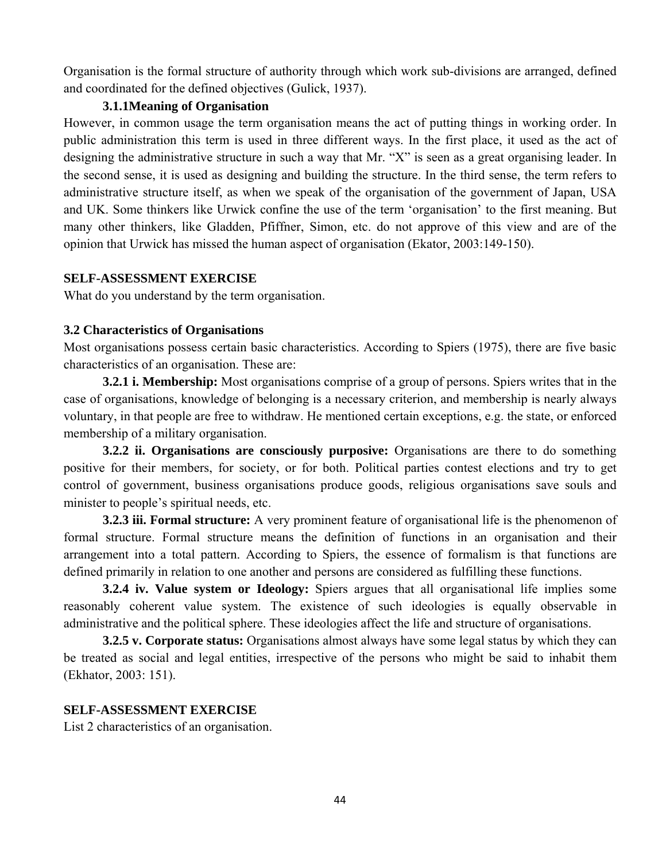Organisation is the formal structure of authority through which work sub-divisions are arranged, defined and coordinated for the defined objectives (Gulick, 1937).

#### **3.1.1Meaning of Organisation**

However, in common usage the term organisation means the act of putting things in working order. In public administration this term is used in three different ways. In the first place, it used as the act of designing the administrative structure in such a way that Mr. "X" is seen as a great organising leader. In the second sense, it is used as designing and building the structure. In the third sense, the term refers to administrative structure itself, as when we speak of the organisation of the government of Japan, USA and UK. Some thinkers like Urwick confine the use of the term 'organisation' to the first meaning. But many other thinkers, like Gladden, Pfiffner, Simon, etc. do not approve of this view and are of the opinion that Urwick has missed the human aspect of organisation (Ekator, 2003:149-150).

#### **SELF-ASSESSMENT EXERCISE**

What do you understand by the term organisation.

#### **3.2 Characteristics of Organisations**

Most organisations possess certain basic characteristics. According to Spiers (1975), there are five basic characteristics of an organisation. These are:

**3.2.1 i. Membership:** Most organisations comprise of a group of persons. Spiers writes that in the case of organisations, knowledge of belonging is a necessary criterion, and membership is nearly always voluntary, in that people are free to withdraw. He mentioned certain exceptions, e.g. the state, or enforced membership of a military organisation.

**3.2.2 ii. Organisations are consciously purposive:** Organisations are there to do something positive for their members, for society, or for both. Political parties contest elections and try to get control of government, business organisations produce goods, religious organisations save souls and minister to people's spiritual needs, etc.

**3.2.3 iii. Formal structure:** A very prominent feature of organisational life is the phenomenon of formal structure. Formal structure means the definition of functions in an organisation and their arrangement into a total pattern. According to Spiers, the essence of formalism is that functions are defined primarily in relation to one another and persons are considered as fulfilling these functions.

**3.2.4 iv. Value system or Ideology:** Spiers argues that all organisational life implies some reasonably coherent value system. The existence of such ideologies is equally observable in administrative and the political sphere. These ideologies affect the life and structure of organisations.

**3.2.5 v. Corporate status:** Organisations almost always have some legal status by which they can be treated as social and legal entities, irrespective of the persons who might be said to inhabit them (Ekhator, 2003: 151).

#### **SELF-ASSESSMENT EXERCISE**

List 2 characteristics of an organisation.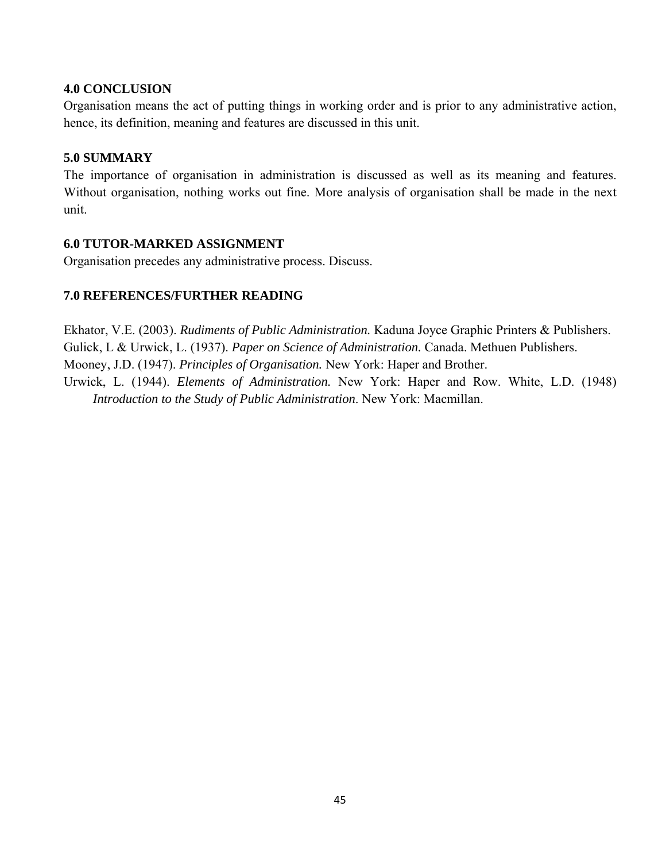#### **4.0 CONCLUSION**

Organisation means the act of putting things in working order and is prior to any administrative action, hence, its definition, meaning and features are discussed in this unit.

#### **5.0 SUMMARY**

The importance of organisation in administration is discussed as well as its meaning and features. Without organisation, nothing works out fine. More analysis of organisation shall be made in the next unit.

#### **6.0 TUTOR-MARKED ASSIGNMENT**

Organisation precedes any administrative process. Discuss.

#### **7.0 REFERENCES/FURTHER READING**

Ekhator, V.E. (2003). *Rudiments of Public Administration.* Kaduna Joyce Graphic Printers & Publishers. Gulick, L & Urwick, L. (1937). *Paper on Science of Administration.* Canada. Methuen Publishers. Mooney, J.D. (1947). *Principles of Organisation.* New York: Haper and Brother. Urwick, L. (1944). *Elements of Administration.* New York: Haper and Row. White, L.D. (1948)

*Introduction to the Study of Public Administration*. New York: Macmillan.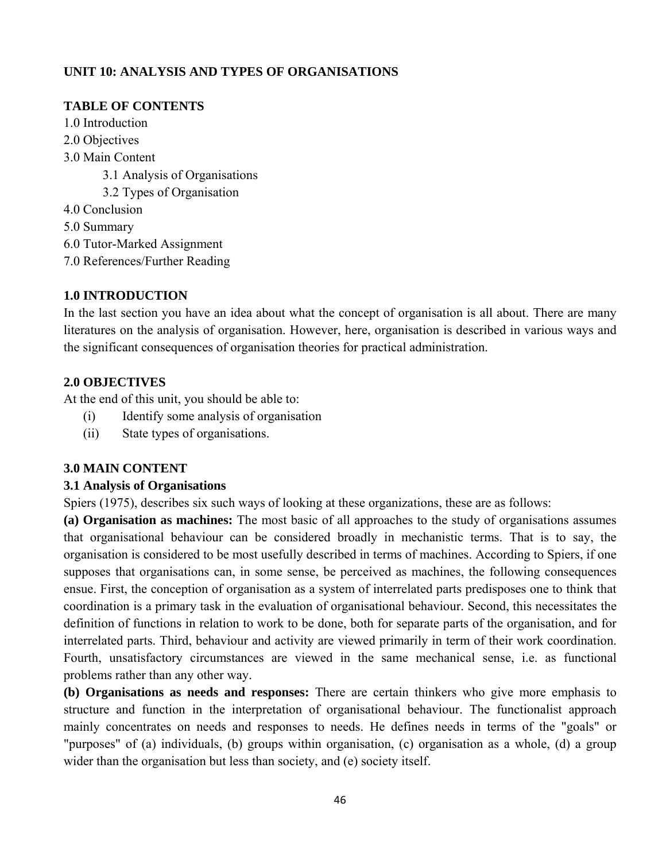## **UNIT 10: ANALYSIS AND TYPES OF ORGANISATIONS**

## **TABLE OF CONTENTS**

- 1.0 Introduction
- 2.0 Objectives
- 3.0 Main Content
	- 3.1 Analysis of Organisations
	- 3.2 Types of Organisation
- 4.0 Conclusion
- 5.0 Summary
- 6.0 Tutor-Marked Assignment
- 7.0 References/Further Reading

## **1.0 INTRODUCTION**

In the last section you have an idea about what the concept of organisation is all about. There are many literatures on the analysis of organisation. However, here, organisation is described in various ways and the significant consequences of organisation theories for practical administration.

## **2.0 OBJECTIVES**

At the end of this unit, you should be able to:

- (i) Identify some analysis of organisation
- (ii) State types of organisations.

### **3.0 MAIN CONTENT**

### **3.1 Analysis of Organisations**

Spiers (1975), describes six such ways of looking at these organizations, these are as follows:

**(a) Organisation as machines:** The most basic of all approaches to the study of organisations assumes that organisational behaviour can be considered broadly in mechanistic terms. That is to say, the organisation is considered to be most usefully described in terms of machines. According to Spiers, if one supposes that organisations can, in some sense, be perceived as machines, the following consequences ensue. First, the conception of organisation as a system of interrelated parts predisposes one to think that coordination is a primary task in the evaluation of organisational behaviour. Second, this necessitates the definition of functions in relation to work to be done, both for separate parts of the organisation, and for interrelated parts. Third, behaviour and activity are viewed primarily in term of their work coordination. Fourth, unsatisfactory circumstances are viewed in the same mechanical sense, i.e. as functional problems rather than any other way.

**(b) Organisations as needs and responses:** There are certain thinkers who give more emphasis to structure and function in the interpretation of organisational behaviour. The functionalist approach mainly concentrates on needs and responses to needs. He defines needs in terms of the "goals" or "purposes" of (a) individuals, (b) groups within organisation, (c) organisation as a whole, (d) a group wider than the organisation but less than society, and (e) society itself.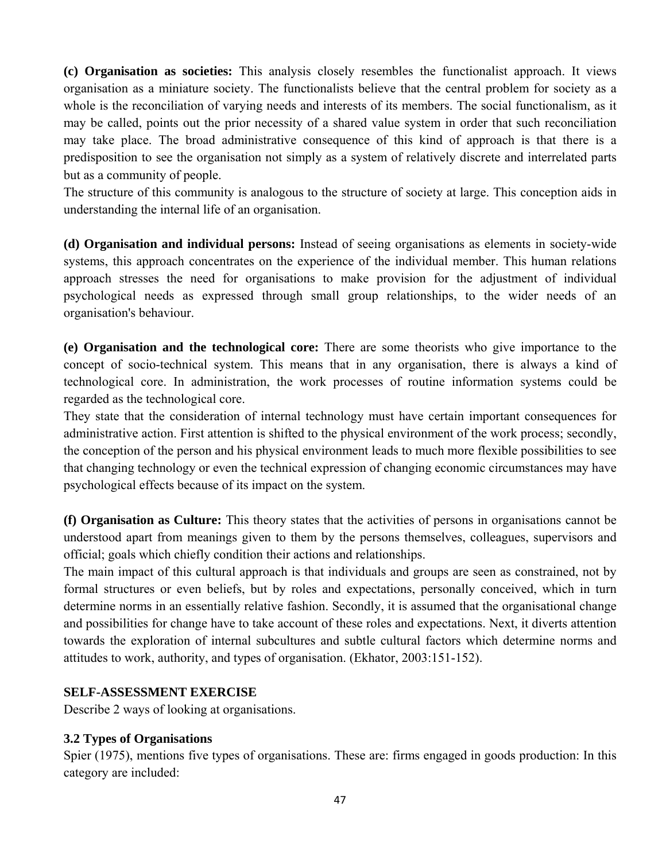**(c) Organisation as societies:** This analysis closely resembles the functionalist approach. It views organisation as a miniature society. The functionalists believe that the central problem for society as a whole is the reconciliation of varying needs and interests of its members. The social functionalism, as it may be called, points out the prior necessity of a shared value system in order that such reconciliation may take place. The broad administrative consequence of this kind of approach is that there is a predisposition to see the organisation not simply as a system of relatively discrete and interrelated parts but as a community of people.

The structure of this community is analogous to the structure of society at large. This conception aids in understanding the internal life of an organisation.

**(d) Organisation and individual persons:** Instead of seeing organisations as elements in society-wide systems, this approach concentrates on the experience of the individual member. This human relations approach stresses the need for organisations to make provision for the adjustment of individual psychological needs as expressed through small group relationships, to the wider needs of an organisation's behaviour.

**(e) Organisation and the technological core:** There are some theorists who give importance to the concept of socio-technical system. This means that in any organisation, there is always a kind of technological core. In administration, the work processes of routine information systems could be regarded as the technological core.

They state that the consideration of internal technology must have certain important consequences for administrative action. First attention is shifted to the physical environment of the work process; secondly, the conception of the person and his physical environment leads to much more flexible possibilities to see that changing technology or even the technical expression of changing economic circumstances may have psychological effects because of its impact on the system.

**(f) Organisation as Culture:** This theory states that the activities of persons in organisations cannot be understood apart from meanings given to them by the persons themselves, colleagues, supervisors and official; goals which chiefly condition their actions and relationships.

The main impact of this cultural approach is that individuals and groups are seen as constrained, not by formal structures or even beliefs, but by roles and expectations, personally conceived, which in turn determine norms in an essentially relative fashion. Secondly, it is assumed that the organisational change and possibilities for change have to take account of these roles and expectations. Next, it diverts attention towards the exploration of internal subcultures and subtle cultural factors which determine norms and attitudes to work, authority, and types of organisation. (Ekhator, 2003:151-152).

#### **SELF-ASSESSMENT EXERCISE**

Describe 2 ways of looking at organisations.

### **3.2 Types of Organisations**

Spier (1975), mentions five types of organisations. These are: firms engaged in goods production: In this category are included: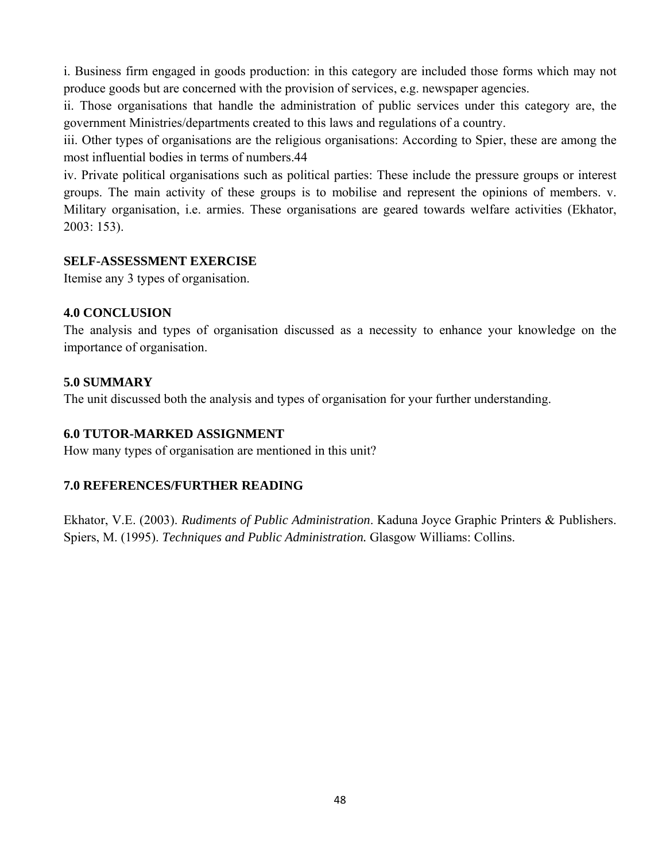i. Business firm engaged in goods production: in this category are included those forms which may not produce goods but are concerned with the provision of services, e.g. newspaper agencies.

ii. Those organisations that handle the administration of public services under this category are, the government Ministries/departments created to this laws and regulations of a country.

iii. Other types of organisations are the religious organisations: According to Spier, these are among the most influential bodies in terms of numbers.44

iv. Private political organisations such as political parties: These include the pressure groups or interest groups. The main activity of these groups is to mobilise and represent the opinions of members. v. Military organisation, i.e. armies. These organisations are geared towards welfare activities (Ekhator, 2003: 153).

#### **SELF-ASSESSMENT EXERCISE**

Itemise any 3 types of organisation.

### **4.0 CONCLUSION**

The analysis and types of organisation discussed as a necessity to enhance your knowledge on the importance of organisation.

#### **5.0 SUMMARY**

The unit discussed both the analysis and types of organisation for your further understanding.

## **6.0 TUTOR-MARKED ASSIGNMENT**

How many types of organisation are mentioned in this unit?

### **7.0 REFERENCES/FURTHER READING**

Ekhator, V.E. (2003). *Rudiments of Public Administration*. Kaduna Joyce Graphic Printers & Publishers. Spiers, M. (1995). *Techniques and Public Administration.* Glasgow Williams: Collins.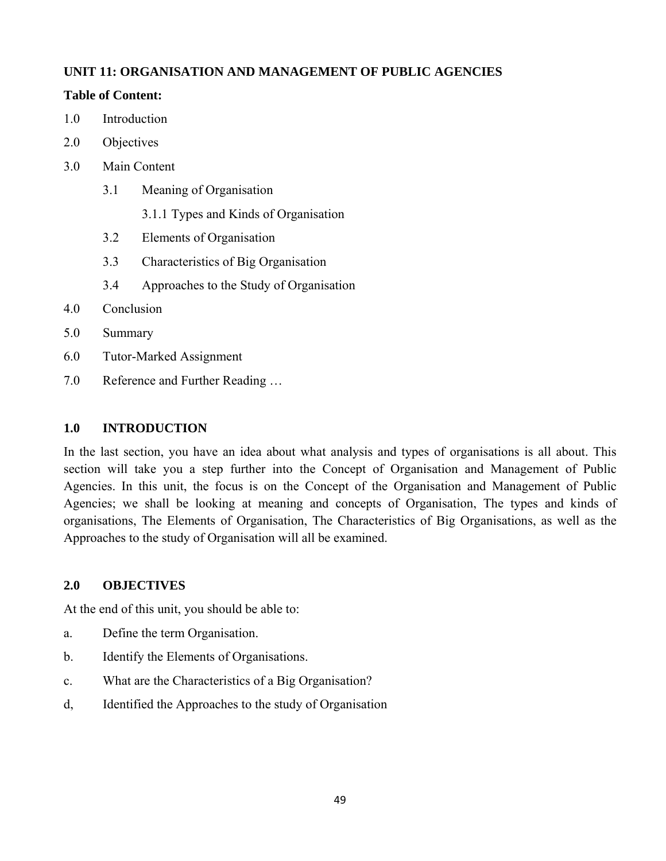## **UNIT 11: ORGANISATION AND MANAGEMENT OF PUBLIC AGENCIES**

### **Table of Content:**

- 1.0 Introduction
- 2.0 Objectives
- 3.0 Main Content
	- 3.1 Meaning of Organisation
		- 3.1.1 Types and Kinds of Organisation
	- 3.2 Elements of Organisation
	- 3.3 Characteristics of Big Organisation
	- 3.4 Approaches to the Study of Organisation
- 4.0 Conclusion
- 5.0 Summary
- 6.0 Tutor-Marked Assignment
- 7.0 Reference and Further Reading …

#### **1.0 INTRODUCTION**

In the last section, you have an idea about what analysis and types of organisations is all about. This section will take you a step further into the Concept of Organisation and Management of Public Agencies. In this unit, the focus is on the Concept of the Organisation and Management of Public Agencies; we shall be looking at meaning and concepts of Organisation, The types and kinds of organisations, The Elements of Organisation, The Characteristics of Big Organisations, as well as the Approaches to the study of Organisation will all be examined.

### **2.0 OBJECTIVES**

At the end of this unit, you should be able to:

- a. Define the term Organisation.
- b. Identify the Elements of Organisations.
- c. What are the Characteristics of a Big Organisation?
- d, Identified the Approaches to the study of Organisation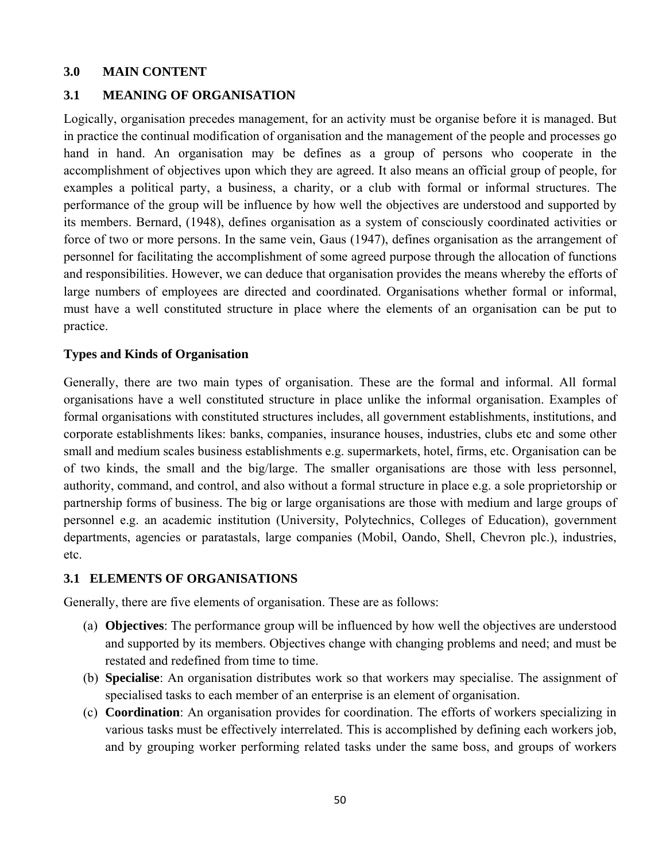#### **3.0 MAIN CONTENT**

#### **3.1 MEANING OF ORGANISATION**

Logically, organisation precedes management, for an activity must be organise before it is managed. But in practice the continual modification of organisation and the management of the people and processes go hand in hand. An organisation may be defines as a group of persons who cooperate in the accomplishment of objectives upon which they are agreed. It also means an official group of people, for examples a political party, a business, a charity, or a club with formal or informal structures. The performance of the group will be influence by how well the objectives are understood and supported by its members. Bernard, (1948), defines organisation as a system of consciously coordinated activities or force of two or more persons. In the same vein, Gaus (1947), defines organisation as the arrangement of personnel for facilitating the accomplishment of some agreed purpose through the allocation of functions and responsibilities. However, we can deduce that organisation provides the means whereby the efforts of large numbers of employees are directed and coordinated. Organisations whether formal or informal, must have a well constituted structure in place where the elements of an organisation can be put to practice.

#### **Types and Kinds of Organisation**

Generally, there are two main types of organisation. These are the formal and informal. All formal organisations have a well constituted structure in place unlike the informal organisation. Examples of formal organisations with constituted structures includes, all government establishments, institutions, and corporate establishments likes: banks, companies, insurance houses, industries, clubs etc and some other small and medium scales business establishments e.g. supermarkets, hotel, firms, etc. Organisation can be of two kinds, the small and the big/large. The smaller organisations are those with less personnel, authority, command, and control, and also without a formal structure in place e.g. a sole proprietorship or partnership forms of business. The big or large organisations are those with medium and large groups of personnel e.g. an academic institution (University, Polytechnics, Colleges of Education), government departments, agencies or paratastals, large companies (Mobil, Oando, Shell, Chevron plc.), industries, etc.

#### **3.1 ELEMENTS OF ORGANISATIONS**

Generally, there are five elements of organisation. These are as follows:

- (a) **Objectives**: The performance group will be influenced by how well the objectives are understood and supported by its members. Objectives change with changing problems and need; and must be restated and redefined from time to time.
- (b) **Specialise**: An organisation distributes work so that workers may specialise. The assignment of specialised tasks to each member of an enterprise is an element of organisation.
- (c) **Coordination**: An organisation provides for coordination. The efforts of workers specializing in various tasks must be effectively interrelated. This is accomplished by defining each workers job, and by grouping worker performing related tasks under the same boss, and groups of workers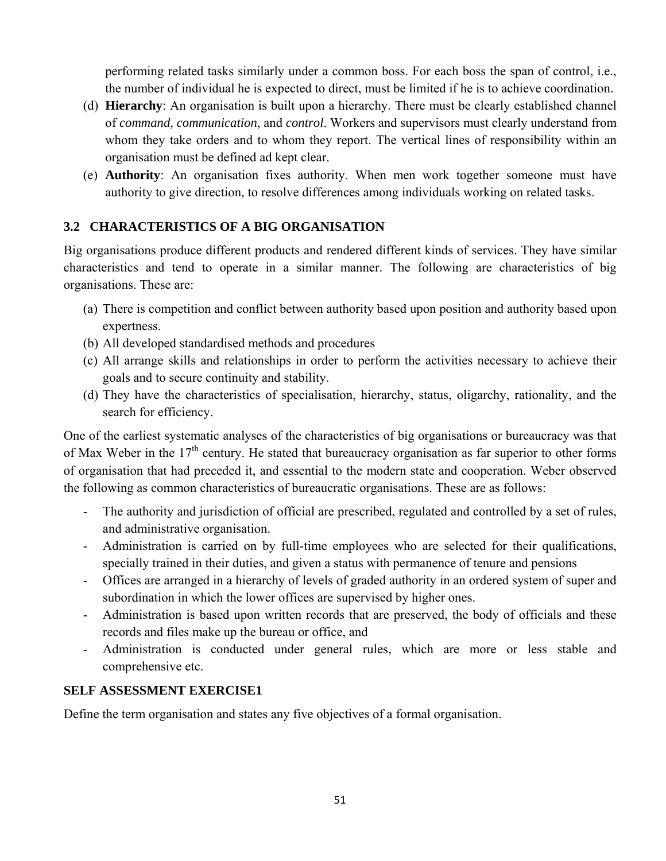performing related tasks similarly under a common boss. For each boss the span of control, i.e., the number of individual he is expected to direct, must be limited if he is to achieve coordination.

- (d) **Hierarchy**: An organisation is built upon a hierarchy. There must be clearly established channel of *command, communication*, and *control*. Workers and supervisors must clearly understand from whom they take orders and to whom they report. The vertical lines of responsibility within an organisation must be defined ad kept clear.
- (e) **Authority**: An organisation fixes authority. When men work together someone must have authority to give direction, to resolve differences among individuals working on related tasks.

# **3.2 CHARACTERISTICS OF A BIG ORGANISATION**

Big organisations produce different products and rendered different kinds of services. They have similar characteristics and tend to operate in a similar manner. The following are characteristics of big organisations. These are:

- (a) There is competition and conflict between authority based upon position and authority based upon expertness.
- (b) All developed standardised methods and procedures
- (c) All arrange skills and relationships in order to perform the activities necessary to achieve their goals and to secure continuity and stability.
- (d) They have the characteristics of specialisation, hierarchy, status, oligarchy, rationality, and the search for efficiency.

One of the earliest systematic analyses of the characteristics of big organisations or bureaucracy was that of Max Weber in the  $17<sup>th</sup>$  century. He stated that bureaucracy organisation as far superior to other forms of organisation that had preceded it, and essential to the modern state and cooperation. Weber observed the following as common characteristics of bureaucratic organisations. These are as follows:

- The authority and jurisdiction of official are prescribed, regulated and controlled by a set of rules, and administrative organisation.
- Administration is carried on by full-time employees who are selected for their qualifications, specially trained in their duties, and given a status with permanence of tenure and pensions
- Offices are arranged in a hierarchy of levels of graded authority in an ordered system of super and subordination in which the lower offices are supervised by higher ones.
- Administration is based upon written records that are preserved, the body of officials and these records and files make up the bureau or office, and
- Administration is conducted under general rules, which are more or less stable and comprehensive etc.

### **SELF ASSESSMENT EXERCISE1**

Define the term organisation and states any five objectives of a formal organisation.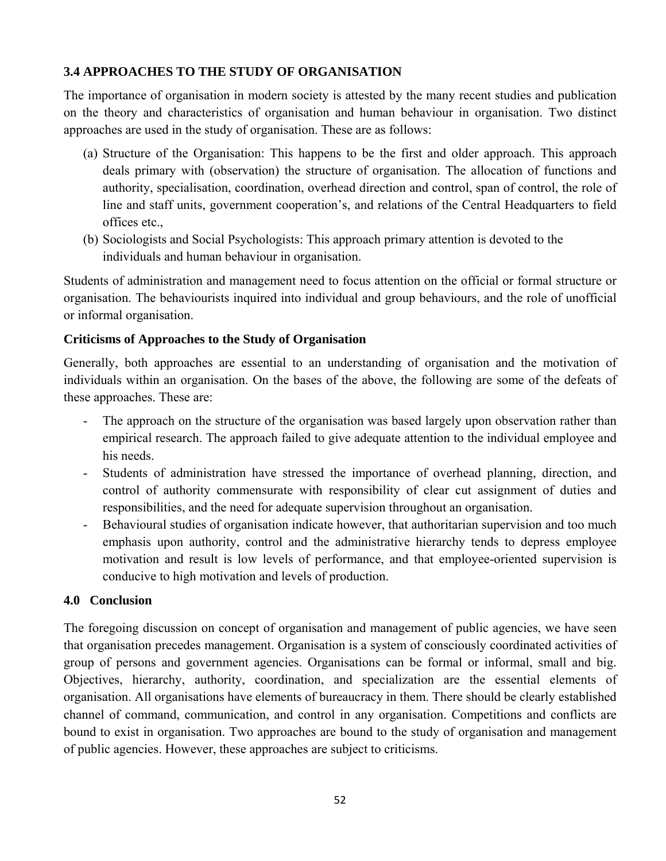## **3.4 APPROACHES TO THE STUDY OF ORGANISATION**

The importance of organisation in modern society is attested by the many recent studies and publication on the theory and characteristics of organisation and human behaviour in organisation. Two distinct approaches are used in the study of organisation. These are as follows:

- (a) Structure of the Organisation: This happens to be the first and older approach. This approach deals primary with (observation) the structure of organisation. The allocation of functions and authority, specialisation, coordination, overhead direction and control, span of control, the role of line and staff units, government cooperation's, and relations of the Central Headquarters to field offices etc.,
- (b) Sociologists and Social Psychologists: This approach primary attention is devoted to the individuals and human behaviour in organisation.

Students of administration and management need to focus attention on the official or formal structure or organisation. The behaviourists inquired into individual and group behaviours, and the role of unofficial or informal organisation.

### **Criticisms of Approaches to the Study of Organisation**

Generally, both approaches are essential to an understanding of organisation and the motivation of individuals within an organisation. On the bases of the above, the following are some of the defeats of these approaches. These are:

- The approach on the structure of the organisation was based largely upon observation rather than empirical research. The approach failed to give adequate attention to the individual employee and his needs.
- Students of administration have stressed the importance of overhead planning, direction, and control of authority commensurate with responsibility of clear cut assignment of duties and responsibilities, and the need for adequate supervision throughout an organisation.
- Behavioural studies of organisation indicate however, that authoritarian supervision and too much emphasis upon authority, control and the administrative hierarchy tends to depress employee motivation and result is low levels of performance, and that employee-oriented supervision is conducive to high motivation and levels of production.

### **4.0 Conclusion**

The foregoing discussion on concept of organisation and management of public agencies, we have seen that organisation precedes management. Organisation is a system of consciously coordinated activities of group of persons and government agencies. Organisations can be formal or informal, small and big. Objectives, hierarchy, authority, coordination, and specialization are the essential elements of organisation. All organisations have elements of bureaucracy in them. There should be clearly established channel of command, communication, and control in any organisation. Competitions and conflicts are bound to exist in organisation. Two approaches are bound to the study of organisation and management of public agencies. However, these approaches are subject to criticisms.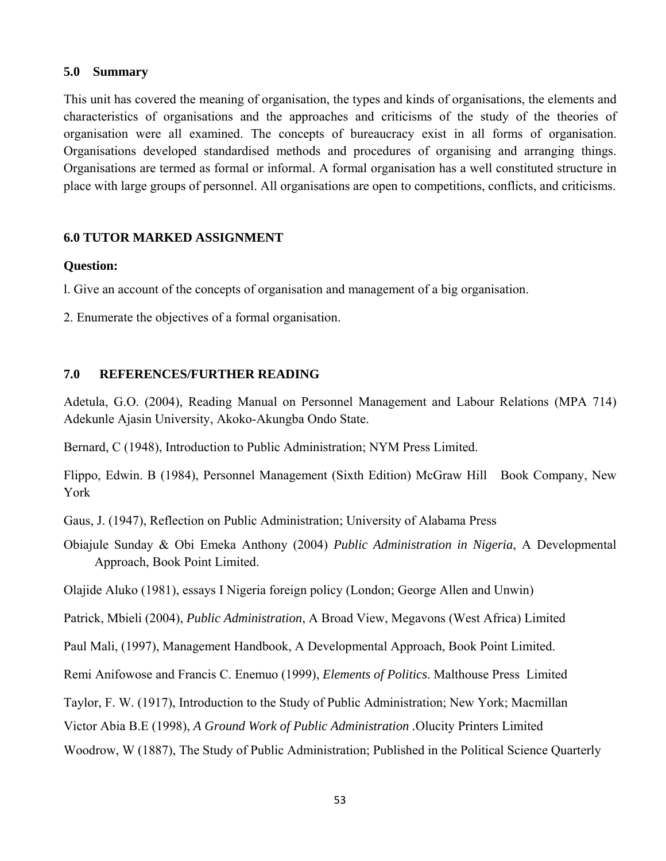#### **5.0 Summary**

This unit has covered the meaning of organisation, the types and kinds of organisations, the elements and characteristics of organisations and the approaches and criticisms of the study of the theories of organisation were all examined. The concepts of bureaucracy exist in all forms of organisation. Organisations developed standardised methods and procedures of organising and arranging things. Organisations are termed as formal or informal. A formal organisation has a well constituted structure in place with large groups of personnel. All organisations are open to competitions, conflicts, and criticisms.

#### **6.0 TUTOR MARKED ASSIGNMENT**

#### **Question:**

l. Give an account of the concepts of organisation and management of a big organisation.

2. Enumerate the objectives of a formal organisation.

### **7.0 REFERENCES/FURTHER READING**

Adetula, G.O. (2004), Reading Manual on Personnel Management and Labour Relations (MPA 714) Adekunle Ajasin University, Akoko-Akungba Ondo State.

Bernard, C (1948), Introduction to Public Administration; NYM Press Limited.

Flippo, Edwin. B (1984), Personnel Management (Sixth Edition) McGraw Hill Book Company, New York

Gaus, J. (1947), Reflection on Public Administration; University of Alabama Press

Obiajule Sunday & Obi Emeka Anthony (2004) *Public Administration in Nigeria*, A Developmental Approach, Book Point Limited.

Olajide Aluko (1981), essays I Nigeria foreign policy (London; George Allen and Unwin)

Patrick, Mbieli (2004), *Public Administration*, A Broad View, Megavons (West Africa) Limited

Paul Mali, (1997), Management Handbook, A Developmental Approach, Book Point Limited.

Remi Anifowose and Francis C. Enemuo (1999), *Elements of Politics*. Malthouse Press Limited

Taylor, F. W. (1917), Introduction to the Study of Public Administration; New York; Macmillan

Victor Abia B.E (1998), *A Ground Work of Public Administration .*Olucity Printers Limited

Woodrow, W (1887), The Study of Public Administration; Published in the Political Science Quarterly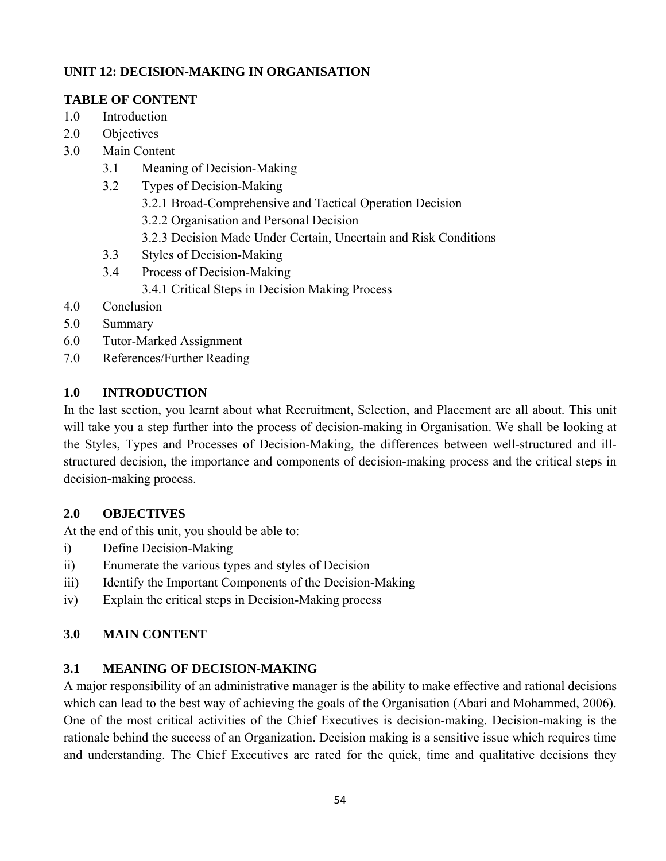# **UNIT 12: DECISION-MAKING IN ORGANISATION**

## **TABLE OF CONTENT**

- 1.0 Introduction
- 2.0 Objectives
- 3.0 Main Content
	- 3.1 Meaning of Decision-Making
	- 3.2 Types of Decision-Making
		- 3.2.1 Broad-Comprehensive and Tactical Operation Decision
		- 3.2.2 Organisation and Personal Decision
		- 3.2.3 Decision Made Under Certain, Uncertain and Risk Conditions
	- 3.3 Styles of Decision-Making
	- 3.4 Process of Decision-Making 3.4.1 Critical Steps in Decision Making Process
- 4.0 Conclusion
- 5.0 Summary
- 6.0 Tutor-Marked Assignment
- 7.0 References/Further Reading

## **1.0 INTRODUCTION**

In the last section, you learnt about what Recruitment, Selection, and Placement are all about. This unit will take you a step further into the process of decision-making in Organisation. We shall be looking at the Styles, Types and Processes of Decision-Making, the differences between well-structured and illstructured decision, the importance and components of decision-making process and the critical steps in decision-making process.

### **2.0 OBJECTIVES**

At the end of this unit, you should be able to:

- i) Define Decision-Making
- ii) Enumerate the various types and styles of Decision
- iii) Identify the Important Components of the Decision-Making
- iv) Explain the critical steps in Decision-Making process

### **3.0 MAIN CONTENT**

### **3.1 MEANING OF DECISION-MAKING**

A major responsibility of an administrative manager is the ability to make effective and rational decisions which can lead to the best way of achieving the goals of the Organisation (Abari and Mohammed, 2006). One of the most critical activities of the Chief Executives is decision-making. Decision-making is the rationale behind the success of an Organization. Decision making is a sensitive issue which requires time and understanding. The Chief Executives are rated for the quick, time and qualitative decisions they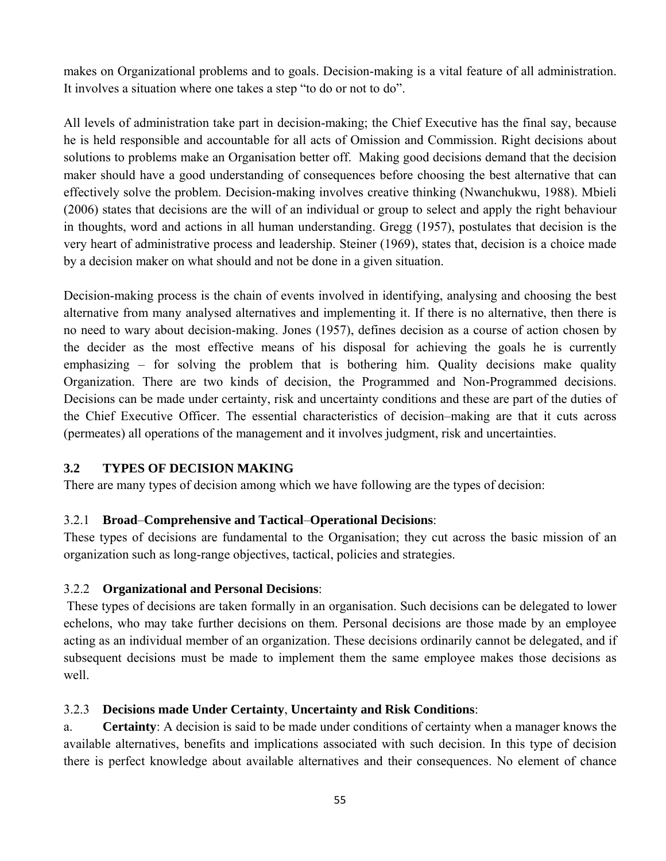makes on Organizational problems and to goals. Decision-making is a vital feature of all administration. It involves a situation where one takes a step "to do or not to do".

All levels of administration take part in decision-making; the Chief Executive has the final say, because he is held responsible and accountable for all acts of Omission and Commission. Right decisions about solutions to problems make an Organisation better off. Making good decisions demand that the decision maker should have a good understanding of consequences before choosing the best alternative that can effectively solve the problem. Decision-making involves creative thinking (Nwanchukwu, 1988). Mbieli (2006) states that decisions are the will of an individual or group to select and apply the right behaviour in thoughts, word and actions in all human understanding. Gregg (1957), postulates that decision is the very heart of administrative process and leadership. Steiner (1969), states that, decision is a choice made by a decision maker on what should and not be done in a given situation.

Decision-making process is the chain of events involved in identifying, analysing and choosing the best alternative from many analysed alternatives and implementing it. If there is no alternative, then there is no need to wary about decision-making. Jones (1957), defines decision as a course of action chosen by the decider as the most effective means of his disposal for achieving the goals he is currently emphasizing – for solving the problem that is bothering him. Quality decisions make quality Organization. There are two kinds of decision, the Programmed and Non-Programmed decisions. Decisions can be made under certainty, risk and uncertainty conditions and these are part of the duties of the Chief Executive Officer. The essential characteristics of decision–making are that it cuts across (permeates) all operations of the management and it involves judgment, risk and uncertainties.

### **3.2 TYPES OF DECISION MAKING**

There are many types of decision among which we have following are the types of decision:

# 3.2.1 **Broad**–**Comprehensive and Tactical**–**Operational Decisions**:

These types of decisions are fundamental to the Organisation; they cut across the basic mission of an organization such as long-range objectives, tactical, policies and strategies.

### 3.2.2 **Organizational and Personal Decisions**:

 These types of decisions are taken formally in an organisation. Such decisions can be delegated to lower echelons, who may take further decisions on them. Personal decisions are those made by an employee acting as an individual member of an organization. These decisions ordinarily cannot be delegated, and if subsequent decisions must be made to implement them the same employee makes those decisions as well.

### 3.2.3 **Decisions made Under Certainty**, **Uncertainty and Risk Conditions**:

a. **Certainty**: A decision is said to be made under conditions of certainty when a manager knows the available alternatives, benefits and implications associated with such decision. In this type of decision there is perfect knowledge about available alternatives and their consequences. No element of chance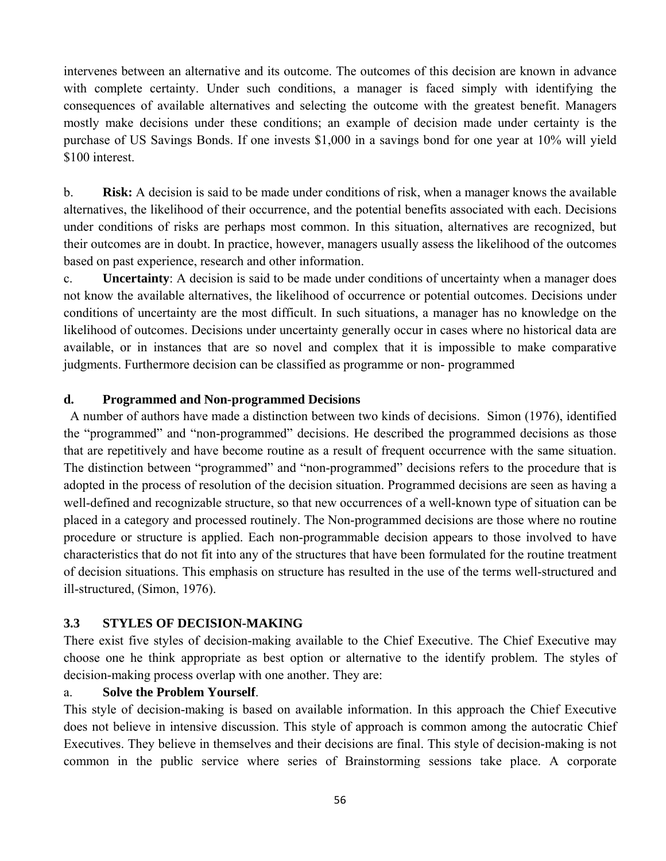intervenes between an alternative and its outcome. The outcomes of this decision are known in advance with complete certainty. Under such conditions, a manager is faced simply with identifying the consequences of available alternatives and selecting the outcome with the greatest benefit. Managers mostly make decisions under these conditions; an example of decision made under certainty is the purchase of US Savings Bonds. If one invests \$1,000 in a savings bond for one year at 10% will yield \$100 interest.

b. **Risk:** A decision is said to be made under conditions of risk, when a manager knows the available alternatives, the likelihood of their occurrence, and the potential benefits associated with each. Decisions under conditions of risks are perhaps most common. In this situation, alternatives are recognized, but their outcomes are in doubt. In practice, however, managers usually assess the likelihood of the outcomes based on past experience, research and other information.

c. **Uncertainty**: A decision is said to be made under conditions of uncertainty when a manager does not know the available alternatives, the likelihood of occurrence or potential outcomes. Decisions under conditions of uncertainty are the most difficult. In such situations, a manager has no knowledge on the likelihood of outcomes. Decisions under uncertainty generally occur in cases where no historical data are available, or in instances that are so novel and complex that it is impossible to make comparative judgments. Furthermore decision can be classified as programme or non- programmed

#### **d. Programmed and Non-programmed Decisions**

 A number of authors have made a distinction between two kinds of decisions. Simon (1976), identified the "programmed" and "non-programmed" decisions. He described the programmed decisions as those that are repetitively and have become routine as a result of frequent occurrence with the same situation. The distinction between "programmed" and "non-programmed" decisions refers to the procedure that is adopted in the process of resolution of the decision situation. Programmed decisions are seen as having a well-defined and recognizable structure, so that new occurrences of a well-known type of situation can be placed in a category and processed routinely. The Non-programmed decisions are those where no routine procedure or structure is applied. Each non-programmable decision appears to those involved to have characteristics that do not fit into any of the structures that have been formulated for the routine treatment of decision situations. This emphasis on structure has resulted in the use of the terms well-structured and ill-structured, (Simon, 1976).

#### **3.3 STYLES OF DECISION-MAKING**

There exist five styles of decision-making available to the Chief Executive. The Chief Executive may choose one he think appropriate as best option or alternative to the identify problem. The styles of decision-making process overlap with one another. They are:

#### a. **Solve the Problem Yourself**.

This style of decision-making is based on available information. In this approach the Chief Executive does not believe in intensive discussion. This style of approach is common among the autocratic Chief Executives. They believe in themselves and their decisions are final. This style of decision-making is not common in the public service where series of Brainstorming sessions take place. A corporate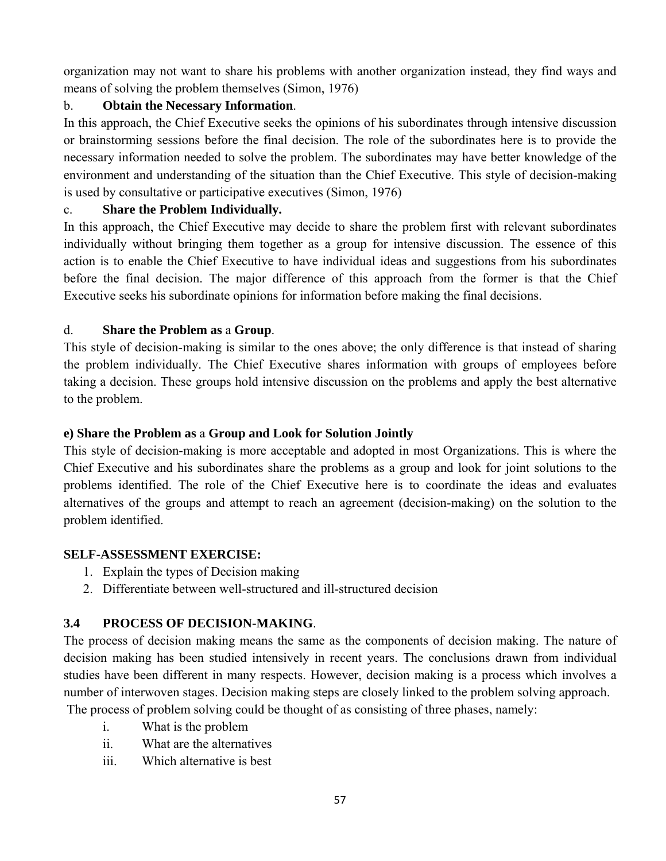organization may not want to share his problems with another organization instead, they find ways and means of solving the problem themselves (Simon, 1976)

# b. **Obtain the Necessary Information**.

In this approach, the Chief Executive seeks the opinions of his subordinates through intensive discussion or brainstorming sessions before the final decision. The role of the subordinates here is to provide the necessary information needed to solve the problem. The subordinates may have better knowledge of the environment and understanding of the situation than the Chief Executive. This style of decision-making is used by consultative or participative executives (Simon, 1976)

## c. **Share the Problem Individually.**

In this approach, the Chief Executive may decide to share the problem first with relevant subordinates individually without bringing them together as a group for intensive discussion. The essence of this action is to enable the Chief Executive to have individual ideas and suggestions from his subordinates before the final decision. The major difference of this approach from the former is that the Chief Executive seeks his subordinate opinions for information before making the final decisions.

## d. **Share the Problem as** a **Group**.

This style of decision-making is similar to the ones above; the only difference is that instead of sharing the problem individually. The Chief Executive shares information with groups of employees before taking a decision. These groups hold intensive discussion on the problems and apply the best alternative to the problem.

# **e) Share the Problem as** a **Group and Look for Solution Jointly**

This style of decision-making is more acceptable and adopted in most Organizations. This is where the Chief Executive and his subordinates share the problems as a group and look for joint solutions to the problems identified. The role of the Chief Executive here is to coordinate the ideas and evaluates alternatives of the groups and attempt to reach an agreement (decision-making) on the solution to the problem identified.

### **SELF-ASSESSMENT EXERCISE:**

- 1. Explain the types of Decision making
- 2. Differentiate between well-structured and ill-structured decision

# **3.4 PROCESS OF DECISION-MAKING**.

The process of decision making means the same as the components of decision making. The nature of decision making has been studied intensively in recent years. The conclusions drawn from individual studies have been different in many respects. However, decision making is a process which involves a number of interwoven stages. Decision making steps are closely linked to the problem solving approach.

The process of problem solving could be thought of as consisting of three phases, namely:

- i. What is the problem
- ii. What are the alternatives
- iii. Which alternative is best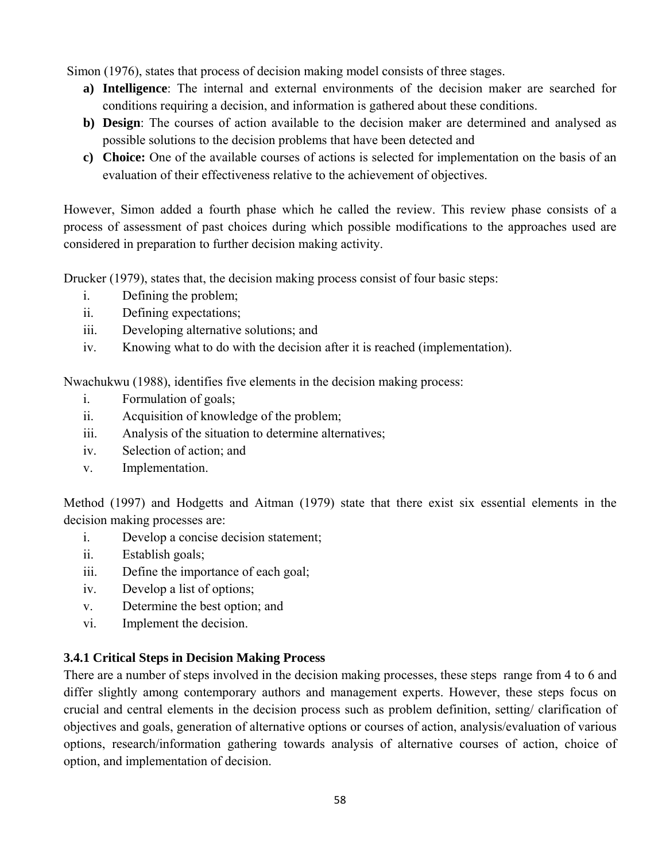Simon (1976), states that process of decision making model consists of three stages.

- **a) Intelligence**: The internal and external environments of the decision maker are searched for conditions requiring a decision, and information is gathered about these conditions.
- **b) Design**: The courses of action available to the decision maker are determined and analysed as possible solutions to the decision problems that have been detected and
- **c) Choice:** One of the available courses of actions is selected for implementation on the basis of an evaluation of their effectiveness relative to the achievement of objectives.

However, Simon added a fourth phase which he called the review. This review phase consists of a process of assessment of past choices during which possible modifications to the approaches used are considered in preparation to further decision making activity.

Drucker (1979), states that, the decision making process consist of four basic steps:

- i. Defining the problem;
- ii. Defining expectations;
- iii. Developing alternative solutions; and
- iv. Knowing what to do with the decision after it is reached (implementation).

Nwachukwu (1988), identifies five elements in the decision making process:

- i. Formulation of goals;
- ii. Acquisition of knowledge of the problem;
- iii. Analysis of the situation to determine alternatives;
- iv. Selection of action; and
- v. Implementation.

Method (1997) and Hodgetts and Aitman (1979) state that there exist six essential elements in the decision making processes are:

- i. Develop a concise decision statement;
- ii. Establish goals;
- iii. Define the importance of each goal;
- iv. Develop a list of options;
- v. Determine the best option; and
- vi. Implement the decision.

### **3.4.1 Critical Steps in Decision Making Process**

There are a number of steps involved in the decision making processes, these steps range from 4 to 6 and differ slightly among contemporary authors and management experts. However, these steps focus on crucial and central elements in the decision process such as problem definition, setting/ clarification of objectives and goals, generation of alternative options or courses of action, analysis/evaluation of various options, research/information gathering towards analysis of alternative courses of action, choice of option, and implementation of decision.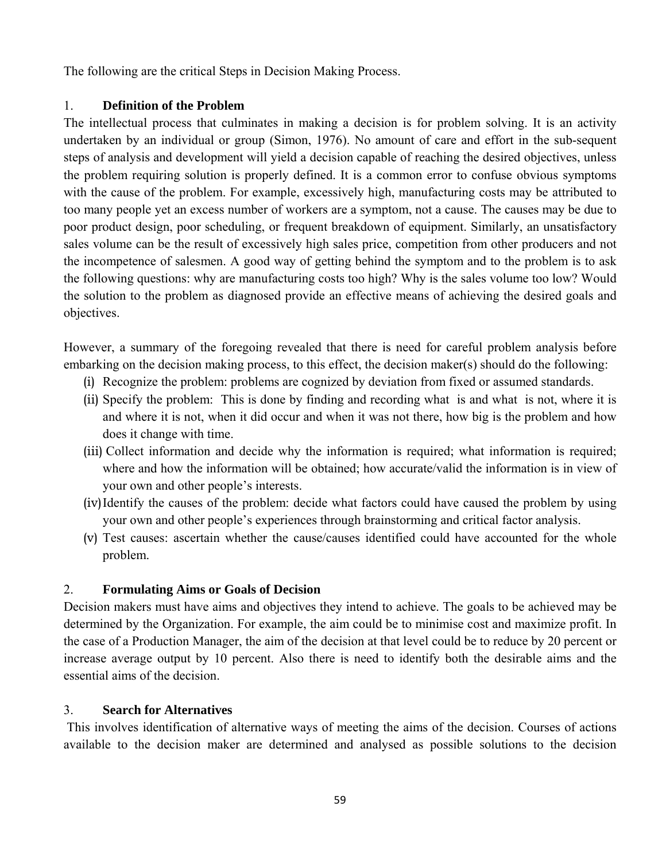The following are the critical Steps in Decision Making Process.

# 1. **Definition of the Problem**

The intellectual process that culminates in making a decision is for problem solving. It is an activity undertaken by an individual or group (Simon, 1976). No amount of care and effort in the sub-sequent steps of analysis and development will yield a decision capable of reaching the desired objectives, unless the problem requiring solution is properly defined. It is a common error to confuse obvious symptoms with the cause of the problem. For example, excessively high, manufacturing costs may be attributed to too many people yet an excess number of workers are a symptom, not a cause. The causes may be due to poor product design, poor scheduling, or frequent breakdown of equipment. Similarly, an unsatisfactory sales volume can be the result of excessively high sales price, competition from other producers and not the incompetence of salesmen. A good way of getting behind the symptom and to the problem is to ask the following questions: why are manufacturing costs too high? Why is the sales volume too low? Would the solution to the problem as diagnosed provide an effective means of achieving the desired goals and objectives.

However, a summary of the foregoing revealed that there is need for careful problem analysis before embarking on the decision making process, to this effect, the decision maker(s) should do the following:

- (i) Recognize the problem: problems are cognized by deviation from fixed or assumed standards.
- (ii) Specify the problem: This is done by finding and recording what is and what is not, where it is and where it is not, when it did occur and when it was not there, how big is the problem and how does it change with time.
- (iii) Collect information and decide why the information is required; what information is required; where and how the information will be obtained; how accurate/valid the information is in view of your own and other people's interests.
- (iv)Identify the causes of the problem: decide what factors could have caused the problem by using your own and other people's experiences through brainstorming and critical factor analysis.
- (v) Test causes: ascertain whether the cause/causes identified could have accounted for the whole problem.

# 2. **Formulating Aims or Goals of Decision**

Decision makers must have aims and objectives they intend to achieve. The goals to be achieved may be determined by the Organization. For example, the aim could be to minimise cost and maximize profit. In the case of a Production Manager, the aim of the decision at that level could be to reduce by 20 percent or increase average output by 10 percent. Also there is need to identify both the desirable aims and the essential aims of the decision.

# 3. **Search for Alternatives**

 This involves identification of alternative ways of meeting the aims of the decision. Courses of actions available to the decision maker are determined and analysed as possible solutions to the decision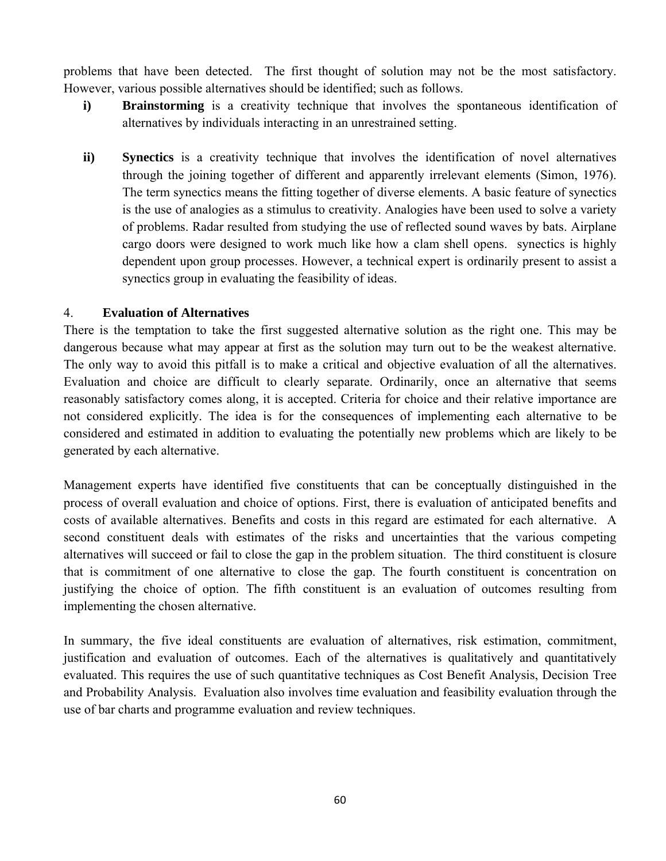problems that have been detected. The first thought of solution may not be the most satisfactory. However, various possible alternatives should be identified; such as follows.

- **i) Brainstorming** is a creativity technique that involves the spontaneous identification of alternatives by individuals interacting in an unrestrained setting.
- **ii) Synectics** is a creativity technique that involves the identification of novel alternatives through the joining together of different and apparently irrelevant elements (Simon, 1976). The term synectics means the fitting together of diverse elements. A basic feature of synectics is the use of analogies as a stimulus to creativity. Analogies have been used to solve a variety of problems. Radar resulted from studying the use of reflected sound waves by bats. Airplane cargo doors were designed to work much like how a clam shell opens. synectics is highly dependent upon group processes. However, a technical expert is ordinarily present to assist a synectics group in evaluating the feasibility of ideas.

#### 4. **Evaluation of Alternatives**

There is the temptation to take the first suggested alternative solution as the right one. This may be dangerous because what may appear at first as the solution may turn out to be the weakest alternative. The only way to avoid this pitfall is to make a critical and objective evaluation of all the alternatives. Evaluation and choice are difficult to clearly separate. Ordinarily, once an alternative that seems reasonably satisfactory comes along, it is accepted. Criteria for choice and their relative importance are not considered explicitly. The idea is for the consequences of implementing each alternative to be considered and estimated in addition to evaluating the potentially new problems which are likely to be generated by each alternative.

Management experts have identified five constituents that can be conceptually distinguished in the process of overall evaluation and choice of options. First, there is evaluation of anticipated benefits and costs of available alternatives. Benefits and costs in this regard are estimated for each alternative. A second constituent deals with estimates of the risks and uncertainties that the various competing alternatives will succeed or fail to close the gap in the problem situation. The third constituent is closure that is commitment of one alternative to close the gap. The fourth constituent is concentration on justifying the choice of option. The fifth constituent is an evaluation of outcomes resulting from implementing the chosen alternative.

In summary, the five ideal constituents are evaluation of alternatives, risk estimation, commitment, justification and evaluation of outcomes. Each of the alternatives is qualitatively and quantitatively evaluated. This requires the use of such quantitative techniques as Cost Benefit Analysis, Decision Tree and Probability Analysis. Evaluation also involves time evaluation and feasibility evaluation through the use of bar charts and programme evaluation and review techniques.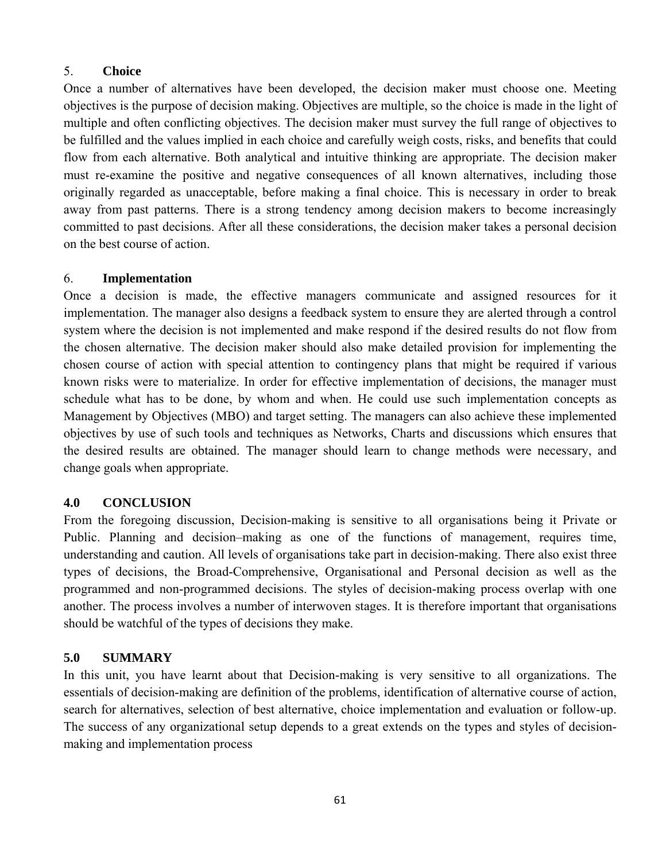## 5. **Choice**

Once a number of alternatives have been developed, the decision maker must choose one. Meeting objectives is the purpose of decision making. Objectives are multiple, so the choice is made in the light of multiple and often conflicting objectives. The decision maker must survey the full range of objectives to be fulfilled and the values implied in each choice and carefully weigh costs, risks, and benefits that could flow from each alternative. Both analytical and intuitive thinking are appropriate. The decision maker must re-examine the positive and negative consequences of all known alternatives, including those originally regarded as unacceptable, before making a final choice. This is necessary in order to break away from past patterns. There is a strong tendency among decision makers to become increasingly committed to past decisions. After all these considerations, the decision maker takes a personal decision on the best course of action.

## 6. **Implementation**

Once a decision is made, the effective managers communicate and assigned resources for it implementation. The manager also designs a feedback system to ensure they are alerted through a control system where the decision is not implemented and make respond if the desired results do not flow from the chosen alternative. The decision maker should also make detailed provision for implementing the chosen course of action with special attention to contingency plans that might be required if various known risks were to materialize. In order for effective implementation of decisions, the manager must schedule what has to be done, by whom and when. He could use such implementation concepts as Management by Objectives (MBO) and target setting. The managers can also achieve these implemented objectives by use of such tools and techniques as Networks, Charts and discussions which ensures that the desired results are obtained. The manager should learn to change methods were necessary, and change goals when appropriate.

### **4.0 CONCLUSION**

From the foregoing discussion, Decision-making is sensitive to all organisations being it Private or Public. Planning and decision–making as one of the functions of management, requires time, understanding and caution. All levels of organisations take part in decision-making. There also exist three types of decisions, the Broad-Comprehensive, Organisational and Personal decision as well as the programmed and non-programmed decisions. The styles of decision-making process overlap with one another. The process involves a number of interwoven stages. It is therefore important that organisations should be watchful of the types of decisions they make.

# **5.0 SUMMARY**

In this unit, you have learnt about that Decision-making is very sensitive to all organizations. The essentials of decision-making are definition of the problems, identification of alternative course of action, search for alternatives, selection of best alternative, choice implementation and evaluation or follow-up. The success of any organizational setup depends to a great extends on the types and styles of decisionmaking and implementation process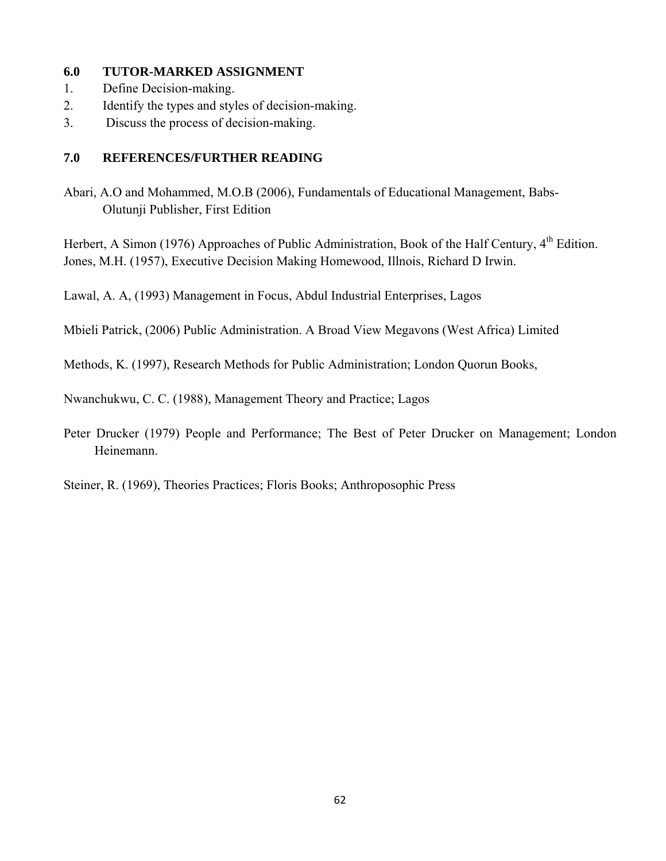#### **6.0 TUTOR-MARKED ASSIGNMENT**

- 1. Define Decision-making.
- 2. Identify the types and styles of decision-making.
- 3. Discuss the process of decision-making.

### **7.0 REFERENCES/FURTHER READING**

Abari, A.O and Mohammed, M.O.B (2006), Fundamentals of Educational Management, Babs-Olutunji Publisher, First Edition

Herbert, A Simon (1976) Approaches of Public Administration, Book of the Half Century, 4<sup>th</sup> Edition. Jones, M.H. (1957), Executive Decision Making Homewood, Illnois, Richard D Irwin.

Lawal, A. A, (1993) Management in Focus, Abdul Industrial Enterprises, Lagos

Mbieli Patrick, (2006) Public Administration. A Broad View Megavons (West Africa) Limited

Methods, K. (1997), Research Methods for Public Administration; London Quorun Books,

Nwanchukwu, C. C. (1988), Management Theory and Practice; Lagos

Peter Drucker (1979) People and Performance; The Best of Peter Drucker on Management; London Heinemann.

Steiner, R. (1969), Theories Practices; Floris Books; Anthroposophic Press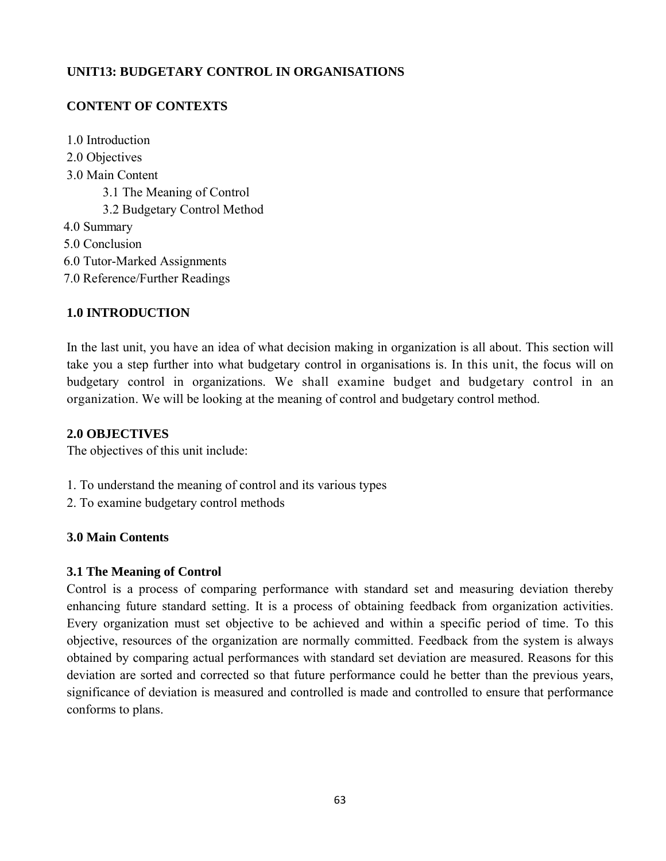## **UNIT13: BUDGETARY CONTROL IN ORGANISATIONS**

## **CONTENT OF CONTEXTS**

1.0 Introduction 2.0 Objectives 3.0 Main Content 3.1 The Meaning of Control 3.2 Budgetary Control Method 4.0 Summary 5.0 Conclusion 6.0 Tutor-Marked Assignments 7.0 Reference/Further Readings

#### **1.0 INTRODUCTION**

In the last unit, you have an idea of what decision making in organization is all about. This section will take you a step further into what budgetary control in organisations is. In this unit, the focus will on budgetary control in organizations. We shall examine budget and budgetary control in an organization. We will be looking at the meaning of control and budgetary control method.

#### **2.0 OBJECTIVES**

The objectives of this unit include:

- 1. To understand the meaning of control and its various types
- 2. To examine budgetary control methods

#### **3.0 Main Contents**

#### **3.1 The Meaning of Control**

Control is a process of comparing performance with standard set and measuring deviation thereby enhancing future standard setting. It is a process of obtaining feedback from organization activities. Every organization must set objective to be achieved and within a specific period of time. To this objective, resources of the organization are normally committed. Feedback from the system is always obtained by comparing actual performances with standard set deviation are measured. Reasons for this deviation are sorted and corrected so that future performance could he better than the previous years, significance of deviation is measured and controlled is made and controlled to ensure that performance conforms to plans.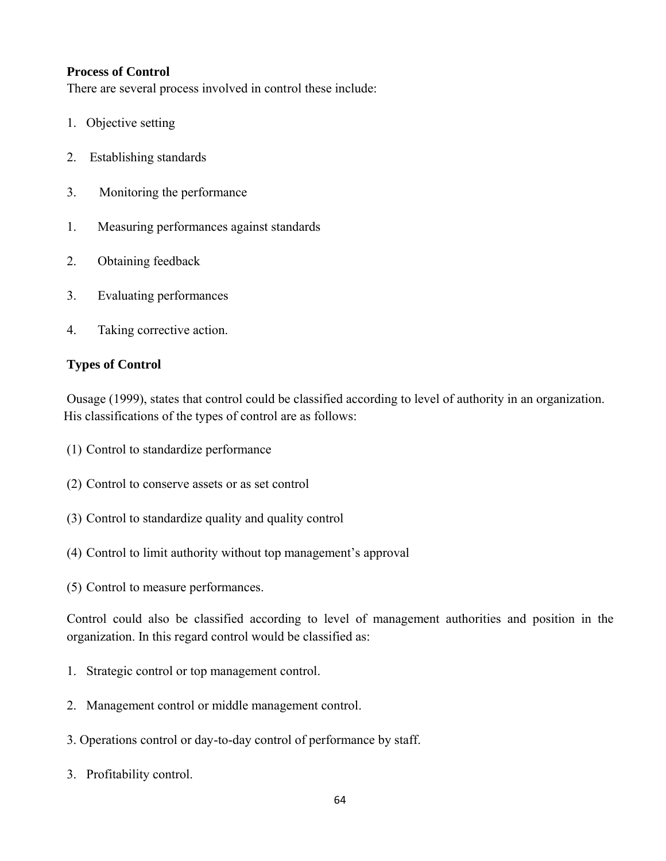#### **Process of Control**

There are several process involved in control these include:

- 1. Objective setting
- 2. Establishing standards
- 3. Monitoring the performance
- 1. Measuring performances against standards
- 2. Obtaining feedback
- 3. Evaluating performances
- 4. Taking corrective action.

#### **Types of Control**

Ousage (1999), states that control could be classified according to level of authority in an organization. His classifications of the types of control are as follows:

- (1) Control to standardize performance
- (2) Control to conserve assets or as set control
- (3) Control to standardize quality and quality control
- (4) Control to limit authority without top management's approval
- (5) Control to measure performances.

Control could also be classified according to level of management authorities and position in the organization. In this regard control would be classified as:

- 1. Strategic control or top management control.
- 2. Management control or middle management control.
- 3. Operations control or day-to-day control of performance by staff.
- 3. Profitability control.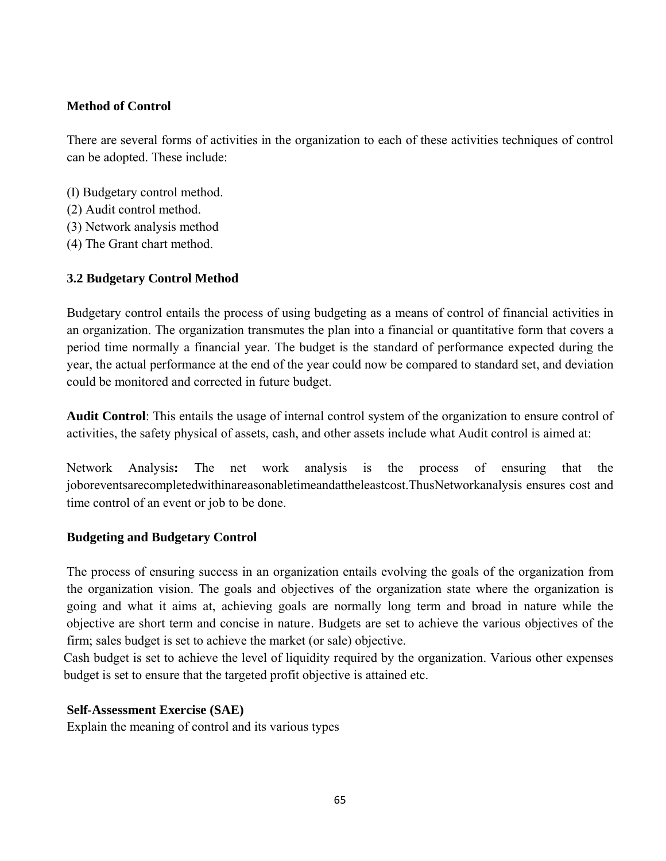## **Method of Control**

There are several forms of activities in the organization to each of these activities techniques of control can be adopted. These include:

- (I) Budgetary control method.
- (2) Audit control method.
- (3) Network analysis method
- (4) The Grant chart method.

# **3.2 Budgetary Control Method**

Budgetary control entails the process of using budgeting as a means of control of financial activities in an organization. The organization transmutes the plan into a financial or quantitative form that covers a period time normally a financial year. The budget is the standard of performance expected during the year, the actual performance at the end of the year could now be compared to standard set, and deviation could be monitored and corrected in future budget.

**Audit Control**: This entails the usage of internal control system of the organization to ensure control of activities, the safety physical of assets, cash, and other assets include what Audit control is aimed at:

Network Analysis**:** The net work analysis is the process of ensuring that the joboreventsarecompletedwithinareasonabletimeandattheleastcost.ThusNetworkanalysis ensures cost and time control of an event or job to be done.

### **Budgeting and Budgetary Control**

The process of ensuring success in an organization entails evolving the goals of the organization from the organization vision. The goals and objectives of the organization state where the organization is going and what it aims at, achieving goals are normally long term and broad in nature while the objective are short term and concise in nature. Budgets are set to achieve the various objectives of the firm; sales budget is set to achieve the market (or sale) objective.

Cash budget is set to achieve the level of liquidity required by the organization. Various other expenses budget is set to ensure that the targeted profit objective is attained etc.

### **Self-Assessment Exercise (SAE)**

Explain the meaning of control and its various types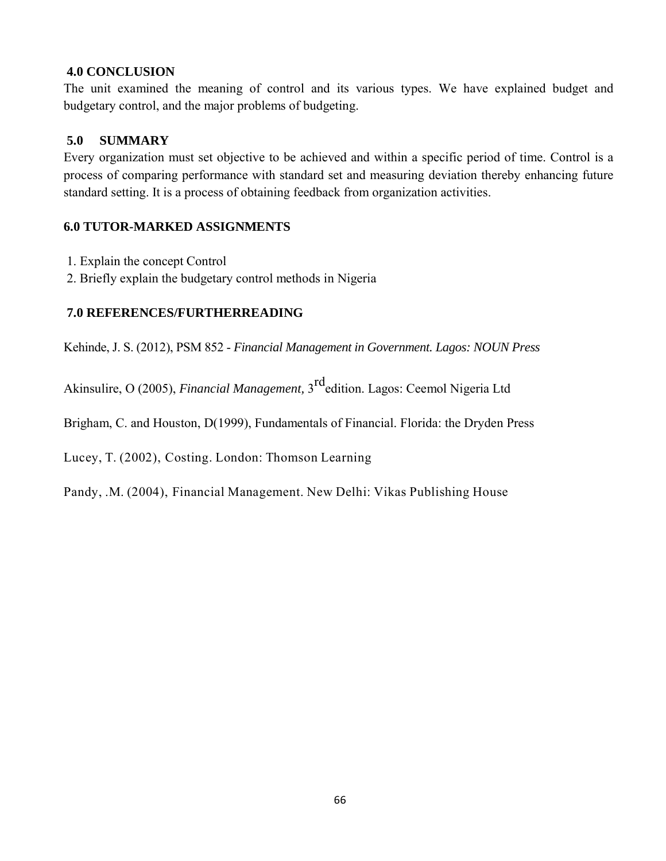#### **4.0 CONCLUSION**

The unit examined the meaning of control and its various types. We have explained budget and budgetary control, and the major problems of budgeting.

#### **5.0 SUMMARY**

Every organization must set objective to be achieved and within a specific period of time. Control is a process of comparing performance with standard set and measuring deviation thereby enhancing future standard setting. It is a process of obtaining feedback from organization activities.

#### **6.0 TUTOR-MARKED ASSIGNMENTS**

- 1. Explain the concept Control
- 2. Briefly explain the budgetary control methods in Nigeria

#### **7.0 REFERENCES/FURTHERREADING**

Kehinde, J. S. (2012), PSM 852 - *Financial Management in Government. Lagos: NOUN Press*

Akinsulire, O (2005), *Financial Management,* 3rdedition. Lagos: Ceemol Nigeria Ltd

Brigham, C. and Houston, D(1999), Fundamentals of Financial. Florida: the Dryden Press

Lucey, T. (2002), Costing. London: Thomson Learning

Pandy, .M. (2004), Financial Management. New Delhi: Vikas Publishing House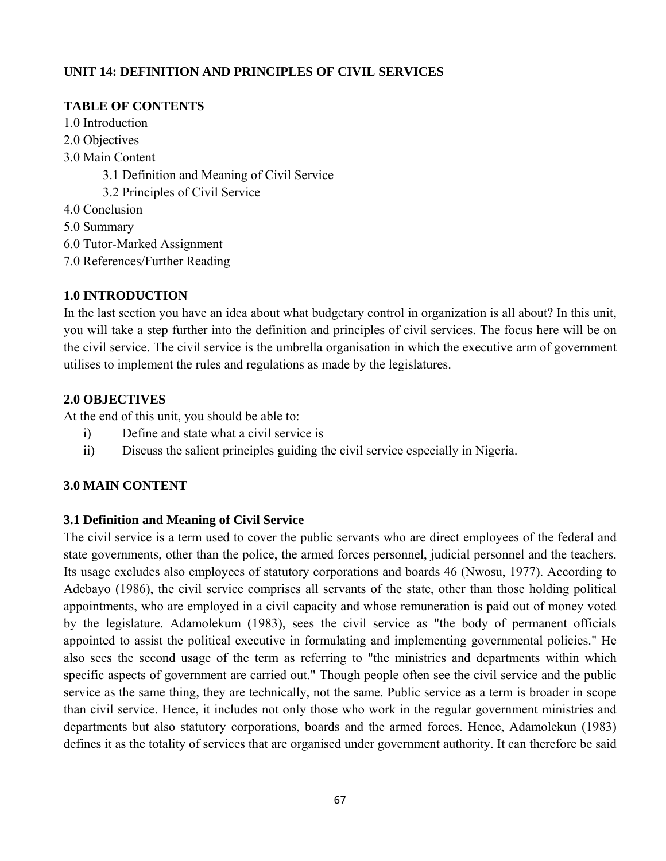# **UNIT 14: DEFINITION AND PRINCIPLES OF CIVIL SERVICES**

# **TABLE OF CONTENTS**

- 1.0 Introduction
- 2.0 Objectives
- 3.0 Main Content
	- 3.1 Definition and Meaning of Civil Service
	- 3.2 Principles of Civil Service
- 4.0 Conclusion
- 5.0 Summary
- 6.0 Tutor-Marked Assignment
- 7.0 References/Further Reading

## **1.0 INTRODUCTION**

In the last section you have an idea about what budgetary control in organization is all about? In this unit, you will take a step further into the definition and principles of civil services. The focus here will be on the civil service. The civil service is the umbrella organisation in which the executive arm of government utilises to implement the rules and regulations as made by the legislatures.

## **2.0 OBJECTIVES**

At the end of this unit, you should be able to:

- i) Define and state what a civil service is
- ii) Discuss the salient principles guiding the civil service especially in Nigeria.

# **3.0 MAIN CONTENT**

### **3.1 Definition and Meaning of Civil Service**

The civil service is a term used to cover the public servants who are direct employees of the federal and state governments, other than the police, the armed forces personnel, judicial personnel and the teachers. Its usage excludes also employees of statutory corporations and boards 46 (Nwosu, 1977). According to Adebayo (1986), the civil service comprises all servants of the state, other than those holding political appointments, who are employed in a civil capacity and whose remuneration is paid out of money voted by the legislature. Adamolekum (1983), sees the civil service as "the body of permanent officials appointed to assist the political executive in formulating and implementing governmental policies." He also sees the second usage of the term as referring to "the ministries and departments within which specific aspects of government are carried out." Though people often see the civil service and the public service as the same thing, they are technically, not the same. Public service as a term is broader in scope than civil service. Hence, it includes not only those who work in the regular government ministries and departments but also statutory corporations, boards and the armed forces. Hence, Adamolekun (1983) defines it as the totality of services that are organised under government authority. It can therefore be said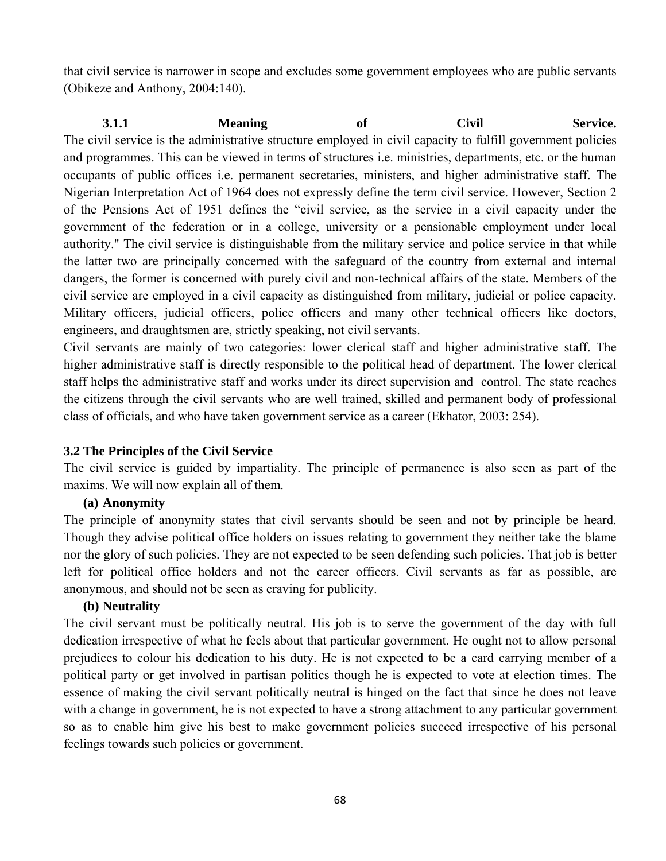that civil service is narrower in scope and excludes some government employees who are public servants (Obikeze and Anthony, 2004:140).

**3.1.1 Meaning of Civil Service.**  The civil service is the administrative structure employed in civil capacity to fulfill government policies and programmes. This can be viewed in terms of structures i.e. ministries, departments, etc. or the human occupants of public offices i.e. permanent secretaries, ministers, and higher administrative staff. The Nigerian Interpretation Act of 1964 does not expressly define the term civil service. However, Section 2 of the Pensions Act of 1951 defines the "civil service, as the service in a civil capacity under the government of the federation or in a college, university or a pensionable employment under local authority." The civil service is distinguishable from the military service and police service in that while the latter two are principally concerned with the safeguard of the country from external and internal dangers, the former is concerned with purely civil and non-technical affairs of the state. Members of the civil service are employed in a civil capacity as distinguished from military, judicial or police capacity. Military officers, judicial officers, police officers and many other technical officers like doctors, engineers, and draughtsmen are, strictly speaking, not civil servants.

Civil servants are mainly of two categories: lower clerical staff and higher administrative staff. The higher administrative staff is directly responsible to the political head of department. The lower clerical staff helps the administrative staff and works under its direct supervision and control. The state reaches the citizens through the civil servants who are well trained, skilled and permanent body of professional class of officials, and who have taken government service as a career (Ekhator, 2003: 254).

### **3.2 The Principles of the Civil Service**

The civil service is guided by impartiality. The principle of permanence is also seen as part of the maxims. We will now explain all of them.

### **(a) Anonymity**

The principle of anonymity states that civil servants should be seen and not by principle be heard. Though they advise political office holders on issues relating to government they neither take the blame nor the glory of such policies. They are not expected to be seen defending such policies. That job is better left for political office holders and not the career officers. Civil servants as far as possible, are anonymous, and should not be seen as craving for publicity.

### **(b) Neutrality**

The civil servant must be politically neutral. His job is to serve the government of the day with full dedication irrespective of what he feels about that particular government. He ought not to allow personal prejudices to colour his dedication to his duty. He is not expected to be a card carrying member of a political party or get involved in partisan politics though he is expected to vote at election times. The essence of making the civil servant politically neutral is hinged on the fact that since he does not leave with a change in government, he is not expected to have a strong attachment to any particular government so as to enable him give his best to make government policies succeed irrespective of his personal feelings towards such policies or government.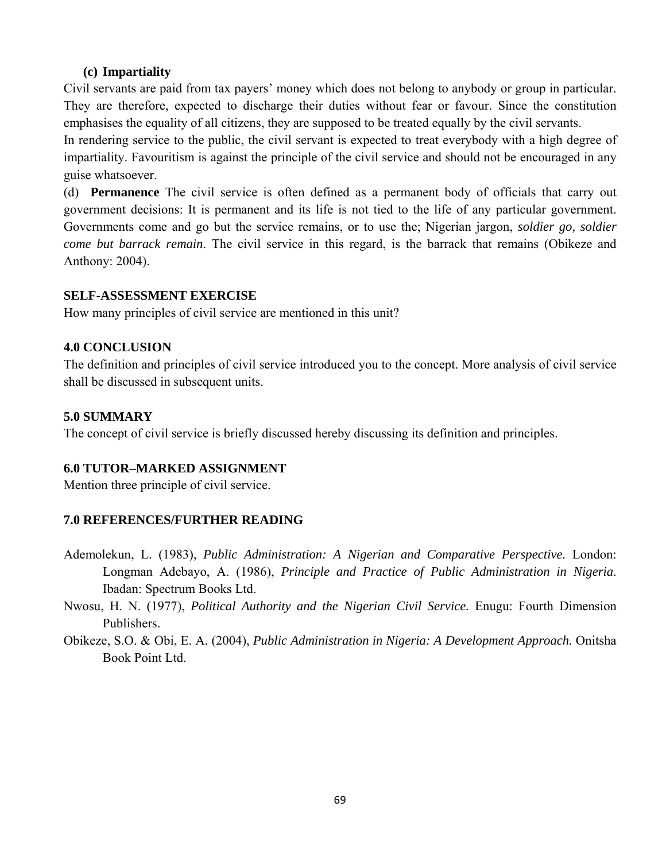#### **(c) Impartiality**

Civil servants are paid from tax payers' money which does not belong to anybody or group in particular. They are therefore, expected to discharge their duties without fear or favour. Since the constitution emphasises the equality of all citizens, they are supposed to be treated equally by the civil servants.

In rendering service to the public, the civil servant is expected to treat everybody with a high degree of impartiality. Favouritism is against the principle of the civil service and should not be encouraged in any guise whatsoever.

(d) **Permanence** The civil service is often defined as a permanent body of officials that carry out government decisions: It is permanent and its life is not tied to the life of any particular government. Governments come and go but the service remains, or to use the; Nigerian jargon, *soldier go, soldier come but barrack remain*. The civil service in this regard, is the barrack that remains (Obikeze and Anthony: 2004).

#### **SELF-ASSESSMENT EXERCISE**

How many principles of civil service are mentioned in this unit?

#### **4.0 CONCLUSION**

The definition and principles of civil service introduced you to the concept. More analysis of civil service shall be discussed in subsequent units.

#### **5.0 SUMMARY**

The concept of civil service is briefly discussed hereby discussing its definition and principles.

#### **6.0 TUTOR–MARKED ASSIGNMENT**

Mention three principle of civil service.

#### **7.0 REFERENCES/FURTHER READING**

- Ademolekun, L. (1983), *Public Administration: A Nigerian and Comparative Perspective.* London: Longman Adebayo, A. (1986), *Principle and Practice of Public Administration in Nigeria*. Ibadan: Spectrum Books Ltd.
- Nwosu, H. N. (1977), *Political Authority and the Nigerian Civil Service.* Enugu: Fourth Dimension Publishers.
- Obikeze, S.O. & Obi, E. A. (2004), *Public Administration in Nigeria: A Development Approach.* Onitsha Book Point Ltd.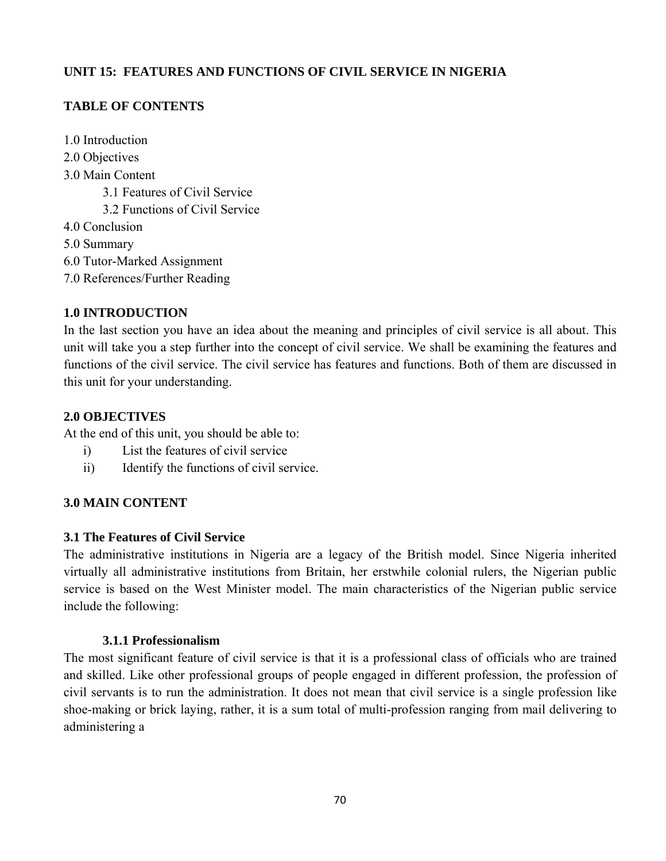## **UNIT 15: FEATURES AND FUNCTIONS OF CIVIL SERVICE IN NIGERIA**

## **TABLE OF CONTENTS**

- 1.0 Introduction
- 2.0 Objectives
- 3.0 Main Content
	- 3.1 Features of Civil Service
	- 3.2 Functions of Civil Service
- 4.0 Conclusion
- 5.0 Summary
- 6.0 Tutor-Marked Assignment
- 7.0 References/Further Reading

### **1.0 INTRODUCTION**

In the last section you have an idea about the meaning and principles of civil service is all about. This unit will take you a step further into the concept of civil service. We shall be examining the features and functions of the civil service. The civil service has features and functions. Both of them are discussed in this unit for your understanding.

### **2.0 OBJECTIVES**

At the end of this unit, you should be able to:

- i) List the features of civil service
- ii) Identify the functions of civil service.

# **3.0 MAIN CONTENT**

### **3.1 The Features of Civil Service**

The administrative institutions in Nigeria are a legacy of the British model. Since Nigeria inherited virtually all administrative institutions from Britain, her erstwhile colonial rulers, the Nigerian public service is based on the West Minister model. The main characteristics of the Nigerian public service include the following:

### **3.1.1 Professionalism**

The most significant feature of civil service is that it is a professional class of officials who are trained and skilled. Like other professional groups of people engaged in different profession, the profession of civil servants is to run the administration. It does not mean that civil service is a single profession like shoe-making or brick laying, rather, it is a sum total of multi-profession ranging from mail delivering to administering a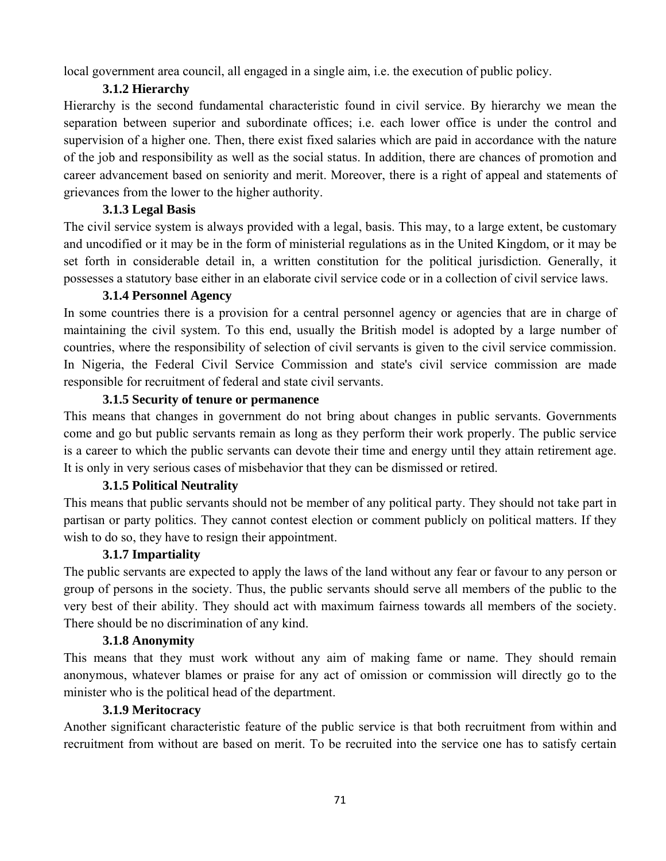local government area council, all engaged in a single aim, i.e. the execution of public policy.

# **3.1.2 Hierarchy**

Hierarchy is the second fundamental characteristic found in civil service. By hierarchy we mean the separation between superior and subordinate offices; i.e. each lower office is under the control and supervision of a higher one. Then, there exist fixed salaries which are paid in accordance with the nature of the job and responsibility as well as the social status. In addition, there are chances of promotion and career advancement based on seniority and merit. Moreover, there is a right of appeal and statements of grievances from the lower to the higher authority.

# **3.1.3 Legal Basis**

The civil service system is always provided with a legal, basis. This may, to a large extent, be customary and uncodified or it may be in the form of ministerial regulations as in the United Kingdom, or it may be set forth in considerable detail in, a written constitution for the political jurisdiction. Generally, it possesses a statutory base either in an elaborate civil service code or in a collection of civil service laws.

# **3.1.4 Personnel Agency**

In some countries there is a provision for a central personnel agency or agencies that are in charge of maintaining the civil system. To this end, usually the British model is adopted by a large number of countries, where the responsibility of selection of civil servants is given to the civil service commission. In Nigeria, the Federal Civil Service Commission and state's civil service commission are made responsible for recruitment of federal and state civil servants.

## **3.1.5 Security of tenure or permanence**

This means that changes in government do not bring about changes in public servants. Governments come and go but public servants remain as long as they perform their work properly. The public service is a career to which the public servants can devote their time and energy until they attain retirement age. It is only in very serious cases of misbehavior that they can be dismissed or retired.

# **3.1.5 Political Neutrality**

This means that public servants should not be member of any political party. They should not take part in partisan or party politics. They cannot contest election or comment publicly on political matters. If they wish to do so, they have to resign their appointment.

### **3.1.7 Impartiality**

The public servants are expected to apply the laws of the land without any fear or favour to any person or group of persons in the society. Thus, the public servants should serve all members of the public to the very best of their ability. They should act with maximum fairness towards all members of the society. There should be no discrimination of any kind.

### **3.1.8 Anonymity**

This means that they must work without any aim of making fame or name. They should remain anonymous, whatever blames or praise for any act of omission or commission will directly go to the minister who is the political head of the department.

### **3.1.9 Meritocracy**

Another significant characteristic feature of the public service is that both recruitment from within and recruitment from without are based on merit. To be recruited into the service one has to satisfy certain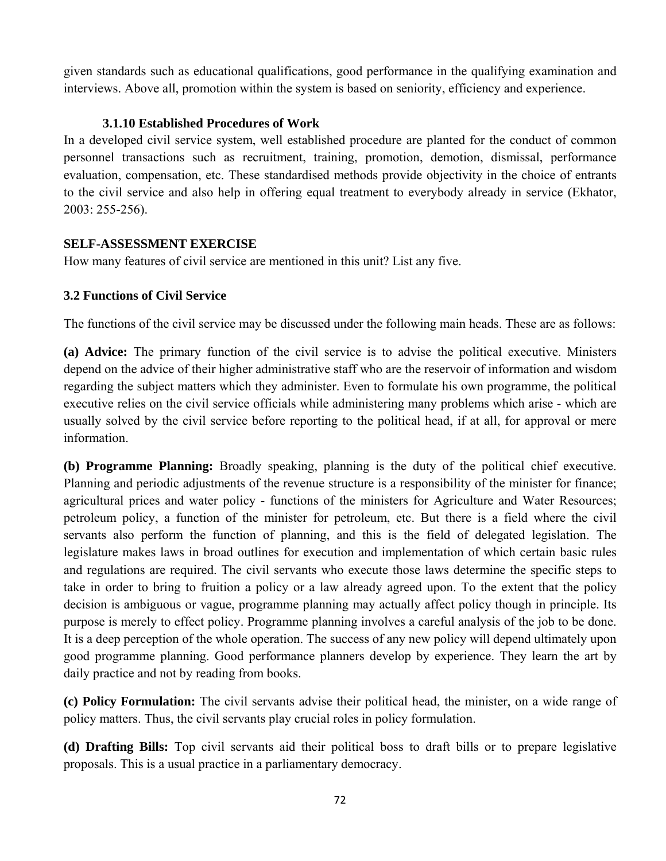given standards such as educational qualifications, good performance in the qualifying examination and interviews. Above all, promotion within the system is based on seniority, efficiency and experience.

## **3.1.10 Established Procedures of Work**

In a developed civil service system, well established procedure are planted for the conduct of common personnel transactions such as recruitment, training, promotion, demotion, dismissal, performance evaluation, compensation, etc. These standardised methods provide objectivity in the choice of entrants to the civil service and also help in offering equal treatment to everybody already in service (Ekhator, 2003: 255-256).

### **SELF-ASSESSMENT EXERCISE**

How many features of civil service are mentioned in this unit? List any five.

## **3.2 Functions of Civil Service**

The functions of the civil service may be discussed under the following main heads. These are as follows:

**(a) Advice:** The primary function of the civil service is to advise the political executive. Ministers depend on the advice of their higher administrative staff who are the reservoir of information and wisdom regarding the subject matters which they administer. Even to formulate his own programme, the political executive relies on the civil service officials while administering many problems which arise - which are usually solved by the civil service before reporting to the political head, if at all, for approval or mere information.

**(b) Programme Planning:** Broadly speaking, planning is the duty of the political chief executive. Planning and periodic adjustments of the revenue structure is a responsibility of the minister for finance; agricultural prices and water policy - functions of the ministers for Agriculture and Water Resources; petroleum policy, a function of the minister for petroleum, etc. But there is a field where the civil servants also perform the function of planning, and this is the field of delegated legislation. The legislature makes laws in broad outlines for execution and implementation of which certain basic rules and regulations are required. The civil servants who execute those laws determine the specific steps to take in order to bring to fruition a policy or a law already agreed upon. To the extent that the policy decision is ambiguous or vague, programme planning may actually affect policy though in principle. Its purpose is merely to effect policy. Programme planning involves a careful analysis of the job to be done. It is a deep perception of the whole operation. The success of any new policy will depend ultimately upon good programme planning. Good performance planners develop by experience. They learn the art by daily practice and not by reading from books.

**(c) Policy Formulation:** The civil servants advise their political head, the minister, on a wide range of policy matters. Thus, the civil servants play crucial roles in policy formulation.

**(d) Drafting Bills:** Top civil servants aid their political boss to draft bills or to prepare legislative proposals. This is a usual practice in a parliamentary democracy.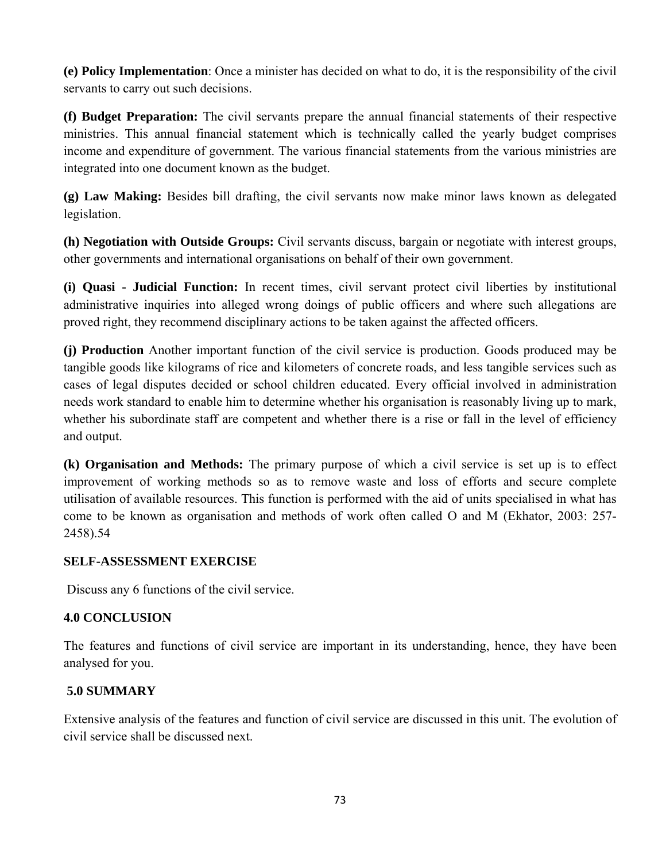**(e) Policy Implementation**: Once a minister has decided on what to do, it is the responsibility of the civil servants to carry out such decisions.

**(f) Budget Preparation:** The civil servants prepare the annual financial statements of their respective ministries. This annual financial statement which is technically called the yearly budget comprises income and expenditure of government. The various financial statements from the various ministries are integrated into one document known as the budget.

**(g) Law Making:** Besides bill drafting, the civil servants now make minor laws known as delegated legislation.

**(h) Negotiation with Outside Groups:** Civil servants discuss, bargain or negotiate with interest groups, other governments and international organisations on behalf of their own government.

**(i) Quasi - Judicial Function:** In recent times, civil servant protect civil liberties by institutional administrative inquiries into alleged wrong doings of public officers and where such allegations are proved right, they recommend disciplinary actions to be taken against the affected officers.

**(j) Production** Another important function of the civil service is production. Goods produced may be tangible goods like kilograms of rice and kilometers of concrete roads, and less tangible services such as cases of legal disputes decided or school children educated. Every official involved in administration needs work standard to enable him to determine whether his organisation is reasonably living up to mark, whether his subordinate staff are competent and whether there is a rise or fall in the level of efficiency and output.

**(k) Organisation and Methods:** The primary purpose of which a civil service is set up is to effect improvement of working methods so as to remove waste and loss of efforts and secure complete utilisation of available resources. This function is performed with the aid of units specialised in what has come to be known as organisation and methods of work often called O and M (Ekhator, 2003: 257- 2458).54

## **SELF-ASSESSMENT EXERCISE**

Discuss any 6 functions of the civil service.

## **4.0 CONCLUSION**

The features and functions of civil service are important in its understanding, hence, they have been analysed for you.

# **5.0 SUMMARY**

Extensive analysis of the features and function of civil service are discussed in this unit. The evolution of civil service shall be discussed next.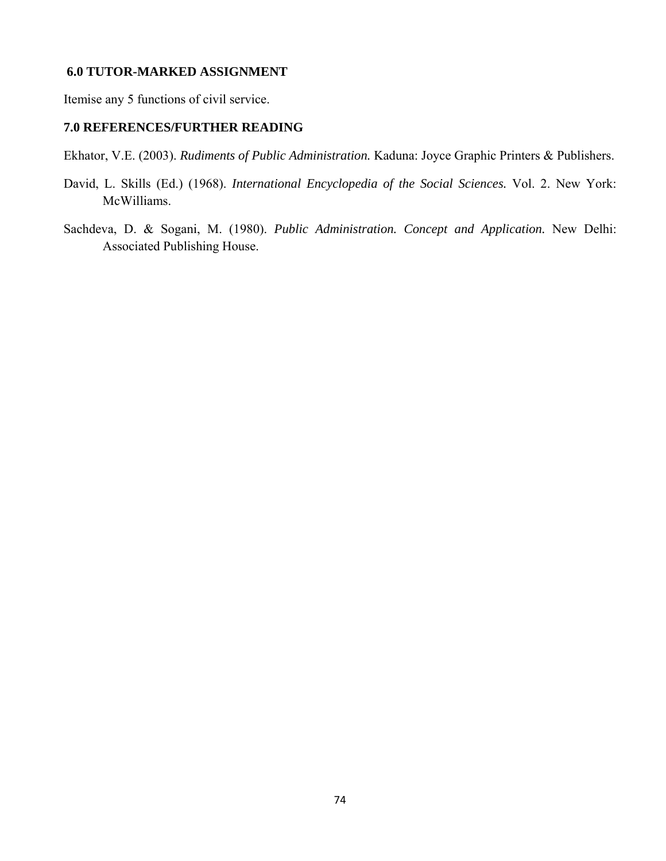#### **6.0 TUTOR-MARKED ASSIGNMENT**

Itemise any 5 functions of civil service.

#### **7.0 REFERENCES/FURTHER READING**

Ekhator, V.E. (2003). *Rudiments of Public Administration.* Kaduna: Joyce Graphic Printers & Publishers.

- David, L. Skills (Ed.) (1968). *International Encyclopedia of the Social Sciences.* Vol. 2. New York: McWilliams.
- Sachdeva, D. & Sogani, M. (1980). *Public Administration. Concept and Application.* New Delhi: Associated Publishing House.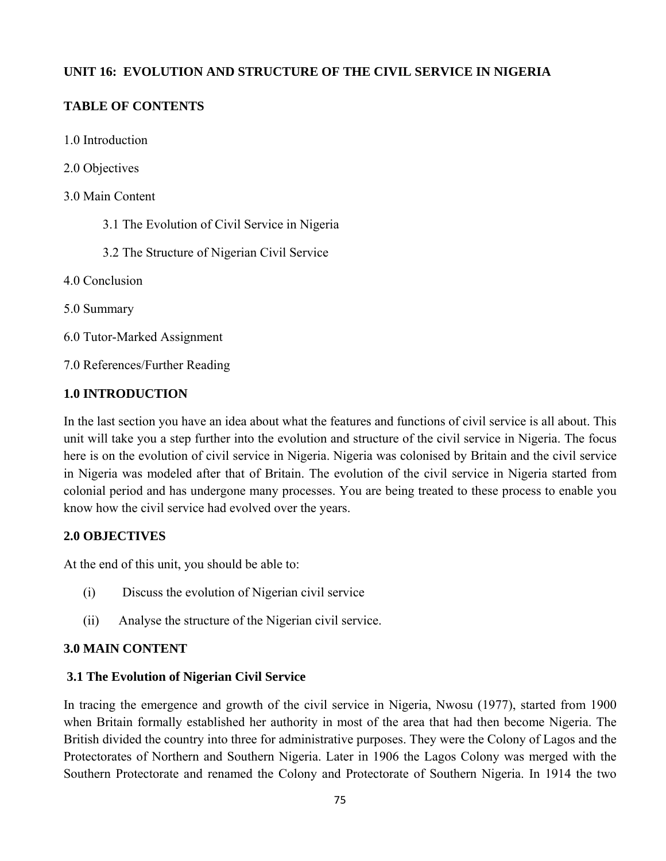# **UNIT 16: EVOLUTION AND STRUCTURE OF THE CIVIL SERVICE IN NIGERIA**

# **TABLE OF CONTENTS**

- 1.0 Introduction
- 2.0 Objectives
- 3.0 Main Content
	- 3.1 The Evolution of Civil Service in Nigeria
	- 3.2 The Structure of Nigerian Civil Service
- 4.0 Conclusion
- 5.0 Summary
- 6.0 Tutor-Marked Assignment
- 7.0 References/Further Reading

# **1.0 INTRODUCTION**

In the last section you have an idea about what the features and functions of civil service is all about. This unit will take you a step further into the evolution and structure of the civil service in Nigeria. The focus here is on the evolution of civil service in Nigeria. Nigeria was colonised by Britain and the civil service in Nigeria was modeled after that of Britain. The evolution of the civil service in Nigeria started from colonial period and has undergone many processes. You are being treated to these process to enable you know how the civil service had evolved over the years.

## **2.0 OBJECTIVES**

At the end of this unit, you should be able to:

- (i) Discuss the evolution of Nigerian civil service
- (ii) Analyse the structure of the Nigerian civil service.

## **3.0 MAIN CONTENT**

## **3.1 The Evolution of Nigerian Civil Service**

In tracing the emergence and growth of the civil service in Nigeria, Nwosu (1977), started from 1900 when Britain formally established her authority in most of the area that had then become Nigeria. The British divided the country into three for administrative purposes. They were the Colony of Lagos and the Protectorates of Northern and Southern Nigeria. Later in 1906 the Lagos Colony was merged with the Southern Protectorate and renamed the Colony and Protectorate of Southern Nigeria. In 1914 the two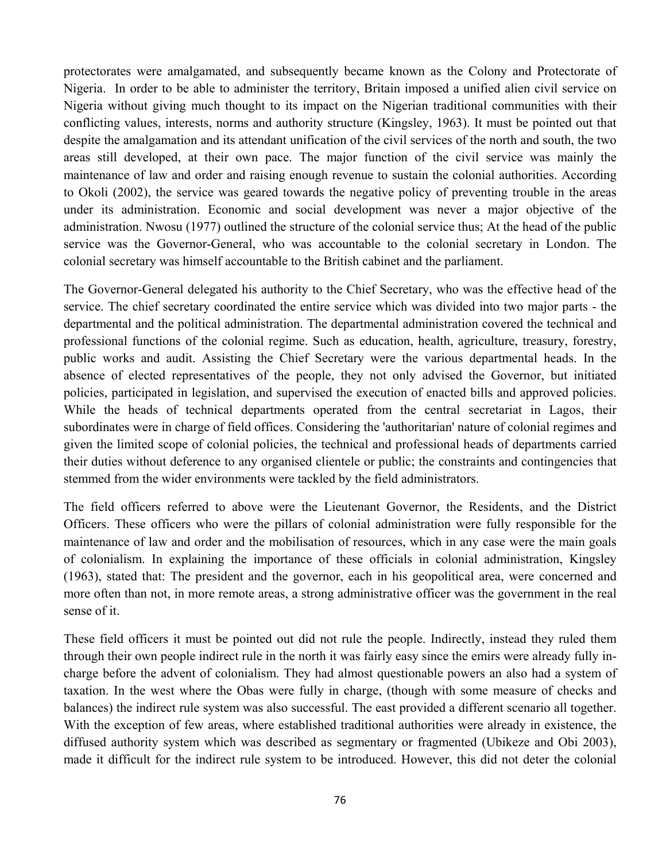protectorates were amalgamated, and subsequently became known as the Colony and Protectorate of Nigeria. In order to be able to administer the territory, Britain imposed a unified alien civil service on Nigeria without giving much thought to its impact on the Nigerian traditional communities with their conflicting values, interests, norms and authority structure (Kingsley, 1963). It must be pointed out that despite the amalgamation and its attendant unification of the civil services of the north and south, the two areas still developed, at their own pace. The major function of the civil service was mainly the maintenance of law and order and raising enough revenue to sustain the colonial authorities. According to Okoli (2002), the service was geared towards the negative policy of preventing trouble in the areas under its administration. Economic and social development was never a major objective of the administration. Nwosu (1977) outlined the structure of the colonial service thus; At the head of the public service was the Governor-General, who was accountable to the colonial secretary in London. The colonial secretary was himself accountable to the British cabinet and the parliament.

The Governor-General delegated his authority to the Chief Secretary, who was the effective head of the service. The chief secretary coordinated the entire service which was divided into two major parts - the departmental and the political administration. The departmental administration covered the technical and professional functions of the colonial regime. Such as education, health, agriculture, treasury, forestry, public works and audit. Assisting the Chief Secretary were the various departmental heads. In the absence of elected representatives of the people, they not only advised the Governor, but initiated policies, participated in legislation, and supervised the execution of enacted bills and approved policies. While the heads of technical departments operated from the central secretariat in Lagos, their subordinates were in charge of field offices. Considering the 'authoritarian' nature of colonial regimes and given the limited scope of colonial policies, the technical and professional heads of departments carried their duties without deference to any organised clientele or public; the constraints and contingencies that stemmed from the wider environments were tackled by the field administrators.

The field officers referred to above were the Lieutenant Governor, the Residents, and the District Officers. These officers who were the pillars of colonial administration were fully responsible for the maintenance of law and order and the mobilisation of resources, which in any case were the main goals of colonialism. In explaining the importance of these officials in colonial administration, Kingsley (1963), stated that: The president and the governor, each in his geopolitical area, were concerned and more often than not, in more remote areas, a strong administrative officer was the government in the real sense of it.

These field officers it must be pointed out did not rule the people. Indirectly, instead they ruled them through their own people indirect rule in the north it was fairly easy since the emirs were already fully incharge before the advent of colonialism. They had almost questionable powers an also had a system of taxation. In the west where the Obas were fully in charge, (though with some measure of checks and balances) the indirect rule system was also successful. The east provided a different scenario all together. With the exception of few areas, where established traditional authorities were already in existence, the diffused authority system which was described as segmentary or fragmented (Ubikeze and Obi 2003), made it difficult for the indirect rule system to be introduced. However, this did not deter the colonial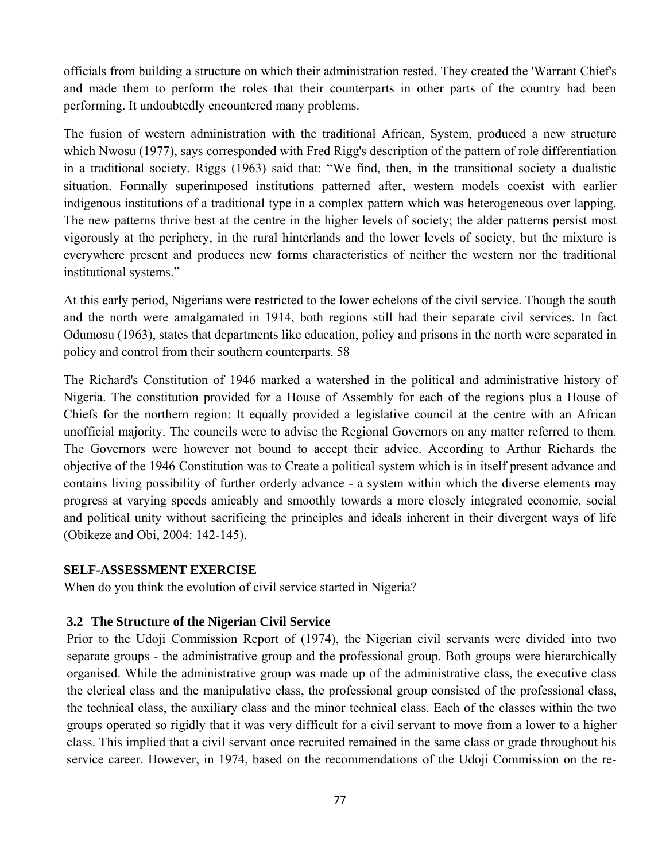officials from building a structure on which their administration rested. They created the 'Warrant Chief's and made them to perform the roles that their counterparts in other parts of the country had been performing. It undoubtedly encountered many problems.

The fusion of western administration with the traditional African, System, produced a new structure which Nwosu (1977), says corresponded with Fred Rigg's description of the pattern of role differentiation in a traditional society. Riggs (1963) said that: "We find, then, in the transitional society a dualistic situation. Formally superimposed institutions patterned after, western models coexist with earlier indigenous institutions of a traditional type in a complex pattern which was heterogeneous over lapping. The new patterns thrive best at the centre in the higher levels of society; the alder patterns persist most vigorously at the periphery, in the rural hinterlands and the lower levels of society, but the mixture is everywhere present and produces new forms characteristics of neither the western nor the traditional institutional systems."

At this early period, Nigerians were restricted to the lower echelons of the civil service. Though the south and the north were amalgamated in 1914, both regions still had their separate civil services. In fact Odumosu (1963), states that departments like education, policy and prisons in the north were separated in policy and control from their southern counterparts. 58

The Richard's Constitution of 1946 marked a watershed in the political and administrative history of Nigeria. The constitution provided for a House of Assembly for each of the regions plus a House of Chiefs for the northern region: It equally provided a legislative council at the centre with an African unofficial majority. The councils were to advise the Regional Governors on any matter referred to them. The Governors were however not bound to accept their advice. According to Arthur Richards the objective of the 1946 Constitution was to Create a political system which is in itself present advance and contains living possibility of further orderly advance - a system within which the diverse elements may progress at varying speeds amicably and smoothly towards a more closely integrated economic, social and political unity without sacrificing the principles and ideals inherent in their divergent ways of life (Obikeze and Obi, 2004: 142-145).

#### **SELF-ASSESSMENT EXERCISE**

When do you think the evolution of civil service started in Nigeria?

#### **3.2 The Structure of the Nigerian Civil Service**

Prior to the Udoji Commission Report of (1974), the Nigerian civil servants were divided into two separate groups - the administrative group and the professional group. Both groups were hierarchically organised. While the administrative group was made up of the administrative class, the executive class the clerical class and the manipulative class, the professional group consisted of the professional class, the technical class, the auxiliary class and the minor technical class. Each of the classes within the two groups operated so rigidly that it was very difficult for a civil servant to move from a lower to a higher class. This implied that a civil servant once recruited remained in the same class or grade throughout his service career. However, in 1974, based on the recommendations of the Udoji Commission on the re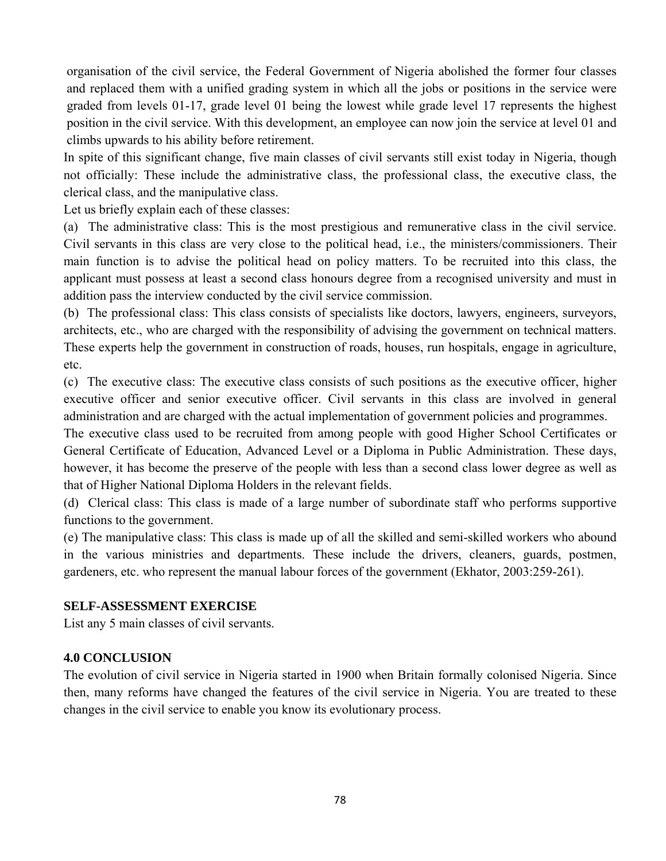organisation of the civil service, the Federal Government of Nigeria abolished the former four classes and replaced them with a unified grading system in which all the jobs or positions in the service were graded from levels 01-17, grade level 01 being the lowest while grade level 17 represents the highest position in the civil service. With this development, an employee can now join the service at level 01 and climbs upwards to his ability before retirement.

In spite of this significant change, five main classes of civil servants still exist today in Nigeria, though not officially: These include the administrative class, the professional class, the executive class, the clerical class, and the manipulative class.

Let us briefly explain each of these classes:

(a) The administrative class: This is the most prestigious and remunerative class in the civil service. Civil servants in this class are very close to the political head, i.e., the ministers/commissioners. Their main function is to advise the political head on policy matters. To be recruited into this class, the applicant must possess at least a second class honours degree from a recognised university and must in addition pass the interview conducted by the civil service commission.

(b) The professional class: This class consists of specialists like doctors, lawyers, engineers, surveyors, architects, etc., who are charged with the responsibility of advising the government on technical matters. These experts help the government in construction of roads, houses, run hospitals, engage in agriculture, etc.

(c) The executive class: The executive class consists of such positions as the executive officer, higher executive officer and senior executive officer. Civil servants in this class are involved in general administration and are charged with the actual implementation of government policies and programmes.

The executive class used to be recruited from among people with good Higher School Certificates or General Certificate of Education, Advanced Level or a Diploma in Public Administration. These days, however, it has become the preserve of the people with less than a second class lower degree as well as that of Higher National Diploma Holders in the relevant fields.

(d) Clerical class: This class is made of a large number of subordinate staff who performs supportive functions to the government.

(e) The manipulative class: This class is made up of all the skilled and semi-skilled workers who abound in the various ministries and departments. These include the drivers, cleaners, guards, postmen, gardeners, etc. who represent the manual labour forces of the government (Ekhator, 2003:259-261).

#### **SELF-ASSESSMENT EXERCISE**

List any 5 main classes of civil servants.

#### **4.0 CONCLUSION**

The evolution of civil service in Nigeria started in 1900 when Britain formally colonised Nigeria. Since then, many reforms have changed the features of the civil service in Nigeria. You are treated to these changes in the civil service to enable you know its evolutionary process.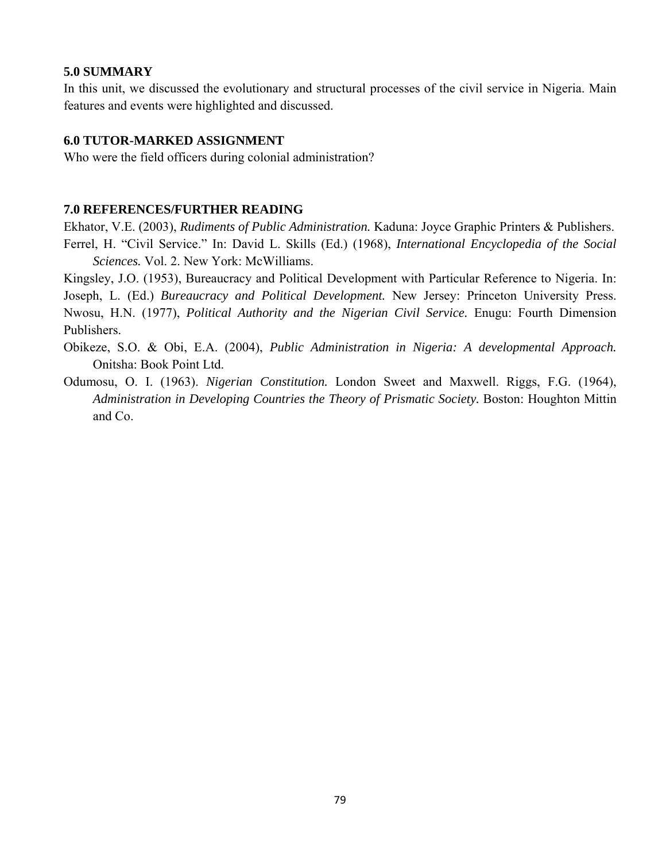#### **5.0 SUMMARY**

In this unit, we discussed the evolutionary and structural processes of the civil service in Nigeria. Main features and events were highlighted and discussed.

#### **6.0 TUTOR-MARKED ASSIGNMENT**

Who were the field officers during colonial administration?

#### **7.0 REFERENCES/FURTHER READING**

Ekhator, V.E. (2003), *Rudiments of Public Administration.* Kaduna: Joyce Graphic Printers & Publishers. Ferrel, H. "Civil Service." In: David L. Skills (Ed.) (1968), *International Encyclopedia of the Social Sciences.* Vol. 2. New York: McWilliams.

Kingsley, J.O. (1953), Bureaucracy and Political Development with Particular Reference to Nigeria. In: Joseph, L. (Ed.) *Bureaucracy and Political Development.* New Jersey: Princeton University Press. Nwosu, H.N. (1977), *Political Authority and the Nigerian Civil Service.* Enugu: Fourth Dimension Publishers.

- Obikeze, S.O. & Obi, E.A. (2004), *Public Administration in Nigeria: A developmental Approach.*  Onitsha: Book Point Ltd.
- Odumosu, O. I. (1963). *Nigerian Constitution.* London Sweet and Maxwell. Riggs, F.G. (1964), *Administration in Developing Countries the Theory of Prismatic Society.* Boston: Houghton Mittin and Co.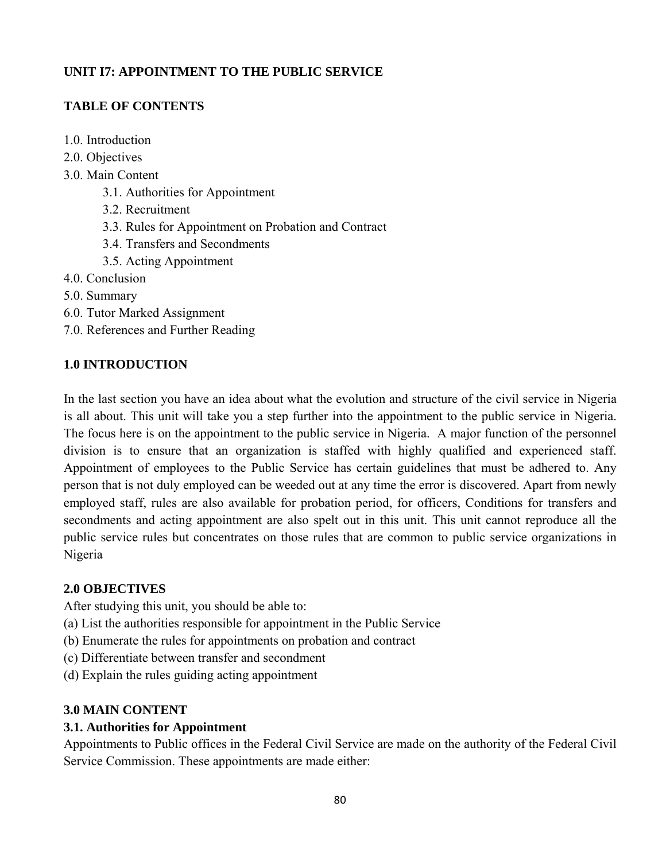# **UNIT I7: APPOINTMENT TO THE PUBLIC SERVICE**

# **TABLE OF CONTENTS**

- 1.0. Introduction
- 2.0. Objectives
- 3.0. Main Content
	- 3.1. Authorities for Appointment
	- 3.2. Recruitment
	- 3.3. Rules for Appointment on Probation and Contract
	- 3.4. Transfers and Secondments
	- 3.5. Acting Appointment
- 4.0. Conclusion
- 5.0. Summary
- 6.0. Tutor Marked Assignment
- 7.0. References and Further Reading

# **1.0 INTRODUCTION**

In the last section you have an idea about what the evolution and structure of the civil service in Nigeria is all about. This unit will take you a step further into the appointment to the public service in Nigeria. The focus here is on the appointment to the public service in Nigeria. A major function of the personnel division is to ensure that an organization is staffed with highly qualified and experienced staff. Appointment of employees to the Public Service has certain guidelines that must be adhered to. Any person that is not duly employed can be weeded out at any time the error is discovered. Apart from newly employed staff, rules are also available for probation period, for officers, Conditions for transfers and secondments and acting appointment are also spelt out in this unit. This unit cannot reproduce all the public service rules but concentrates on those rules that are common to public service organizations in Nigeria

# **2.0 OBJECTIVES**

After studying this unit, you should be able to:

- (a) List the authorities responsible for appointment in the Public Service
- (b) Enumerate the rules for appointments on probation and contract
- (c) Differentiate between transfer and secondment
- (d) Explain the rules guiding acting appointment

# **3.0 MAIN CONTENT**

# **3.1. Authorities for Appointment**

Appointments to Public offices in the Federal Civil Service are made on the authority of the Federal Civil Service Commission. These appointments are made either: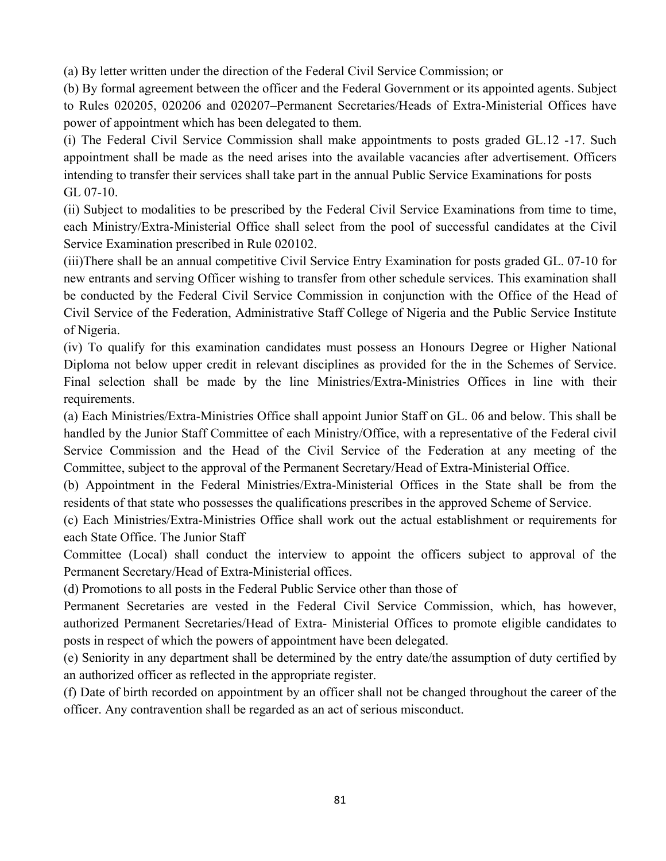(a) By letter written under the direction of the Federal Civil Service Commission; or

(b) By formal agreement between the officer and the Federal Government or its appointed agents. Subject to Rules 020205, 020206 and 020207–Permanent Secretaries/Heads of Extra-Ministerial Offices have power of appointment which has been delegated to them.

(i) The Federal Civil Service Commission shall make appointments to posts graded GL.12 -17. Such appointment shall be made as the need arises into the available vacancies after advertisement. Officers intending to transfer their services shall take part in the annual Public Service Examinations for posts GL 07-10.

(ii) Subject to modalities to be prescribed by the Federal Civil Service Examinations from time to time, each Ministry/Extra-Ministerial Office shall select from the pool of successful candidates at the Civil Service Examination prescribed in Rule 020102.

(iii)There shall be an annual competitive Civil Service Entry Examination for posts graded GL. 07-10 for new entrants and serving Officer wishing to transfer from other schedule services. This examination shall be conducted by the Federal Civil Service Commission in conjunction with the Office of the Head of Civil Service of the Federation, Administrative Staff College of Nigeria and the Public Service Institute of Nigeria.

(iv) To qualify for this examination candidates must possess an Honours Degree or Higher National Diploma not below upper credit in relevant disciplines as provided for the in the Schemes of Service. Final selection shall be made by the line Ministries/Extra-Ministries Offices in line with their requirements.

(a) Each Ministries/Extra-Ministries Office shall appoint Junior Staff on GL. 06 and below. This shall be handled by the Junior Staff Committee of each Ministry/Office, with a representative of the Federal civil Service Commission and the Head of the Civil Service of the Federation at any meeting of the Committee, subject to the approval of the Permanent Secretary/Head of Extra-Ministerial Office.

(b) Appointment in the Federal Ministries/Extra-Ministerial Offices in the State shall be from the residents of that state who possesses the qualifications prescribes in the approved Scheme of Service.

(c) Each Ministries/Extra-Ministries Office shall work out the actual establishment or requirements for each State Office. The Junior Staff

Committee (Local) shall conduct the interview to appoint the officers subject to approval of the Permanent Secretary/Head of Extra-Ministerial offices.

(d) Promotions to all posts in the Federal Public Service other than those of

Permanent Secretaries are vested in the Federal Civil Service Commission, which, has however, authorized Permanent Secretaries/Head of Extra- Ministerial Offices to promote eligible candidates to posts in respect of which the powers of appointment have been delegated.

(e) Seniority in any department shall be determined by the entry date/the assumption of duty certified by an authorized officer as reflected in the appropriate register.

(f) Date of birth recorded on appointment by an officer shall not be changed throughout the career of the officer. Any contravention shall be regarded as an act of serious misconduct.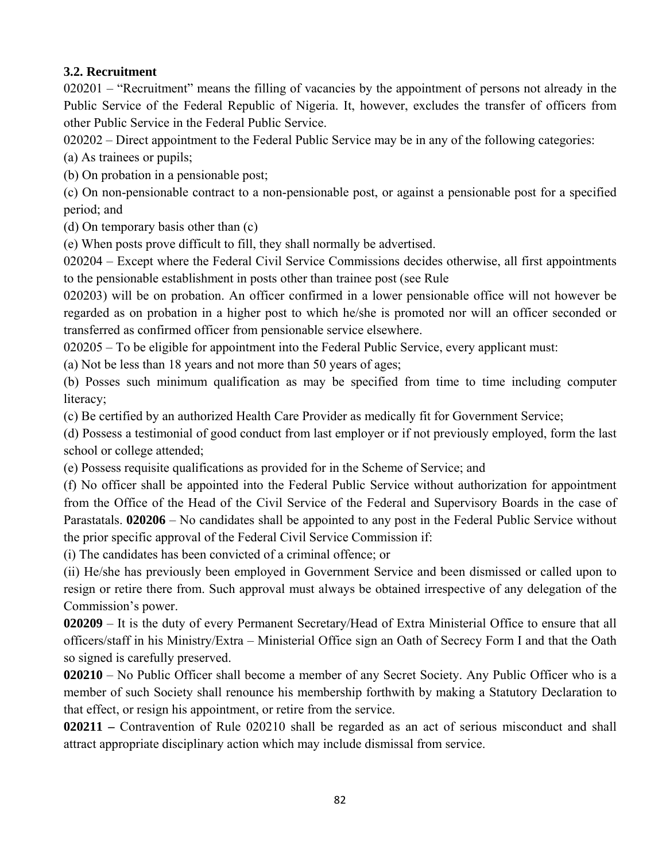## **3.2. Recruitment**

020201 – "Recruitment" means the filling of vacancies by the appointment of persons not already in the Public Service of the Federal Republic of Nigeria. It, however, excludes the transfer of officers from other Public Service in the Federal Public Service.

020202 – Direct appointment to the Federal Public Service may be in any of the following categories:

(a) As trainees or pupils;

(b) On probation in a pensionable post;

(c) On non-pensionable contract to a non-pensionable post, or against a pensionable post for a specified period; and

(d) On temporary basis other than (c)

(e) When posts prove difficult to fill, they shall normally be advertised.

020204 – Except where the Federal Civil Service Commissions decides otherwise, all first appointments to the pensionable establishment in posts other than trainee post (see Rule

020203) will be on probation. An officer confirmed in a lower pensionable office will not however be regarded as on probation in a higher post to which he/she is promoted nor will an officer seconded or transferred as confirmed officer from pensionable service elsewhere.

020205 – To be eligible for appointment into the Federal Public Service, every applicant must:

(a) Not be less than 18 years and not more than 50 years of ages;

(b) Posses such minimum qualification as may be specified from time to time including computer literacy;

(c) Be certified by an authorized Health Care Provider as medically fit for Government Service;

(d) Possess a testimonial of good conduct from last employer or if not previously employed, form the last school or college attended;

(e) Possess requisite qualifications as provided for in the Scheme of Service; and

(f) No officer shall be appointed into the Federal Public Service without authorization for appointment from the Office of the Head of the Civil Service of the Federal and Supervisory Boards in the case of Parastatals. **020206** – No candidates shall be appointed to any post in the Federal Public Service without the prior specific approval of the Federal Civil Service Commission if:

(i) The candidates has been convicted of a criminal offence; or

(ii) He/she has previously been employed in Government Service and been dismissed or called upon to resign or retire there from. Such approval must always be obtained irrespective of any delegation of the Commission's power.

**020209** – It is the duty of every Permanent Secretary/Head of Extra Ministerial Office to ensure that all officers/staff in his Ministry/Extra – Ministerial Office sign an Oath of Secrecy Form I and that the Oath so signed is carefully preserved.

**020210** – No Public Officer shall become a member of any Secret Society. Any Public Officer who is a member of such Society shall renounce his membership forthwith by making a Statutory Declaration to that effect, or resign his appointment, or retire from the service.

**020211 –** Contravention of Rule 020210 shall be regarded as an act of serious misconduct and shall attract appropriate disciplinary action which may include dismissal from service.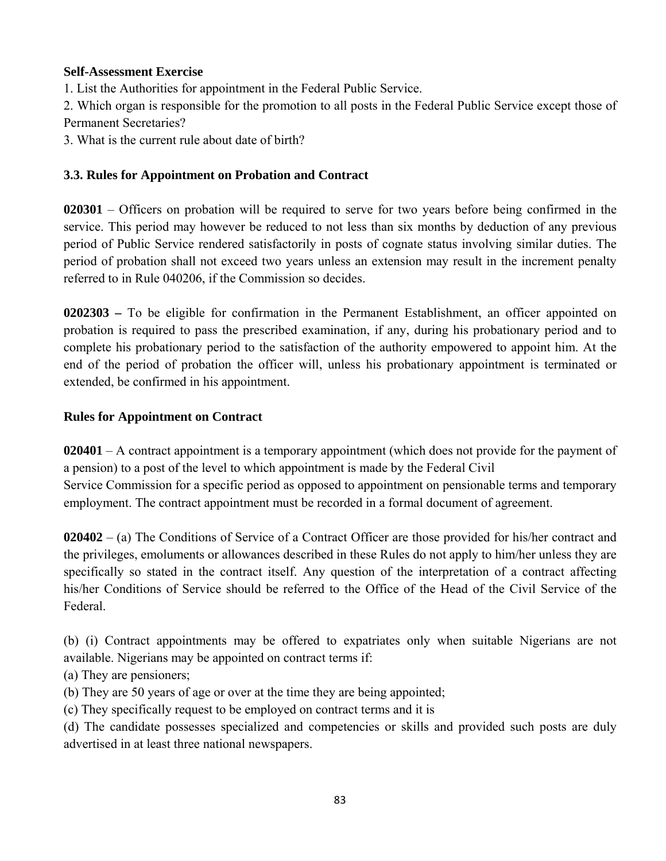## **Self-Assessment Exercise**

1. List the Authorities for appointment in the Federal Public Service.

2. Which organ is responsible for the promotion to all posts in the Federal Public Service except those of Permanent Secretaries?

3. What is the current rule about date of birth?

## **3.3. Rules for Appointment on Probation and Contract**

**020301** – Officers on probation will be required to serve for two years before being confirmed in the service. This period may however be reduced to not less than six months by deduction of any previous period of Public Service rendered satisfactorily in posts of cognate status involving similar duties. The period of probation shall not exceed two years unless an extension may result in the increment penalty referred to in Rule 040206, if the Commission so decides.

**0202303 –** To be eligible for confirmation in the Permanent Establishment, an officer appointed on probation is required to pass the prescribed examination, if any, during his probationary period and to complete his probationary period to the satisfaction of the authority empowered to appoint him. At the end of the period of probation the officer will, unless his probationary appointment is terminated or extended, be confirmed in his appointment.

# **Rules for Appointment on Contract**

**020401** – A contract appointment is a temporary appointment (which does not provide for the payment of a pension) to a post of the level to which appointment is made by the Federal Civil Service Commission for a specific period as opposed to appointment on pensionable terms and temporary employment. The contract appointment must be recorded in a formal document of agreement.

**020402** – (a) The Conditions of Service of a Contract Officer are those provided for his/her contract and the privileges, emoluments or allowances described in these Rules do not apply to him/her unless they are specifically so stated in the contract itself. Any question of the interpretation of a contract affecting his/her Conditions of Service should be referred to the Office of the Head of the Civil Service of the Federal.

(b) (i) Contract appointments may be offered to expatriates only when suitable Nigerians are not available. Nigerians may be appointed on contract terms if:

(a) They are pensioners;

- (b) They are 50 years of age or over at the time they are being appointed;
- (c) They specifically request to be employed on contract terms and it is

(d) The candidate possesses specialized and competencies or skills and provided such posts are duly advertised in at least three national newspapers.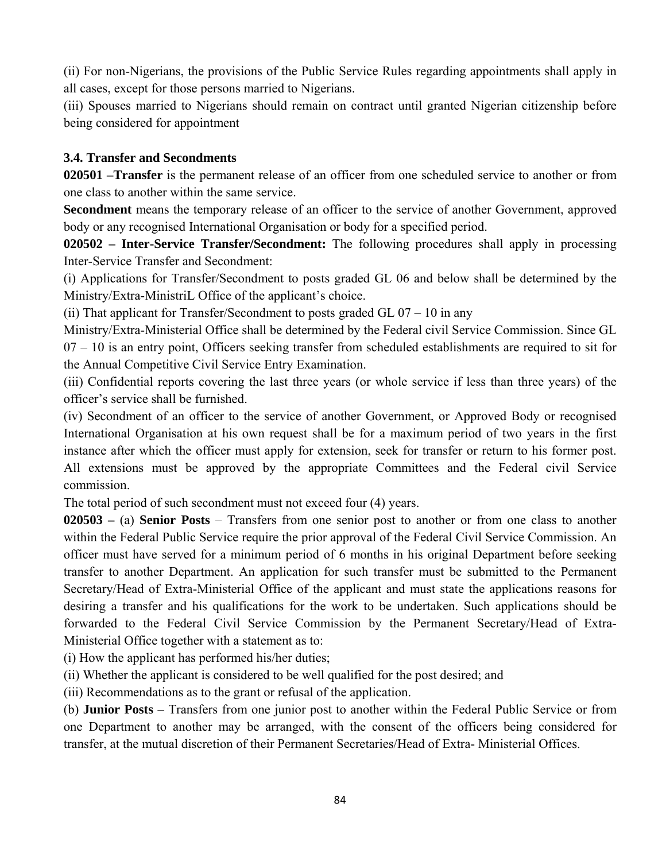(ii) For non-Nigerians, the provisions of the Public Service Rules regarding appointments shall apply in all cases, except for those persons married to Nigerians.

(iii) Spouses married to Nigerians should remain on contract until granted Nigerian citizenship before being considered for appointment

## **3.4. Transfer and Secondments**

**020501 –Transfer** is the permanent release of an officer from one scheduled service to another or from one class to another within the same service.

**Secondment** means the temporary release of an officer to the service of another Government, approved body or any recognised International Organisation or body for a specified period.

**020502 – Inter-Service Transfer/Secondment:** The following procedures shall apply in processing Inter-Service Transfer and Secondment:

(i) Applications for Transfer/Secondment to posts graded GL 06 and below shall be determined by the Ministry/Extra-MinistriL Office of the applicant's choice.

(ii) That applicant for Transfer/Secondment to posts graded GL  $07 - 10$  in any

Ministry/Extra-Ministerial Office shall be determined by the Federal civil Service Commission. Since GL  $07 - 10$  is an entry point. Officers seeking transfer from scheduled establishments are required to sit for the Annual Competitive Civil Service Entry Examination.

(iii) Confidential reports covering the last three years (or whole service if less than three years) of the officer's service shall be furnished.

(iv) Secondment of an officer to the service of another Government, or Approved Body or recognised International Organisation at his own request shall be for a maximum period of two years in the first instance after which the officer must apply for extension, seek for transfer or return to his former post. All extensions must be approved by the appropriate Committees and the Federal civil Service commission.

The total period of such secondment must not exceed four (4) years.

**020503 –** (a) **Senior Posts** – Transfers from one senior post to another or from one class to another within the Federal Public Service require the prior approval of the Federal Civil Service Commission. An officer must have served for a minimum period of 6 months in his original Department before seeking transfer to another Department. An application for such transfer must be submitted to the Permanent Secretary/Head of Extra-Ministerial Office of the applicant and must state the applications reasons for desiring a transfer and his qualifications for the work to be undertaken. Such applications should be forwarded to the Federal Civil Service Commission by the Permanent Secretary/Head of Extra-Ministerial Office together with a statement as to:

(i) How the applicant has performed his/her duties;

(ii) Whether the applicant is considered to be well qualified for the post desired; and

(iii) Recommendations as to the grant or refusal of the application.

(b) **Junior Posts** – Transfers from one junior post to another within the Federal Public Service or from one Department to another may be arranged, with the consent of the officers being considered for transfer, at the mutual discretion of their Permanent Secretaries/Head of Extra- Ministerial Offices.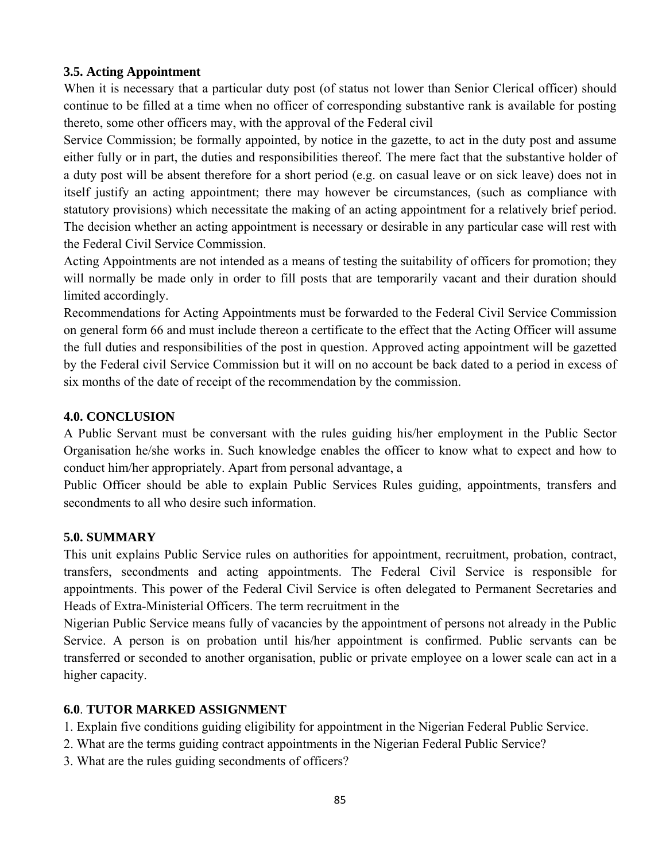## **3.5. Acting Appointment**

When it is necessary that a particular duty post (of status not lower than Senior Clerical officer) should continue to be filled at a time when no officer of corresponding substantive rank is available for posting thereto, some other officers may, with the approval of the Federal civil

Service Commission; be formally appointed, by notice in the gazette, to act in the duty post and assume either fully or in part, the duties and responsibilities thereof. The mere fact that the substantive holder of a duty post will be absent therefore for a short period (e.g. on casual leave or on sick leave) does not in itself justify an acting appointment; there may however be circumstances, (such as compliance with statutory provisions) which necessitate the making of an acting appointment for a relatively brief period. The decision whether an acting appointment is necessary or desirable in any particular case will rest with the Federal Civil Service Commission.

Acting Appointments are not intended as a means of testing the suitability of officers for promotion; they will normally be made only in order to fill posts that are temporarily vacant and their duration should limited accordingly.

Recommendations for Acting Appointments must be forwarded to the Federal Civil Service Commission on general form 66 and must include thereon a certificate to the effect that the Acting Officer will assume the full duties and responsibilities of the post in question. Approved acting appointment will be gazetted by the Federal civil Service Commission but it will on no account be back dated to a period in excess of six months of the date of receipt of the recommendation by the commission.

## **4.0. CONCLUSION**

A Public Servant must be conversant with the rules guiding his/her employment in the Public Sector Organisation he/she works in. Such knowledge enables the officer to know what to expect and how to conduct him/her appropriately. Apart from personal advantage, a

Public Officer should be able to explain Public Services Rules guiding, appointments, transfers and secondments to all who desire such information.

## **5.0. SUMMARY**

This unit explains Public Service rules on authorities for appointment, recruitment, probation, contract, transfers, secondments and acting appointments. The Federal Civil Service is responsible for appointments. This power of the Federal Civil Service is often delegated to Permanent Secretaries and Heads of Extra-Ministerial Officers. The term recruitment in the

Nigerian Public Service means fully of vacancies by the appointment of persons not already in the Public Service. A person is on probation until his/her appointment is confirmed. Public servants can be transferred or seconded to another organisation, public or private employee on a lower scale can act in a higher capacity.

## **6.0**. **TUTOR MARKED ASSIGNMENT**

- 1. Explain five conditions guiding eligibility for appointment in the Nigerian Federal Public Service.
- 2. What are the terms guiding contract appointments in the Nigerian Federal Public Service?
- 3. What are the rules guiding secondments of officers?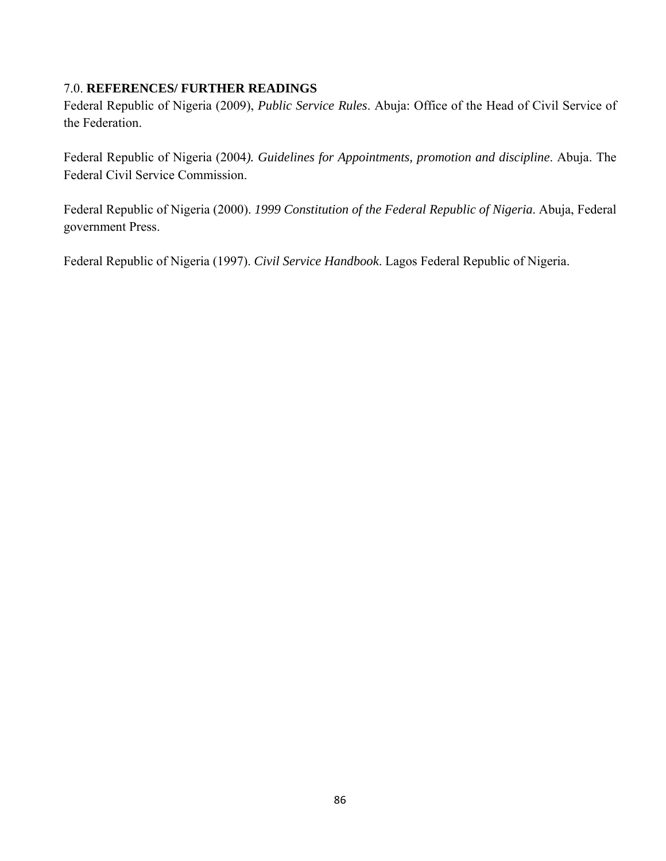## 7.0. **REFERENCES/ FURTHER READINGS**

Federal Republic of Nigeria (2009), *Public Service Rules*. Abuja: Office of the Head of Civil Service of the Federation.

Federal Republic of Nigeria (2004*). Guidelines for Appointments, promotion and discipline*. Abuja. The Federal Civil Service Commission.

Federal Republic of Nigeria (2000). *1999 Constitution of the Federal Republic of Nigeria*. Abuja, Federal government Press.

Federal Republic of Nigeria (1997). *Civil Service Handbook*. Lagos Federal Republic of Nigeria.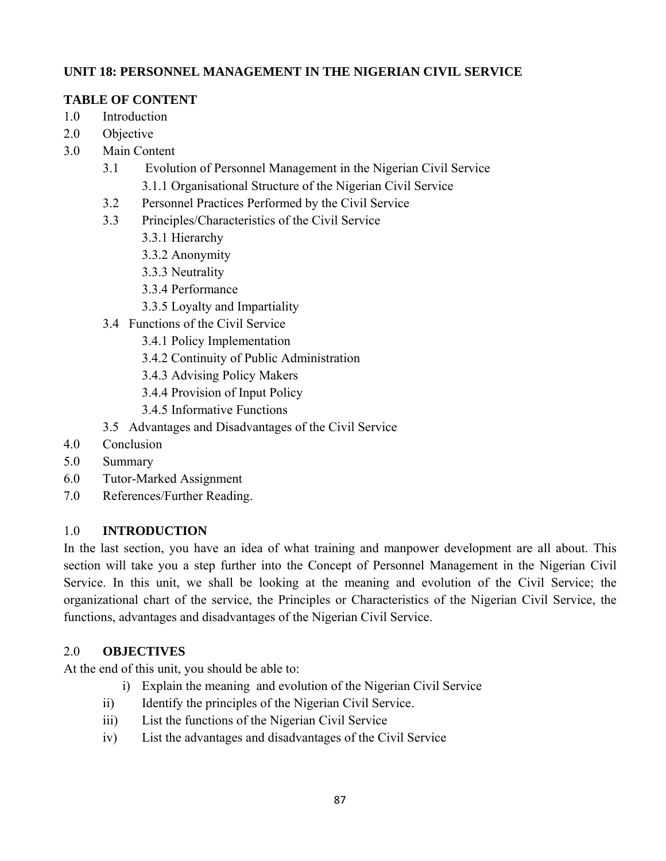## **UNIT 18: PERSONNEL MANAGEMENT IN THE NIGERIAN CIVIL SERVICE**

# **TABLE OF CONTENT**

- 1.0 Introduction
- 2.0 Objective
- 3.0 Main Content
	- 3.1 Evolution of Personnel Management in the Nigerian Civil Service 3.1.1 Organisational Structure of the Nigerian Civil Service
	- 3.2 Personnel Practices Performed by the Civil Service
	- 3.3 Principles/Characteristics of the Civil Service
		- 3.3.1 Hierarchy
		- 3.3.2 Anonymity
		- 3.3.3 Neutrality
		- 3.3.4 Performance
		- 3.3.5 Loyalty and Impartiality
	- 3.4 Functions of the Civil Service
		- 3.4.1 Policy Implementation
		- 3.4.2 Continuity of Public Administration
		- 3.4.3 Advising Policy Makers
		- 3.4.4 Provision of Input Policy
		- 3.4.5 Informative Functions
	- 3.5 Advantages and Disadvantages of the Civil Service
- 4.0 Conclusion
- 5.0 Summary
- 6.0 Tutor-Marked Assignment
- 7.0 References/Further Reading.

## 1.0 **INTRODUCTION**

In the last section, you have an idea of what training and manpower development are all about. This section will take you a step further into the Concept of Personnel Management in the Nigerian Civil Service. In this unit, we shall be looking at the meaning and evolution of the Civil Service; the organizational chart of the service, the Principles or Characteristics of the Nigerian Civil Service, the functions, advantages and disadvantages of the Nigerian Civil Service.

## 2.0 **OBJECTIVES**

At the end of this unit, you should be able to:

- i) Explain the meaning and evolution of the Nigerian Civil Service
- ii) Identify the principles of the Nigerian Civil Service.
- iii) List the functions of the Nigerian Civil Service
- iv) List the advantages and disadvantages of the Civil Service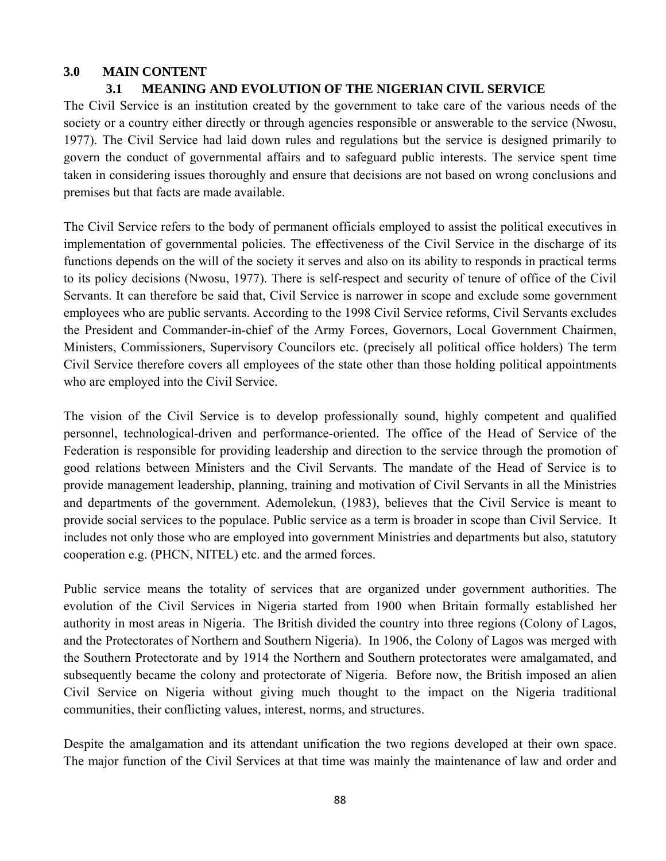## **3.0 MAIN CONTENT**

# **3.1 MEANING AND EVOLUTION OF THE NIGERIAN CIVIL SERVICE**

The Civil Service is an institution created by the government to take care of the various needs of the society or a country either directly or through agencies responsible or answerable to the service (Nwosu, 1977). The Civil Service had laid down rules and regulations but the service is designed primarily to govern the conduct of governmental affairs and to safeguard public interests. The service spent time taken in considering issues thoroughly and ensure that decisions are not based on wrong conclusions and premises but that facts are made available.

The Civil Service refers to the body of permanent officials employed to assist the political executives in implementation of governmental policies. The effectiveness of the Civil Service in the discharge of its functions depends on the will of the society it serves and also on its ability to responds in practical terms to its policy decisions (Nwosu, 1977). There is self-respect and security of tenure of office of the Civil Servants. It can therefore be said that, Civil Service is narrower in scope and exclude some government employees who are public servants. According to the 1998 Civil Service reforms, Civil Servants excludes the President and Commander-in-chief of the Army Forces, Governors, Local Government Chairmen, Ministers, Commissioners, Supervisory Councilors etc. (precisely all political office holders) The term Civil Service therefore covers all employees of the state other than those holding political appointments who are employed into the Civil Service.

The vision of the Civil Service is to develop professionally sound, highly competent and qualified personnel, technological-driven and performance-oriented. The office of the Head of Service of the Federation is responsible for providing leadership and direction to the service through the promotion of good relations between Ministers and the Civil Servants. The mandate of the Head of Service is to provide management leadership, planning, training and motivation of Civil Servants in all the Ministries and departments of the government. Ademolekun, (1983), believes that the Civil Service is meant to provide social services to the populace. Public service as a term is broader in scope than Civil Service. It includes not only those who are employed into government Ministries and departments but also, statutory cooperation e.g. (PHCN, NITEL) etc. and the armed forces.

Public service means the totality of services that are organized under government authorities. The evolution of the Civil Services in Nigeria started from 1900 when Britain formally established her authority in most areas in Nigeria. The British divided the country into three regions (Colony of Lagos, and the Protectorates of Northern and Southern Nigeria). In 1906, the Colony of Lagos was merged with the Southern Protectorate and by 1914 the Northern and Southern protectorates were amalgamated, and subsequently became the colony and protectorate of Nigeria. Before now, the British imposed an alien Civil Service on Nigeria without giving much thought to the impact on the Nigeria traditional communities, their conflicting values, interest, norms, and structures.

Despite the amalgamation and its attendant unification the two regions developed at their own space. The major function of the Civil Services at that time was mainly the maintenance of law and order and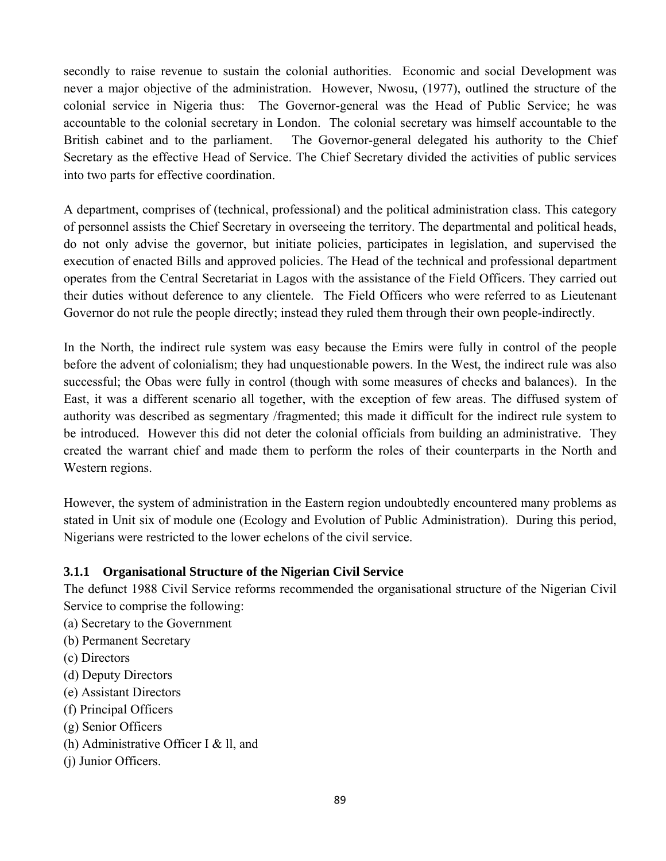secondly to raise revenue to sustain the colonial authorities. Economic and social Development was never a major objective of the administration. However, Nwosu, (1977), outlined the structure of the colonial service in Nigeria thus: The Governor-general was the Head of Public Service; he was accountable to the colonial secretary in London. The colonial secretary was himself accountable to the British cabinet and to the parliament. The Governor-general delegated his authority to the Chief Secretary as the effective Head of Service. The Chief Secretary divided the activities of public services into two parts for effective coordination.

A department, comprises of (technical, professional) and the political administration class. This category of personnel assists the Chief Secretary in overseeing the territory. The departmental and political heads, do not only advise the governor, but initiate policies, participates in legislation, and supervised the execution of enacted Bills and approved policies. The Head of the technical and professional department operates from the Central Secretariat in Lagos with the assistance of the Field Officers. They carried out their duties without deference to any clientele. The Field Officers who were referred to as Lieutenant Governor do not rule the people directly; instead they ruled them through their own people-indirectly.

In the North, the indirect rule system was easy because the Emirs were fully in control of the people before the advent of colonialism; they had unquestionable powers. In the West, the indirect rule was also successful; the Obas were fully in control (though with some measures of checks and balances). In the East, it was a different scenario all together, with the exception of few areas. The diffused system of authority was described as segmentary /fragmented; this made it difficult for the indirect rule system to be introduced. However this did not deter the colonial officials from building an administrative. They created the warrant chief and made them to perform the roles of their counterparts in the North and Western regions.

However, the system of administration in the Eastern region undoubtedly encountered many problems as stated in Unit six of module one (Ecology and Evolution of Public Administration). During this period, Nigerians were restricted to the lower echelons of the civil service.

#### **3.1.1 Organisational Structure of the Nigerian Civil Service**

The defunct 1988 Civil Service reforms recommended the organisational structure of the Nigerian Civil Service to comprise the following:

- (a) Secretary to the Government
- (b) Permanent Secretary
- (c) Directors
- (d) Deputy Directors
- (e) Assistant Directors
- (f) Principal Officers
- (g) Senior Officers
- (h) Administrative Officer I & ll, and
- (j) Junior Officers.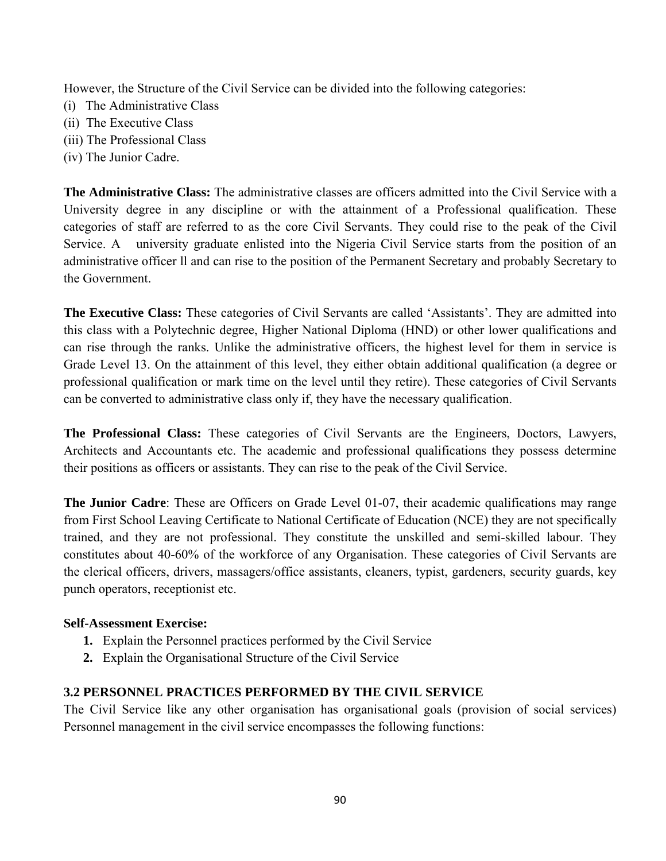However, the Structure of the Civil Service can be divided into the following categories:

- (i) The Administrative Class
- (ii) The Executive Class
- (iii) The Professional Class
- (iv) The Junior Cadre.

**The Administrative Class:** The administrative classes are officers admitted into the Civil Service with a University degree in any discipline or with the attainment of a Professional qualification. These categories of staff are referred to as the core Civil Servants. They could rise to the peak of the Civil Service. A university graduate enlisted into the Nigeria Civil Service starts from the position of an administrative officer ll and can rise to the position of the Permanent Secretary and probably Secretary to the Government.

**The Executive Class:** These categories of Civil Servants are called 'Assistants'. They are admitted into this class with a Polytechnic degree, Higher National Diploma (HND) or other lower qualifications and can rise through the ranks. Unlike the administrative officers, the highest level for them in service is Grade Level 13. On the attainment of this level, they either obtain additional qualification (a degree or professional qualification or mark time on the level until they retire). These categories of Civil Servants can be converted to administrative class only if, they have the necessary qualification.

**The Professional Class:** These categories of Civil Servants are the Engineers, Doctors, Lawyers, Architects and Accountants etc. The academic and professional qualifications they possess determine their positions as officers or assistants. They can rise to the peak of the Civil Service.

**The Junior Cadre**: These are Officers on Grade Level 01-07, their academic qualifications may range from First School Leaving Certificate to National Certificate of Education (NCE) they are not specifically trained, and they are not professional. They constitute the unskilled and semi-skilled labour. They constitutes about 40-60% of the workforce of any Organisation. These categories of Civil Servants are the clerical officers, drivers, massagers/office assistants, cleaners, typist, gardeners, security guards, key punch operators, receptionist etc.

#### **Self-Assessment Exercise:**

- **1.** Explain the Personnel practices performed by the Civil Service
- **2.** Explain the Organisational Structure of the Civil Service

#### **3.2 PERSONNEL PRACTICES PERFORMED BY THE CIVIL SERVICE**

The Civil Service like any other organisation has organisational goals (provision of social services) Personnel management in the civil service encompasses the following functions: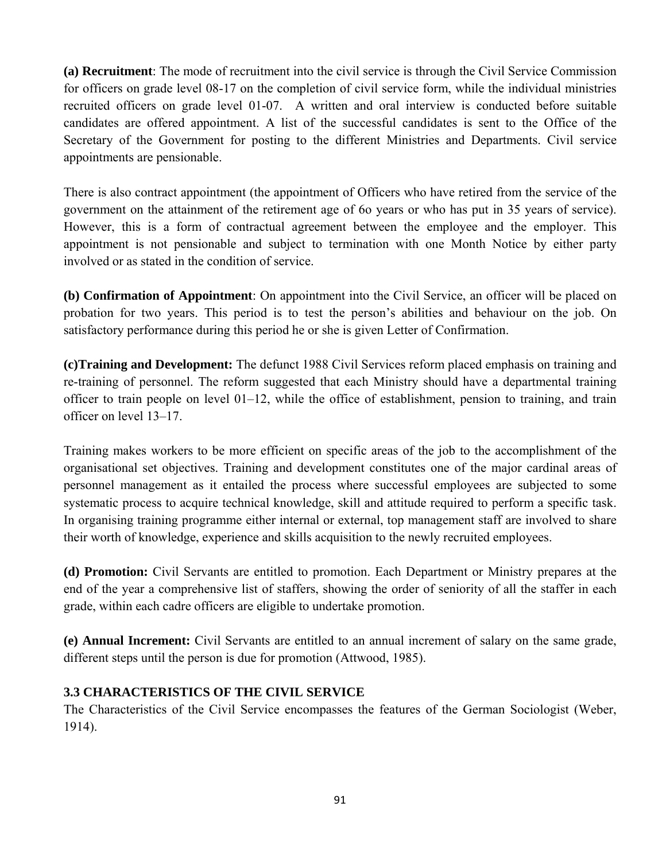**(a) Recruitment**: The mode of recruitment into the civil service is through the Civil Service Commission for officers on grade level 08-17 on the completion of civil service form, while the individual ministries recruited officers on grade level 01-07. A written and oral interview is conducted before suitable candidates are offered appointment. A list of the successful candidates is sent to the Office of the Secretary of the Government for posting to the different Ministries and Departments. Civil service appointments are pensionable.

There is also contract appointment (the appointment of Officers who have retired from the service of the government on the attainment of the retirement age of 6o years or who has put in 35 years of service). However, this is a form of contractual agreement between the employee and the employer. This appointment is not pensionable and subject to termination with one Month Notice by either party involved or as stated in the condition of service.

**(b) Confirmation of Appointment**: On appointment into the Civil Service, an officer will be placed on probation for two years. This period is to test the person's abilities and behaviour on the job. On satisfactory performance during this period he or she is given Letter of Confirmation.

**(c)Training and Development:** The defunct 1988 Civil Services reform placed emphasis on training and re-training of personnel. The reform suggested that each Ministry should have a departmental training officer to train people on level 01–12, while the office of establishment, pension to training, and train officer on level 13–17.

Training makes workers to be more efficient on specific areas of the job to the accomplishment of the organisational set objectives. Training and development constitutes one of the major cardinal areas of personnel management as it entailed the process where successful employees are subjected to some systematic process to acquire technical knowledge, skill and attitude required to perform a specific task. In organising training programme either internal or external, top management staff are involved to share their worth of knowledge, experience and skills acquisition to the newly recruited employees.

**(d) Promotion:** Civil Servants are entitled to promotion. Each Department or Ministry prepares at the end of the year a comprehensive list of staffers, showing the order of seniority of all the staffer in each grade, within each cadre officers are eligible to undertake promotion.

**(e) Annual Increment:** Civil Servants are entitled to an annual increment of salary on the same grade, different steps until the person is due for promotion (Attwood, 1985).

## **3.3 CHARACTERISTICS OF THE CIVIL SERVICE**

The Characteristics of the Civil Service encompasses the features of the German Sociologist (Weber, 1914).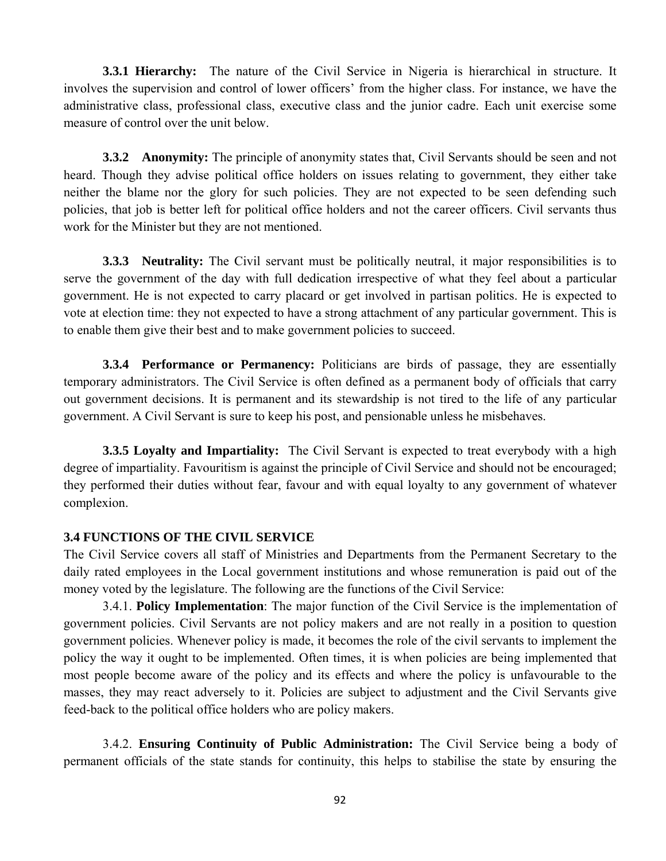**3.3.1 Hierarchy:** The nature of the Civil Service in Nigeria is hierarchical in structure. It involves the supervision and control of lower officers' from the higher class. For instance, we have the administrative class, professional class, executive class and the junior cadre. Each unit exercise some measure of control over the unit below.

**3.3.2** Anonymity: The principle of anonymity states that, Civil Servants should be seen and not heard. Though they advise political office holders on issues relating to government, they either take neither the blame nor the glory for such policies. They are not expected to be seen defending such policies, that job is better left for political office holders and not the career officers. Civil servants thus work for the Minister but they are not mentioned.

**3.3.3 Neutrality:** The Civil servant must be politically neutral, it major responsibilities is to serve the government of the day with full dedication irrespective of what they feel about a particular government. He is not expected to carry placard or get involved in partisan politics. He is expected to vote at election time: they not expected to have a strong attachment of any particular government. This is to enable them give their best and to make government policies to succeed.

**3.3.4 Performance or Permanency:** Politicians are birds of passage, they are essentially temporary administrators. The Civil Service is often defined as a permanent body of officials that carry out government decisions. It is permanent and its stewardship is not tired to the life of any particular government. A Civil Servant is sure to keep his post, and pensionable unless he misbehaves.

**3.3.5 Loyalty and Impartiality:** The Civil Servant is expected to treat everybody with a high degree of impartiality. Favouritism is against the principle of Civil Service and should not be encouraged; they performed their duties without fear, favour and with equal loyalty to any government of whatever complexion.

#### **3.4 FUNCTIONS OF THE CIVIL SERVICE**

The Civil Service covers all staff of Ministries and Departments from the Permanent Secretary to the daily rated employees in the Local government institutions and whose remuneration is paid out of the money voted by the legislature. The following are the functions of the Civil Service:

3.4.1. **Policy Implementation**: The major function of the Civil Service is the implementation of government policies. Civil Servants are not policy makers and are not really in a position to question government policies. Whenever policy is made, it becomes the role of the civil servants to implement the policy the way it ought to be implemented. Often times, it is when policies are being implemented that most people become aware of the policy and its effects and where the policy is unfavourable to the masses, they may react adversely to it. Policies are subject to adjustment and the Civil Servants give feed-back to the political office holders who are policy makers.

3.4.2. **Ensuring Continuity of Public Administration:** The Civil Service being a body of permanent officials of the state stands for continuity, this helps to stabilise the state by ensuring the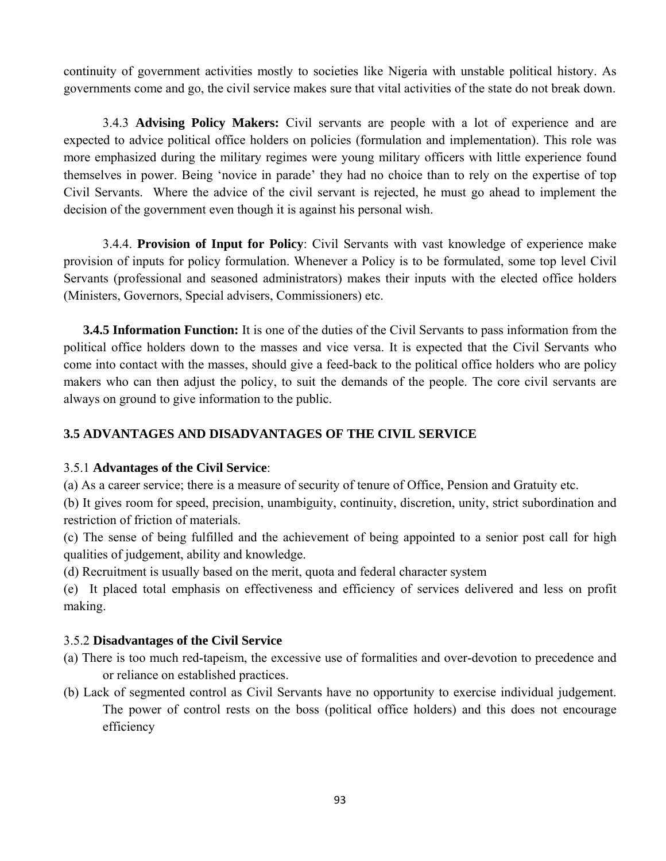continuity of government activities mostly to societies like Nigeria with unstable political history. As governments come and go, the civil service makes sure that vital activities of the state do not break down.

3.4.3 **Advising Policy Makers:** Civil servants are people with a lot of experience and are expected to advice political office holders on policies (formulation and implementation). This role was more emphasized during the military regimes were young military officers with little experience found themselves in power. Being 'novice in parade' they had no choice than to rely on the expertise of top Civil Servants. Where the advice of the civil servant is rejected, he must go ahead to implement the decision of the government even though it is against his personal wish.

3.4.4. **Provision of Input for Policy**: Civil Servants with vast knowledge of experience make provision of inputs for policy formulation. Whenever a Policy is to be formulated, some top level Civil Servants (professional and seasoned administrators) makes their inputs with the elected office holders (Ministers, Governors, Special advisers, Commissioners) etc.

**3.4.5 Information Function:** It is one of the duties of the Civil Servants to pass information from the political office holders down to the masses and vice versa. It is expected that the Civil Servants who come into contact with the masses, should give a feed-back to the political office holders who are policy makers who can then adjust the policy, to suit the demands of the people. The core civil servants are always on ground to give information to the public.

## **3.5 ADVANTAGES AND DISADVANTAGES OF THE CIVIL SERVICE**

#### 3.5.1 **Advantages of the Civil Service**:

(a) As a career service; there is a measure of security of tenure of Office, Pension and Gratuity etc.

(b) It gives room for speed, precision, unambiguity, continuity, discretion, unity, strict subordination and restriction of friction of materials.

(c) The sense of being fulfilled and the achievement of being appointed to a senior post call for high qualities of judgement, ability and knowledge.

(d) Recruitment is usually based on the merit, quota and federal character system

(e) It placed total emphasis on effectiveness and efficiency of services delivered and less on profit making.

## 3.5.2 **Disadvantages of the Civil Service**

- (a) There is too much red-tapeism, the excessive use of formalities and over-devotion to precedence and or reliance on established practices.
- (b) Lack of segmented control as Civil Servants have no opportunity to exercise individual judgement. The power of control rests on the boss (political office holders) and this does not encourage efficiency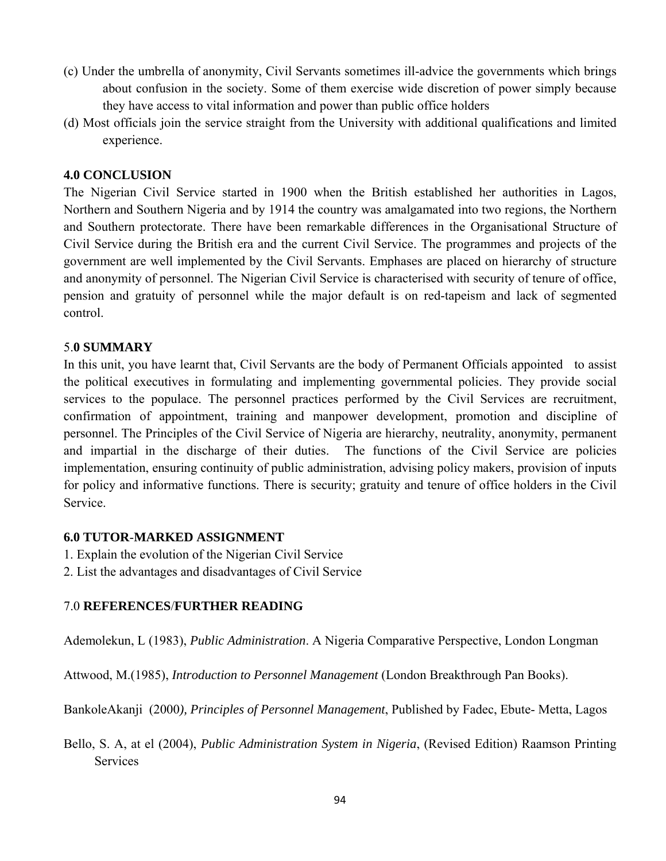- (c) Under the umbrella of anonymity, Civil Servants sometimes ill-advice the governments which brings about confusion in the society. Some of them exercise wide discretion of power simply because they have access to vital information and power than public office holders
- (d) Most officials join the service straight from the University with additional qualifications and limited experience.

#### **4.0 CONCLUSION**

The Nigerian Civil Service started in 1900 when the British established her authorities in Lagos, Northern and Southern Nigeria and by 1914 the country was amalgamated into two regions, the Northern and Southern protectorate. There have been remarkable differences in the Organisational Structure of Civil Service during the British era and the current Civil Service. The programmes and projects of the government are well implemented by the Civil Servants. Emphases are placed on hierarchy of structure and anonymity of personnel. The Nigerian Civil Service is characterised with security of tenure of office, pension and gratuity of personnel while the major default is on red-tapeism and lack of segmented control.

#### 5.**0 SUMMARY**

In this unit, you have learnt that, Civil Servants are the body of Permanent Officials appointed to assist the political executives in formulating and implementing governmental policies. They provide social services to the populace. The personnel practices performed by the Civil Services are recruitment, confirmation of appointment, training and manpower development, promotion and discipline of personnel. The Principles of the Civil Service of Nigeria are hierarchy, neutrality, anonymity, permanent and impartial in the discharge of their duties. The functions of the Civil Service are policies implementation, ensuring continuity of public administration, advising policy makers, provision of inputs for policy and informative functions. There is security; gratuity and tenure of office holders in the Civil Service.

#### **6.0 TUTOR**-**MARKED ASSIGNMENT**

- 1. Explain the evolution of the Nigerian Civil Service
- 2. List the advantages and disadvantages of Civil Service

## 7.0 **REFERENCES**/**FURTHER READING**

Ademolekun, L (1983), *Public Administration*. A Nigeria Comparative Perspective, London Longman

Attwood, M.(1985), *Introduction to Personnel Management* (London Breakthrough Pan Books).

BankoleAkanji (2000*), Principles of Personnel Management*, Published by Fadec, Ebute- Metta, Lagos

Bello, S. A, at el (2004), *Public Administration System in Nigeria*, (Revised Edition) Raamson Printing **Services**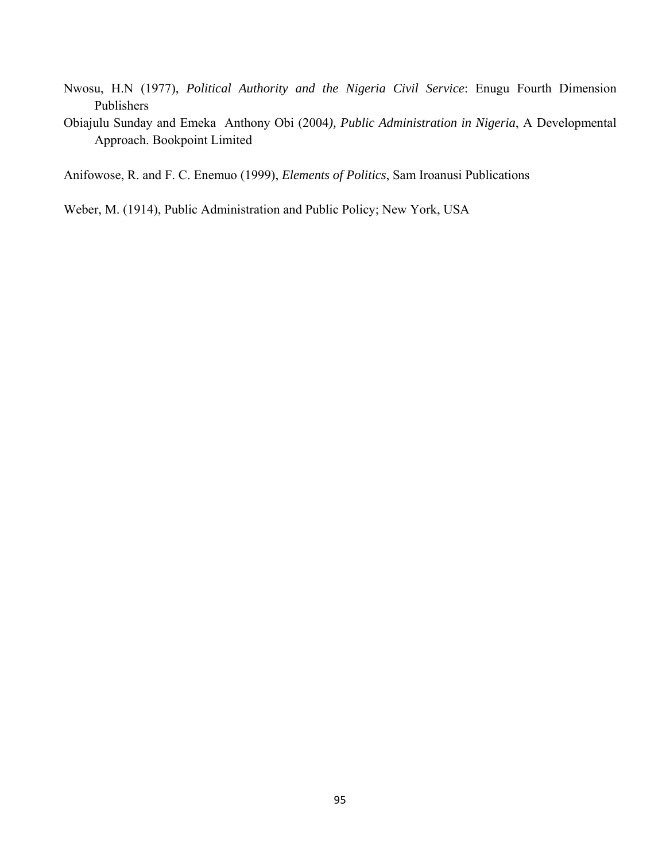- Nwosu, H.N (1977), *Political Authority and the Nigeria Civil Service*: Enugu Fourth Dimension Publishers
- Obiajulu Sunday and Emeka Anthony Obi (2004*), Public Administration in Nigeria*, A Developmental Approach. Bookpoint Limited

Anifowose, R. and F. C. Enemuo (1999), *Elements of Politics*, Sam Iroanusi Publications

Weber, M. (1914), Public Administration and Public Policy; New York, USA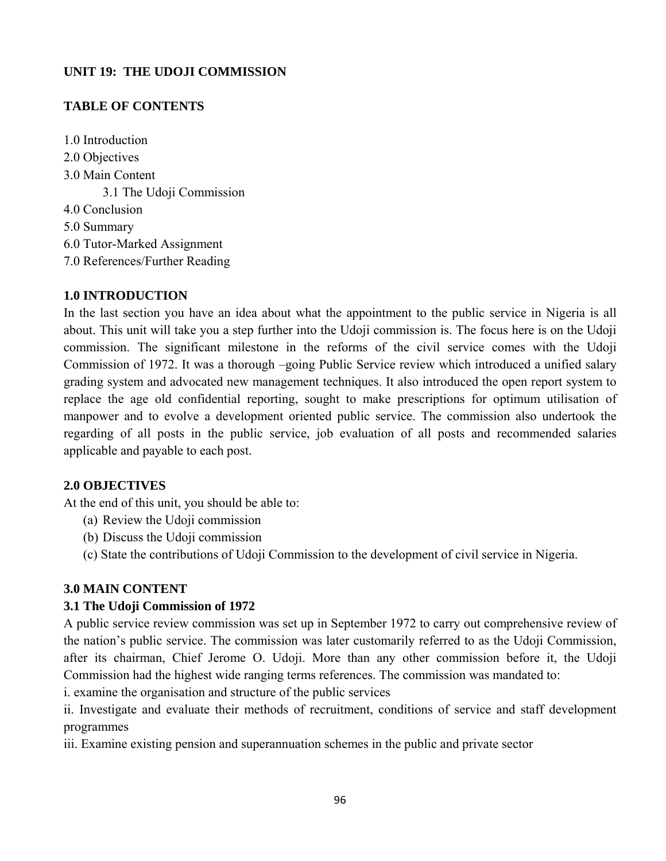## **UNIT 19: THE UDOJI COMMISSION**

## **TABLE OF CONTENTS**

1.0 Introduction 2.0 Objectives 3.0 Main Content 3.1 The Udoji Commission 4.0 Conclusion 5.0 Summary 6.0 Tutor-Marked Assignment 7.0 References/Further Reading

#### **1.0 INTRODUCTION**

In the last section you have an idea about what the appointment to the public service in Nigeria is all about. This unit will take you a step further into the Udoji commission is. The focus here is on the Udoji commission. The significant milestone in the reforms of the civil service comes with the Udoji Commission of 1972. It was a thorough –going Public Service review which introduced a unified salary grading system and advocated new management techniques. It also introduced the open report system to replace the age old confidential reporting, sought to make prescriptions for optimum utilisation of manpower and to evolve a development oriented public service. The commission also undertook the regarding of all posts in the public service, job evaluation of all posts and recommended salaries applicable and payable to each post.

## **2.0 OBJECTIVES**

At the end of this unit, you should be able to:

- (a) Review the Udoji commission
- (b) Discuss the Udoji commission
- (c) State the contributions of Udoji Commission to the development of civil service in Nigeria.

## **3.0 MAIN CONTENT**

## **3.1 The Udoji Commission of 1972**

A public service review commission was set up in September 1972 to carry out comprehensive review of the nation's public service. The commission was later customarily referred to as the Udoji Commission, after its chairman, Chief Jerome O. Udoji. More than any other commission before it, the Udoji Commission had the highest wide ranging terms references. The commission was mandated to:

i. examine the organisation and structure of the public services

ii. Investigate and evaluate their methods of recruitment, conditions of service and staff development programmes

iii. Examine existing pension and superannuation schemes in the public and private sector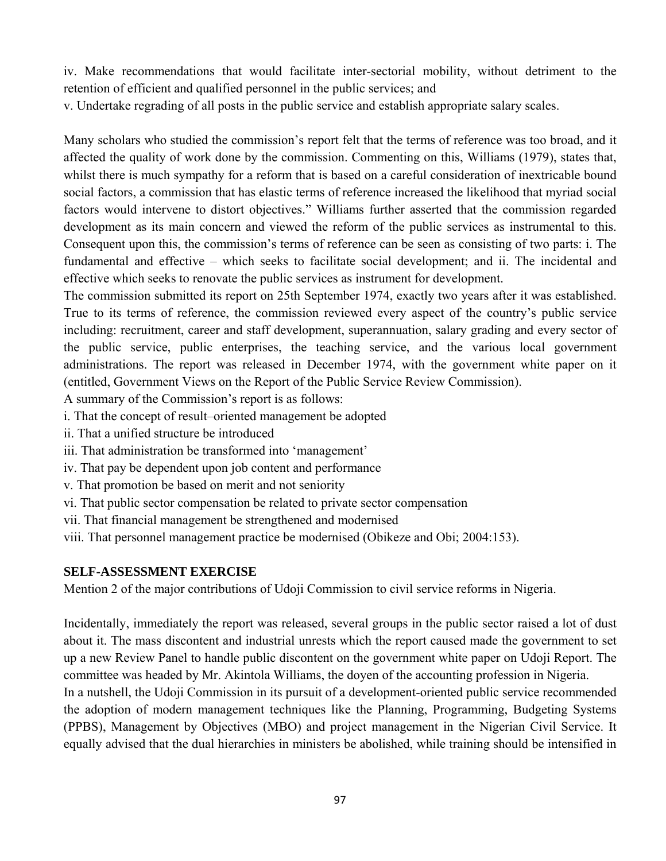iv. Make recommendations that would facilitate inter-sectorial mobility, without detriment to the retention of efficient and qualified personnel in the public services; and

v. Undertake regrading of all posts in the public service and establish appropriate salary scales.

Many scholars who studied the commission's report felt that the terms of reference was too broad, and it affected the quality of work done by the commission. Commenting on this, Williams (1979), states that, whilst there is much sympathy for a reform that is based on a careful consideration of inextricable bound social factors, a commission that has elastic terms of reference increased the likelihood that myriad social factors would intervene to distort objectives." Williams further asserted that the commission regarded development as its main concern and viewed the reform of the public services as instrumental to this. Consequent upon this, the commission's terms of reference can be seen as consisting of two parts: i. The fundamental and effective – which seeks to facilitate social development; and ii. The incidental and effective which seeks to renovate the public services as instrument for development.

The commission submitted its report on 25th September 1974, exactly two years after it was established. True to its terms of reference, the commission reviewed every aspect of the country's public service including: recruitment, career and staff development, superannuation, salary grading and every sector of the public service, public enterprises, the teaching service, and the various local government administrations. The report was released in December 1974, with the government white paper on it (entitled, Government Views on the Report of the Public Service Review Commission).

A summary of the Commission's report is as follows:

- i. That the concept of result–oriented management be adopted
- ii. That a unified structure be introduced
- iii. That administration be transformed into 'management'
- iv. That pay be dependent upon job content and performance
- v. That promotion be based on merit and not seniority
- vi. That public sector compensation be related to private sector compensation
- vii. That financial management be strengthened and modernised
- viii. That personnel management practice be modernised (Obikeze and Obi; 2004:153).

#### **SELF-ASSESSMENT EXERCISE**

Mention 2 of the major contributions of Udoji Commission to civil service reforms in Nigeria.

Incidentally, immediately the report was released, several groups in the public sector raised a lot of dust about it. The mass discontent and industrial unrests which the report caused made the government to set up a new Review Panel to handle public discontent on the government white paper on Udoji Report. The committee was headed by Mr. Akintola Williams, the doyen of the accounting profession in Nigeria. In a nutshell, the Udoji Commission in its pursuit of a development-oriented public service recommended the adoption of modern management techniques like the Planning, Programming, Budgeting Systems (PPBS), Management by Objectives (MBO) and project management in the Nigerian Civil Service. It equally advised that the dual hierarchies in ministers be abolished, while training should be intensified in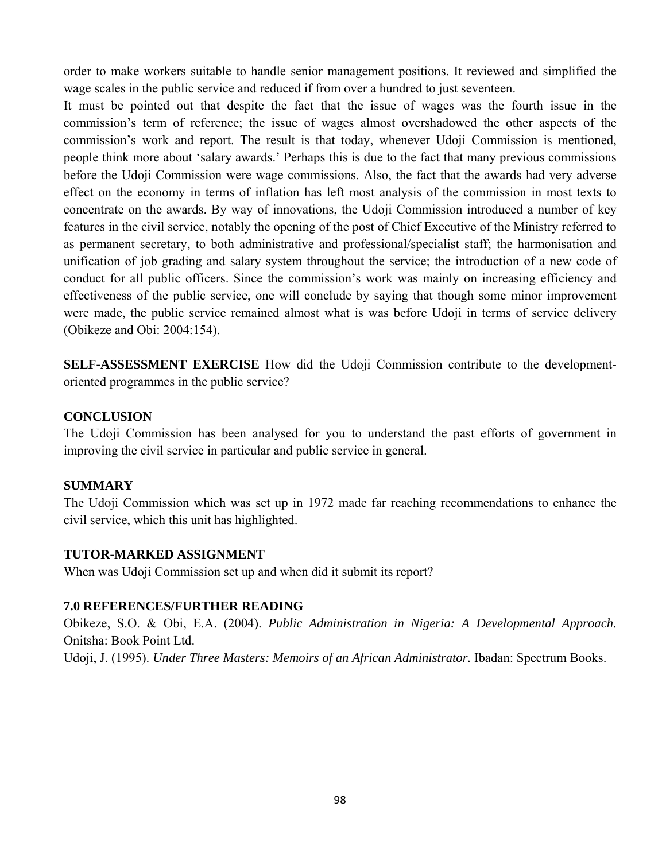order to make workers suitable to handle senior management positions. It reviewed and simplified the wage scales in the public service and reduced if from over a hundred to just seventeen.

It must be pointed out that despite the fact that the issue of wages was the fourth issue in the commission's term of reference; the issue of wages almost overshadowed the other aspects of the commission's work and report. The result is that today, whenever Udoji Commission is mentioned, people think more about 'salary awards.' Perhaps this is due to the fact that many previous commissions before the Udoji Commission were wage commissions. Also, the fact that the awards had very adverse effect on the economy in terms of inflation has left most analysis of the commission in most texts to concentrate on the awards. By way of innovations, the Udoji Commission introduced a number of key features in the civil service, notably the opening of the post of Chief Executive of the Ministry referred to as permanent secretary, to both administrative and professional/specialist staff; the harmonisation and unification of job grading and salary system throughout the service; the introduction of a new code of conduct for all public officers. Since the commission's work was mainly on increasing efficiency and effectiveness of the public service, one will conclude by saying that though some minor improvement were made, the public service remained almost what is was before Udoji in terms of service delivery (Obikeze and Obi: 2004:154).

**SELF-ASSESSMENT EXERCISE** How did the Udoji Commission contribute to the developmentoriented programmes in the public service?

#### **CONCLUSION**

The Udoji Commission has been analysed for you to understand the past efforts of government in improving the civil service in particular and public service in general.

## **SUMMARY**

The Udoji Commission which was set up in 1972 made far reaching recommendations to enhance the civil service, which this unit has highlighted.

## **TUTOR-MARKED ASSIGNMENT**

When was Udoji Commission set up and when did it submit its report?

## **7.0 REFERENCES/FURTHER READING**

Obikeze, S.O. & Obi, E.A. (2004). *Public Administration in Nigeria: A Developmental Approach.*  Onitsha: Book Point Ltd. Udoji, J. (1995). *Under Three Masters: Memoirs of an African Administrator.* Ibadan: Spectrum Books.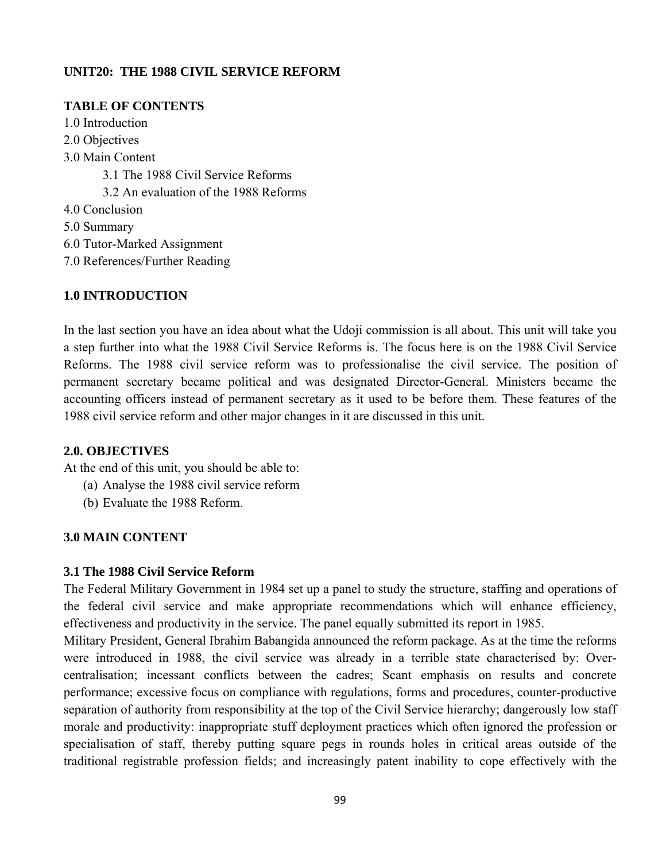## **UNIT20: THE 1988 CIVIL SERVICE REFORM**

## **TABLE OF CONTENTS**

- 1.0 Introduction
- 2.0 Objectives
- 3.0 Main Content
	- 3.1 The 1988 Civil Service Reforms
	- 3.2 An evaluation of the 1988 Reforms
- 4.0 Conclusion
- 5.0 Summary
- 6.0 Tutor-Marked Assignment
- 7.0 References/Further Reading

# **1.0 INTRODUCTION**

In the last section you have an idea about what the Udoji commission is all about. This unit will take you a step further into what the 1988 Civil Service Reforms is. The focus here is on the 1988 Civil Service Reforms. The 1988 civil service reform was to professionalise the civil service. The position of permanent secretary became political and was designated Director-General. Ministers became the accounting officers instead of permanent secretary as it used to be before them. These features of the 1988 civil service reform and other major changes in it are discussed in this unit.

## **2.0. OBJECTIVES**

At the end of this unit, you should be able to:

- (a) Analyse the 1988 civil service reform
- (b) Evaluate the 1988 Reform.

# **3.0 MAIN CONTENT**

## **3.1 The 1988 Civil Service Reform**

The Federal Military Government in 1984 set up a panel to study the structure, staffing and operations of the federal civil service and make appropriate recommendations which will enhance efficiency, effectiveness and productivity in the service. The panel equally submitted its report in 1985.

Military President, General Ibrahim Babangida announced the reform package. As at the time the reforms were introduced in 1988, the civil service was already in a terrible state characterised by: Overcentralisation; incessant conflicts between the cadres; Scant emphasis on results and concrete performance; excessive focus on compliance with regulations, forms and procedures, counter-productive separation of authority from responsibility at the top of the Civil Service hierarchy; dangerously low staff morale and productivity: inappropriate stuff deployment practices which often ignored the profession or specialisation of staff, thereby putting square pegs in rounds holes in critical areas outside of the traditional registrable profession fields; and increasingly patent inability to cope effectively with the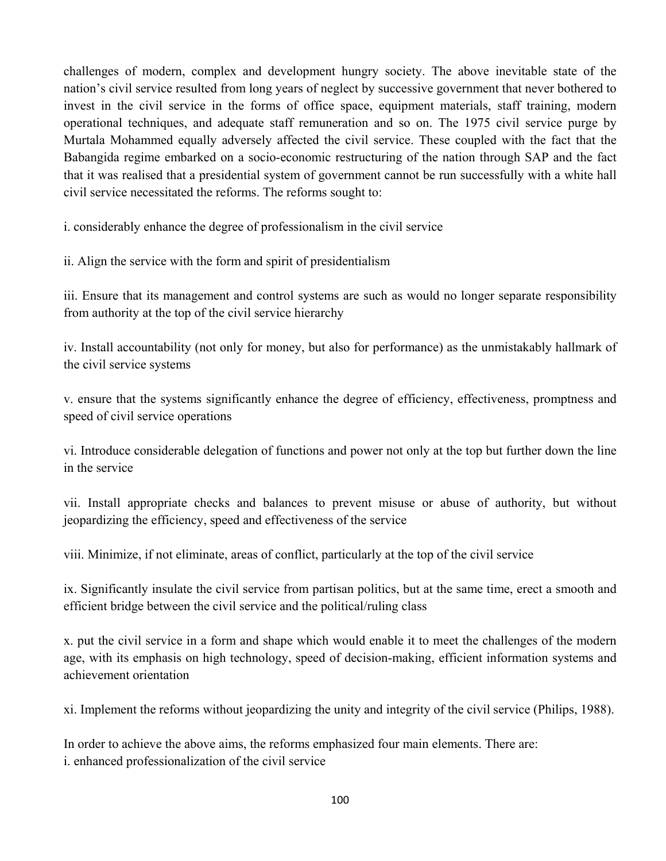challenges of modern, complex and development hungry society. The above inevitable state of the nation's civil service resulted from long years of neglect by successive government that never bothered to invest in the civil service in the forms of office space, equipment materials, staff training, modern operational techniques, and adequate staff remuneration and so on. The 1975 civil service purge by Murtala Mohammed equally adversely affected the civil service. These coupled with the fact that the Babangida regime embarked on a socio-economic restructuring of the nation through SAP and the fact that it was realised that a presidential system of government cannot be run successfully with a white hall civil service necessitated the reforms. The reforms sought to:

i. considerably enhance the degree of professionalism in the civil service

ii. Align the service with the form and spirit of presidentialism

iii. Ensure that its management and control systems are such as would no longer separate responsibility from authority at the top of the civil service hierarchy

iv. Install accountability (not only for money, but also for performance) as the unmistakably hallmark of the civil service systems

v. ensure that the systems significantly enhance the degree of efficiency, effectiveness, promptness and speed of civil service operations

vi. Introduce considerable delegation of functions and power not only at the top but further down the line in the service

vii. Install appropriate checks and balances to prevent misuse or abuse of authority, but without jeopardizing the efficiency, speed and effectiveness of the service

viii. Minimize, if not eliminate, areas of conflict, particularly at the top of the civil service

ix. Significantly insulate the civil service from partisan politics, but at the same time, erect a smooth and efficient bridge between the civil service and the political/ruling class

x. put the civil service in a form and shape which would enable it to meet the challenges of the modern age, with its emphasis on high technology, speed of decision-making, efficient information systems and achievement orientation

xi. Implement the reforms without jeopardizing the unity and integrity of the civil service (Philips, 1988).

In order to achieve the above aims, the reforms emphasized four main elements. There are: i. enhanced professionalization of the civil service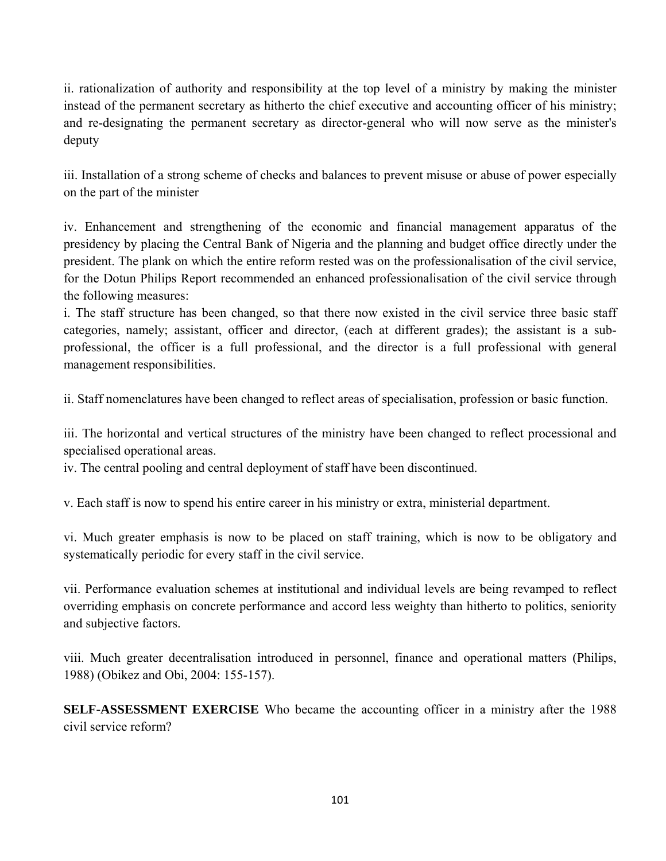ii. rationalization of authority and responsibility at the top level of a ministry by making the minister instead of the permanent secretary as hitherto the chief executive and accounting officer of his ministry; and re-designating the permanent secretary as director-general who will now serve as the minister's deputy

iii. Installation of a strong scheme of checks and balances to prevent misuse or abuse of power especially on the part of the minister

iv. Enhancement and strengthening of the economic and financial management apparatus of the presidency by placing the Central Bank of Nigeria and the planning and budget office directly under the president. The plank on which the entire reform rested was on the professionalisation of the civil service, for the Dotun Philips Report recommended an enhanced professionalisation of the civil service through the following measures:

i. The staff structure has been changed, so that there now existed in the civil service three basic staff categories, namely; assistant, officer and director, (each at different grades); the assistant is a subprofessional, the officer is a full professional, and the director is a full professional with general management responsibilities.

ii. Staff nomenclatures have been changed to reflect areas of specialisation, profession or basic function.

iii. The horizontal and vertical structures of the ministry have been changed to reflect processional and specialised operational areas.

iv. The central pooling and central deployment of staff have been discontinued.

v. Each staff is now to spend his entire career in his ministry or extra, ministerial department.

vi. Much greater emphasis is now to be placed on staff training, which is now to be obligatory and systematically periodic for every staff in the civil service.

vii. Performance evaluation schemes at institutional and individual levels are being revamped to reflect overriding emphasis on concrete performance and accord less weighty than hitherto to politics, seniority and subjective factors.

viii. Much greater decentralisation introduced in personnel, finance and operational matters (Philips, 1988) (Obikez and Obi, 2004: 155-157).

**SELF-ASSESSMENT EXERCISE** Who became the accounting officer in a ministry after the 1988 civil service reform?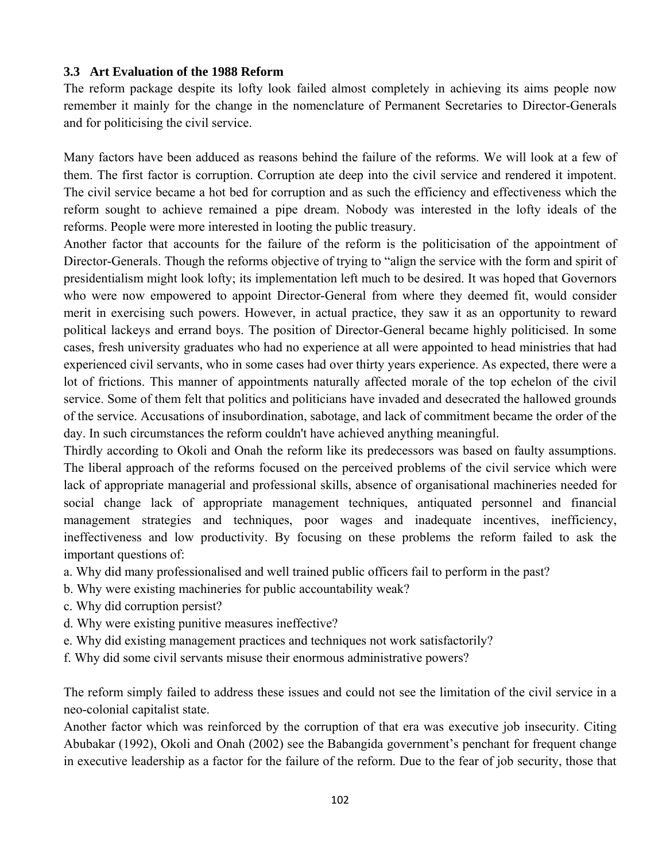#### **3.3 Art Evaluation of the 1988 Reform**

The reform package despite its lofty look failed almost completely in achieving its aims people now remember it mainly for the change in the nomenclature of Permanent Secretaries to Director-Generals and for politicising the civil service.

Many factors have been adduced as reasons behind the failure of the reforms. We will look at a few of them. The first factor is corruption. Corruption ate deep into the civil service and rendered it impotent. The civil service became a hot bed for corruption and as such the efficiency and effectiveness which the reform sought to achieve remained a pipe dream. Nobody was interested in the lofty ideals of the reforms. People were more interested in looting the public treasury.

Another factor that accounts for the failure of the reform is the politicisation of the appointment of Director-Generals. Though the reforms objective of trying to "align the service with the form and spirit of presidentialism might look lofty; its implementation left much to be desired. It was hoped that Governors who were now empowered to appoint Director-General from where they deemed fit, would consider merit in exercising such powers. However, in actual practice, they saw it as an opportunity to reward political lackeys and errand boys. The position of Director-General became highly politicised. In some cases, fresh university graduates who had no experience at all were appointed to head ministries that had experienced civil servants, who in some cases had over thirty years experience. As expected, there were a lot of frictions. This manner of appointments naturally affected morale of the top echelon of the civil service. Some of them felt that politics and politicians have invaded and desecrated the hallowed grounds of the service. Accusations of insubordination, sabotage, and lack of commitment became the order of the day. In such circumstances the reform couldn't have achieved anything meaningful.

Thirdly according to Okoli and Onah the reform like its predecessors was based on faulty assumptions. The liberal approach of the reforms focused on the perceived problems of the civil service which were lack of appropriate managerial and professional skills, absence of organisational machineries needed for social change lack of appropriate management techniques, antiquated personnel and financial management strategies and techniques, poor wages and inadequate incentives, inefficiency, ineffectiveness and low productivity. By focusing on these problems the reform failed to ask the important questions of:

- a. Why did many professionalised and well trained public officers fail to perform in the past?
- b. Why were existing machineries for public accountability weak?
- c. Why did corruption persist?
- d. Why were existing punitive measures ineffective?
- e. Why did existing management practices and techniques not work satisfactorily?
- f. Why did some civil servants misuse their enormous administrative powers?

The reform simply failed to address these issues and could not see the limitation of the civil service in a neo-colonial capitalist state.

Another factor which was reinforced by the corruption of that era was executive job insecurity. Citing Abubakar (1992), Okoli and Onah (2002) see the Babangida government's penchant for frequent change in executive leadership as a factor for the failure of the reform. Due to the fear of job security, those that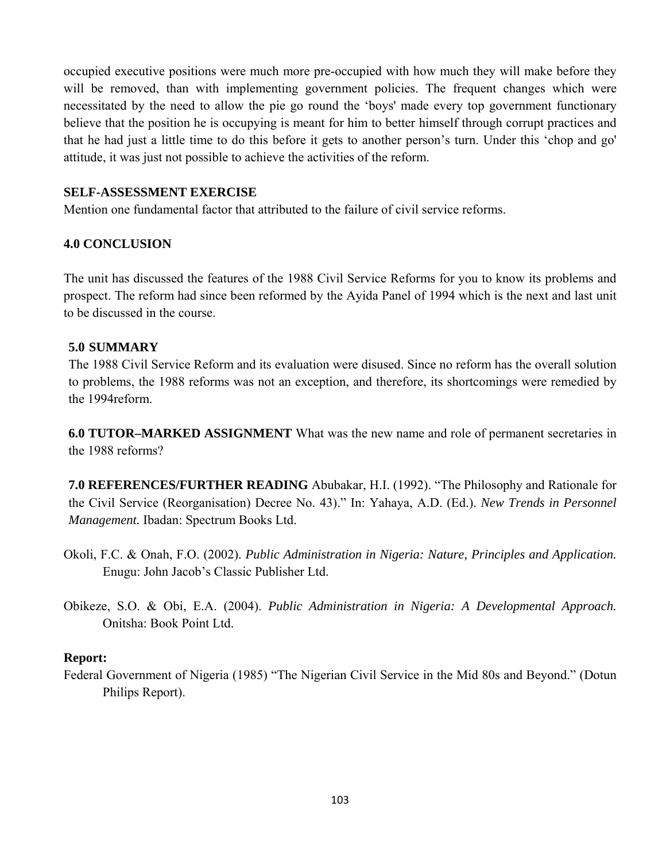occupied executive positions were much more pre-occupied with how much they will make before they will be removed, than with implementing government policies. The frequent changes which were necessitated by the need to allow the pie go round the 'boys' made every top government functionary believe that the position he is occupying is meant for him to better himself through corrupt practices and that he had just a little time to do this before it gets to another person's turn. Under this 'chop and go' attitude, it was just not possible to achieve the activities of the reform.

#### **SELF-ASSESSMENT EXERCISE**

Mention one fundamental factor that attributed to the failure of civil service reforms.

#### **4.0 CONCLUSION**

The unit has discussed the features of the 1988 Civil Service Reforms for you to know its problems and prospect. The reform had since been reformed by the Ayida Panel of 1994 which is the next and last unit to be discussed in the course.

#### **5.0 SUMMARY**

The 1988 Civil Service Reform and its evaluation were disused. Since no reform has the overall solution to problems, the 1988 reforms was not an exception, and therefore, its shortcomings were remedied by the 1994reform.

**6.0 TUTOR–MARKED ASSIGNMENT** What was the new name and role of permanent secretaries in the 1988 reforms?

**7.0 REFERENCES/FURTHER READING** Abubakar, H.I. (1992). "The Philosophy and Rationale for the Civil Service (Reorganisation) Decree No. 43)." In: Yahaya, A.D. (Ed.). *New Trends in Personnel Management.* Ibadan: Spectrum Books Ltd.

- Okoli, F.C. & Onah, F.O. (2002). *Public Administration in Nigeria: Nature, Principles and Application.*  Enugu: John Jacob's Classic Publisher Ltd.
- Obikeze, S.O. & Obi, E.A. (2004). *Public Administration in Nigeria: A Developmental Approach.*  Onitsha: Book Point Ltd.

#### **Report:**

Federal Government of Nigeria (1985) "The Nigerian Civil Service in the Mid 80s and Beyond." (Dotun Philips Report).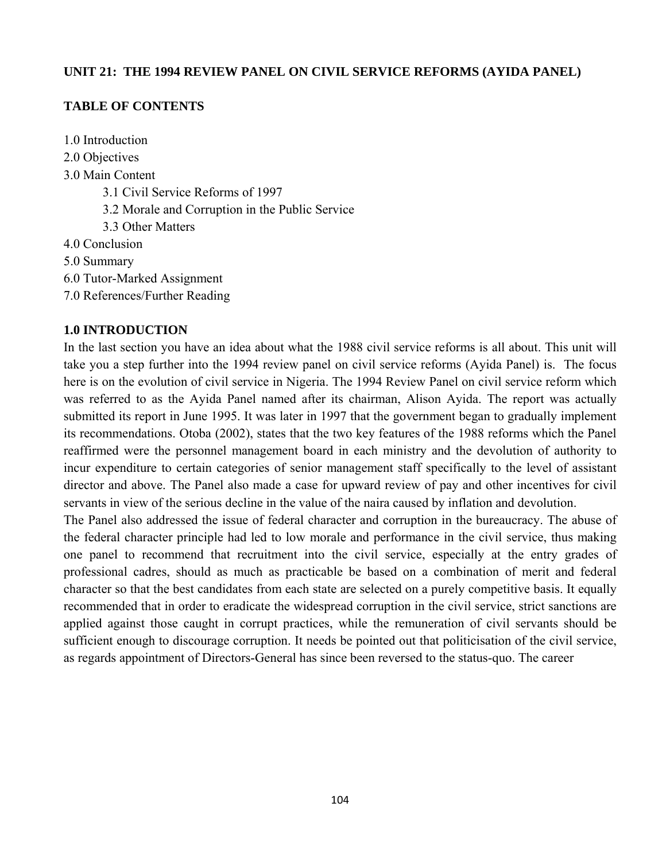#### **UNIT 21: THE 1994 REVIEW PANEL ON CIVIL SERVICE REFORMS (AYIDA PANEL)**

#### **TABLE OF CONTENTS**

- 1.0 Introduction
- 2.0 Objectives
- 3.0 Main Content
	- 3.1 Civil Service Reforms of 1997
	- 3.2 Morale and Corruption in the Public Service
	- 3.3 Other Matters
- 4.0 Conclusion
- 5.0 Summary
- 6.0 Tutor-Marked Assignment
- 7.0 References/Further Reading

## **1.0 INTRODUCTION**

In the last section you have an idea about what the 1988 civil service reforms is all about. This unit will take you a step further into the 1994 review panel on civil service reforms (Ayida Panel) is. The focus here is on the evolution of civil service in Nigeria. The 1994 Review Panel on civil service reform which was referred to as the Ayida Panel named after its chairman, Alison Ayida. The report was actually submitted its report in June 1995. It was later in 1997 that the government began to gradually implement its recommendations. Otoba (2002), states that the two key features of the 1988 reforms which the Panel reaffirmed were the personnel management board in each ministry and the devolution of authority to incur expenditure to certain categories of senior management staff specifically to the level of assistant director and above. The Panel also made a case for upward review of pay and other incentives for civil servants in view of the serious decline in the value of the naira caused by inflation and devolution.

The Panel also addressed the issue of federal character and corruption in the bureaucracy. The abuse of the federal character principle had led to low morale and performance in the civil service, thus making one panel to recommend that recruitment into the civil service, especially at the entry grades of professional cadres, should as much as practicable be based on a combination of merit and federal character so that the best candidates from each state are selected on a purely competitive basis. It equally recommended that in order to eradicate the widespread corruption in the civil service, strict sanctions are applied against those caught in corrupt practices, while the remuneration of civil servants should be sufficient enough to discourage corruption. It needs be pointed out that politicisation of the civil service, as regards appointment of Directors-General has since been reversed to the status-quo. The career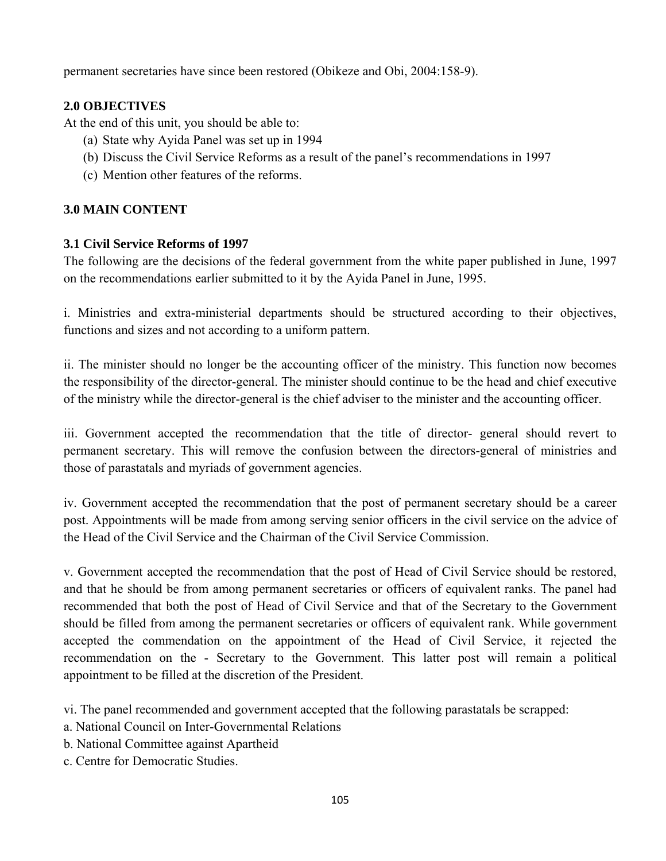permanent secretaries have since been restored (Obikeze and Obi, 2004:158-9).

# **2.0 OBJECTIVES**

At the end of this unit, you should be able to:

- (a) State why Ayida Panel was set up in 1994
- (b) Discuss the Civil Service Reforms as a result of the panel's recommendations in 1997
- (c) Mention other features of the reforms.

# **3.0 MAIN CONTENT**

## **3.1 Civil Service Reforms of 1997**

The following are the decisions of the federal government from the white paper published in June, 1997 on the recommendations earlier submitted to it by the Ayida Panel in June, 1995.

i. Ministries and extra-ministerial departments should be structured according to their objectives, functions and sizes and not according to a uniform pattern.

ii. The minister should no longer be the accounting officer of the ministry. This function now becomes the responsibility of the director-general. The minister should continue to be the head and chief executive of the ministry while the director-general is the chief adviser to the minister and the accounting officer.

iii. Government accepted the recommendation that the title of director- general should revert to permanent secretary. This will remove the confusion between the directors-general of ministries and those of parastatals and myriads of government agencies.

iv. Government accepted the recommendation that the post of permanent secretary should be a career post. Appointments will be made from among serving senior officers in the civil service on the advice of the Head of the Civil Service and the Chairman of the Civil Service Commission.

v. Government accepted the recommendation that the post of Head of Civil Service should be restored, and that he should be from among permanent secretaries or officers of equivalent ranks. The panel had recommended that both the post of Head of Civil Service and that of the Secretary to the Government should be filled from among the permanent secretaries or officers of equivalent rank. While government accepted the commendation on the appointment of the Head of Civil Service, it rejected the recommendation on the - Secretary to the Government. This latter post will remain a political appointment to be filled at the discretion of the President.

vi. The panel recommended and government accepted that the following parastatals be scrapped:

- a. National Council on Inter-Governmental Relations
- b. National Committee against Apartheid
- c. Centre for Democratic Studies.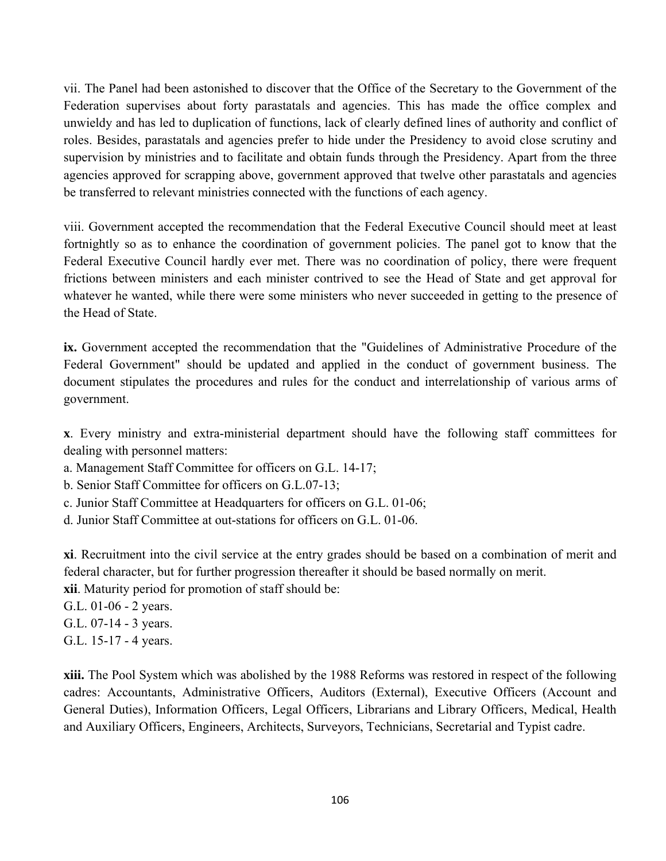vii. The Panel had been astonished to discover that the Office of the Secretary to the Government of the Federation supervises about forty parastatals and agencies. This has made the office complex and unwieldy and has led to duplication of functions, lack of clearly defined lines of authority and conflict of roles. Besides, parastatals and agencies prefer to hide under the Presidency to avoid close scrutiny and supervision by ministries and to facilitate and obtain funds through the Presidency. Apart from the three agencies approved for scrapping above, government approved that twelve other parastatals and agencies be transferred to relevant ministries connected with the functions of each agency.

viii. Government accepted the recommendation that the Federal Executive Council should meet at least fortnightly so as to enhance the coordination of government policies. The panel got to know that the Federal Executive Council hardly ever met. There was no coordination of policy, there were frequent frictions between ministers and each minister contrived to see the Head of State and get approval for whatever he wanted, while there were some ministers who never succeeded in getting to the presence of the Head of State.

**ix.** Government accepted the recommendation that the "Guidelines of Administrative Procedure of the Federal Government" should be updated and applied in the conduct of government business. The document stipulates the procedures and rules for the conduct and interrelationship of various arms of government.

**x**. Every ministry and extra-ministerial department should have the following staff committees for dealing with personnel matters:

- a. Management Staff Committee for officers on G.L. 14-17;
- b. Senior Staff Committee for officers on G.L.07-13;
- c. Junior Staff Committee at Headquarters for officers on G.L. 01-06;
- d. Junior Staff Committee at out-stations for officers on G.L. 01-06.

**xi**. Recruitment into the civil service at the entry grades should be based on a combination of merit and federal character, but for further progression thereafter it should be based normally on merit. **xii**. Maturity period for promotion of staff should be:

- G.L. 01-06 2 years.
- G.L. 07-14 3 years.
- G.L. 15-17 4 years.

**xiii.** The Pool System which was abolished by the 1988 Reforms was restored in respect of the following cadres: Accountants, Administrative Officers, Auditors (External), Executive Officers (Account and General Duties), Information Officers, Legal Officers, Librarians and Library Officers, Medical, Health and Auxiliary Officers, Engineers, Architects, Surveyors, Technicians, Secretarial and Typist cadre.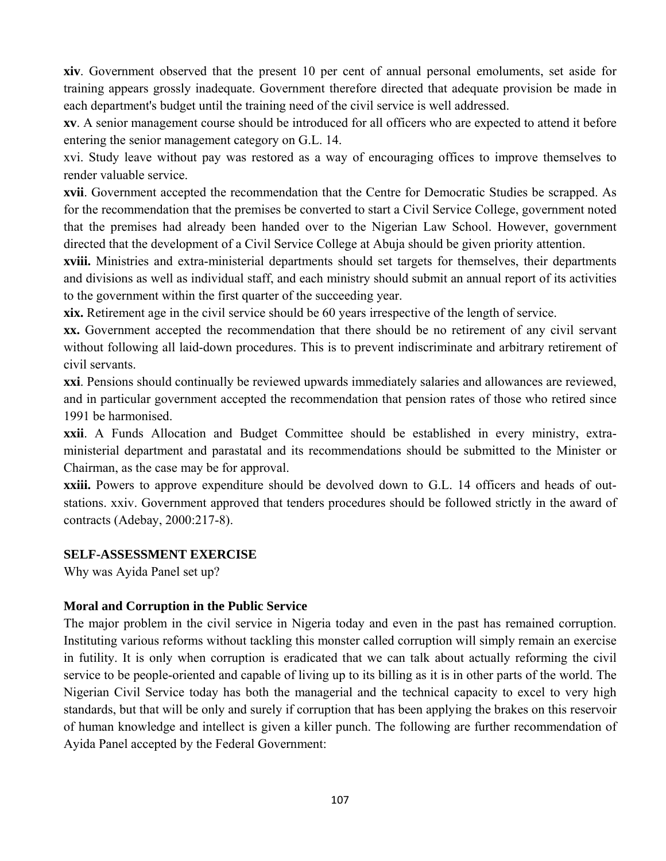**xiv**. Government observed that the present 10 per cent of annual personal emoluments, set aside for training appears grossly inadequate. Government therefore directed that adequate provision be made in each department's budget until the training need of the civil service is well addressed.

**xv**. A senior management course should be introduced for all officers who are expected to attend it before entering the senior management category on G.L. 14.

xvi. Study leave without pay was restored as a way of encouraging offices to improve themselves to render valuable service.

**xvii**. Government accepted the recommendation that the Centre for Democratic Studies be scrapped. As for the recommendation that the premises be converted to start a Civil Service College, government noted that the premises had already been handed over to the Nigerian Law School. However, government directed that the development of a Civil Service College at Abuja should be given priority attention.

**xviii.** Ministries and extra-ministerial departments should set targets for themselves, their departments and divisions as well as individual staff, and each ministry should submit an annual report of its activities to the government within the first quarter of the succeeding year.

**xix.** Retirement age in the civil service should be 60 years irrespective of the length of service.

**xx.** Government accepted the recommendation that there should be no retirement of any civil servant without following all laid-down procedures. This is to prevent indiscriminate and arbitrary retirement of civil servants.

**xxi**. Pensions should continually be reviewed upwards immediately salaries and allowances are reviewed, and in particular government accepted the recommendation that pension rates of those who retired since 1991 be harmonised.

**xxii**. A Funds Allocation and Budget Committee should be established in every ministry, extraministerial department and parastatal and its recommendations should be submitted to the Minister or Chairman, as the case may be for approval.

**xxiii.** Powers to approve expenditure should be devolved down to G.L. 14 officers and heads of outstations. xxiv. Government approved that tenders procedures should be followed strictly in the award of contracts (Adebay, 2000:217-8).

#### **SELF-ASSESSMENT EXERCISE**

Why was Ayida Panel set up?

## **Moral and Corruption in the Public Service**

The major problem in the civil service in Nigeria today and even in the past has remained corruption. Instituting various reforms without tackling this monster called corruption will simply remain an exercise in futility. It is only when corruption is eradicated that we can talk about actually reforming the civil service to be people-oriented and capable of living up to its billing as it is in other parts of the world. The Nigerian Civil Service today has both the managerial and the technical capacity to excel to very high standards, but that will be only and surely if corruption that has been applying the brakes on this reservoir of human knowledge and intellect is given a killer punch. The following are further recommendation of Ayida Panel accepted by the Federal Government: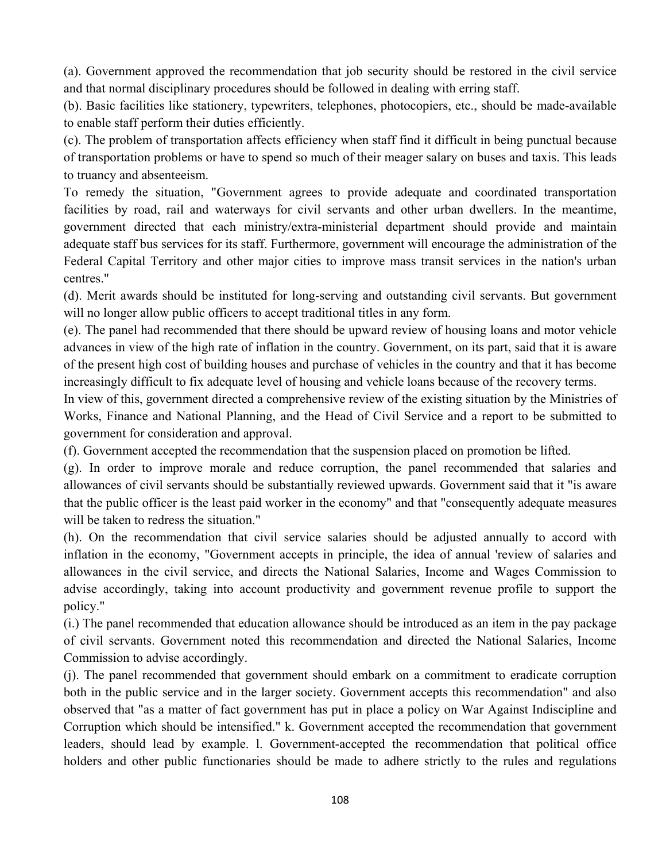(a). Government approved the recommendation that job security should be restored in the civil service and that normal disciplinary procedures should be followed in dealing with erring staff.

(b). Basic facilities like stationery, typewriters, telephones, photocopiers, etc., should be made-available to enable staff perform their duties efficiently.

(c). The problem of transportation affects efficiency when staff find it difficult in being punctual because of transportation problems or have to spend so much of their meager salary on buses and taxis. This leads to truancy and absenteeism.

To remedy the situation, "Government agrees to provide adequate and coordinated transportation facilities by road, rail and waterways for civil servants and other urban dwellers. In the meantime, government directed that each ministry/extra-ministerial department should provide and maintain adequate staff bus services for its staff. Furthermore, government will encourage the administration of the Federal Capital Territory and other major cities to improve mass transit services in the nation's urban centres."

(d). Merit awards should be instituted for long-serving and outstanding civil servants. But government will no longer allow public officers to accept traditional titles in any form.

(e). The panel had recommended that there should be upward review of housing loans and motor vehicle advances in view of the high rate of inflation in the country. Government, on its part, said that it is aware of the present high cost of building houses and purchase of vehicles in the country and that it has become increasingly difficult to fix adequate level of housing and vehicle loans because of the recovery terms.

In view of this, government directed a comprehensive review of the existing situation by the Ministries of Works, Finance and National Planning, and the Head of Civil Service and a report to be submitted to government for consideration and approval.

(f). Government accepted the recommendation that the suspension placed on promotion be lifted.

(g). In order to improve morale and reduce corruption, the panel recommended that salaries and allowances of civil servants should be substantially reviewed upwards. Government said that it "is aware that the public officer is the least paid worker in the economy" and that "consequently adequate measures will be taken to redress the situation."

(h). On the recommendation that civil service salaries should be adjusted annually to accord with inflation in the economy, "Government accepts in principle, the idea of annual 'review of salaries and allowances in the civil service, and directs the National Salaries, Income and Wages Commission to advise accordingly, taking into account productivity and government revenue profile to support the policy."

(i.) The panel recommended that education allowance should be introduced as an item in the pay package of civil servants. Government noted this recommendation and directed the National Salaries, Income Commission to advise accordingly.

(j). The panel recommended that government should embark on a commitment to eradicate corruption both in the public service and in the larger society. Government accepts this recommendation" and also observed that "as a matter of fact government has put in place a policy on War Against Indiscipline and Corruption which should be intensified." k. Government accepted the recommendation that government leaders, should lead by example. l. Government-accepted the recommendation that political office holders and other public functionaries should be made to adhere strictly to the rules and regulations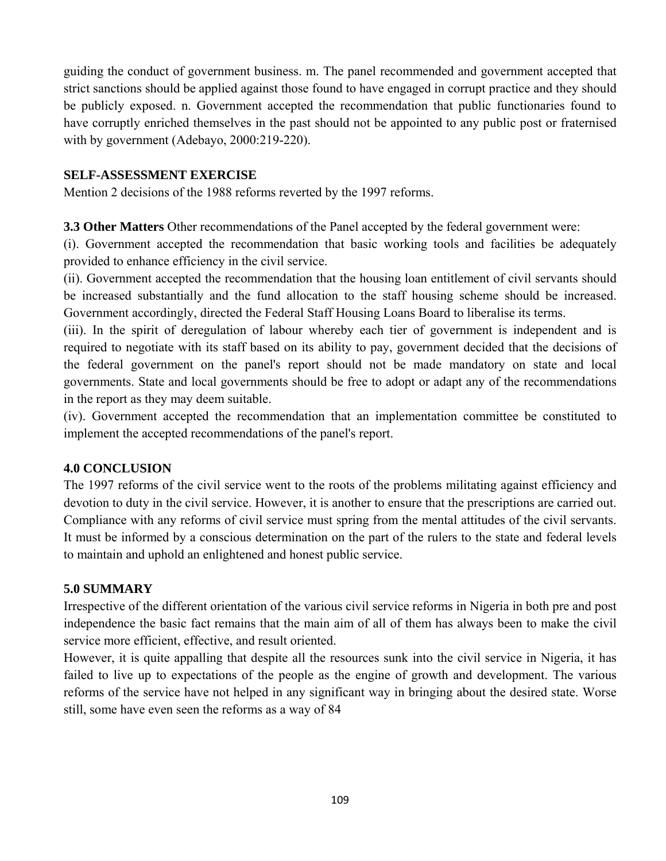guiding the conduct of government business. m. The panel recommended and government accepted that strict sanctions should be applied against those found to have engaged in corrupt practice and they should be publicly exposed. n. Government accepted the recommendation that public functionaries found to have corruptly enriched themselves in the past should not be appointed to any public post or fraternised with by government (Adebayo, 2000:219-220).

#### **SELF-ASSESSMENT EXERCISE**

Mention 2 decisions of the 1988 reforms reverted by the 1997 reforms.

**3.3 Other Matters** Other recommendations of the Panel accepted by the federal government were:

(i). Government accepted the recommendation that basic working tools and facilities be adequately provided to enhance efficiency in the civil service.

(ii). Government accepted the recommendation that the housing loan entitlement of civil servants should be increased substantially and the fund allocation to the staff housing scheme should be increased. Government accordingly, directed the Federal Staff Housing Loans Board to liberalise its terms.

(iii). In the spirit of deregulation of labour whereby each tier of government is independent and is required to negotiate with its staff based on its ability to pay, government decided that the decisions of the federal government on the panel's report should not be made mandatory on state and local governments. State and local governments should be free to adopt or adapt any of the recommendations in the report as they may deem suitable.

(iv). Government accepted the recommendation that an implementation committee be constituted to implement the accepted recommendations of the panel's report.

## **4.0 CONCLUSION**

The 1997 reforms of the civil service went to the roots of the problems militating against efficiency and devotion to duty in the civil service. However, it is another to ensure that the prescriptions are carried out. Compliance with any reforms of civil service must spring from the mental attitudes of the civil servants. It must be informed by a conscious determination on the part of the rulers to the state and federal levels to maintain and uphold an enlightened and honest public service.

## **5.0 SUMMARY**

Irrespective of the different orientation of the various civil service reforms in Nigeria in both pre and post independence the basic fact remains that the main aim of all of them has always been to make the civil service more efficient, effective, and result oriented.

However, it is quite appalling that despite all the resources sunk into the civil service in Nigeria, it has failed to live up to expectations of the people as the engine of growth and development. The various reforms of the service have not helped in any significant way in bringing about the desired state. Worse still, some have even seen the reforms as a way of 84